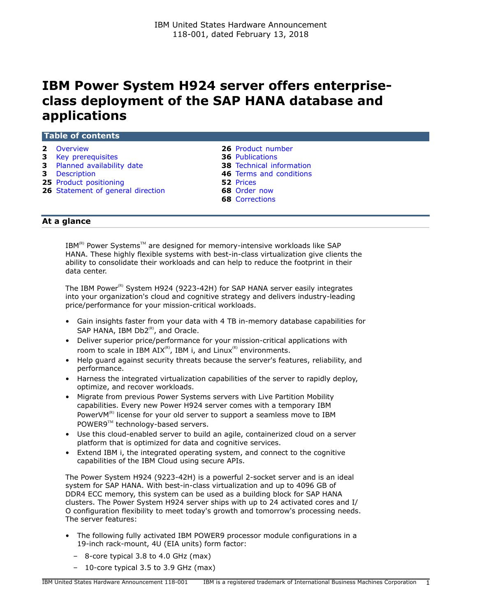# **IBM Power System H924 server offers enterpriseclass deployment of the SAP HANA database and applications**

|  | <b>Table of contents</b> |  |
|--|--------------------------|--|
|  |                          |  |
|  |                          |  |
|  |                          |  |

- 
- **3** [Key prerequisites](#page-2-0) **36** [Publications](#page-35-0)
- **3** [Planned availability date](#page-2-1) **38** [Technical information](#page-37-0)
- 
- **25** [Product positioning](#page-24-0) **52** [Prices](#page-51-0)
- **26** [Statement of general direction](#page-25-1) **68** [Order now](#page-67-0)
- **2** [Overview](#page-1-0) **26** [Product number](#page-25-0)
	-
	-
- **3** [Description](#page-2-2) **46** [Terms and conditions](#page-45-0)
	-
	-
	- **68** [Corrections](#page-67-1)

# **At a glance**

IBM $^{\text{\tiny(R)}}$  Power Systems $^{\text{\tiny TM}}$  are designed for memory-intensive workloads like SAP HANA. These highly flexible systems with best-in-class virtualization give clients the ability to consolidate their workloads and can help to reduce the footprint in their data center.

The IBM Power<sup>(R)</sup> System H924 (9223-42H) for SAP HANA server easily integrates into your organization's cloud and cognitive strategy and delivers industry-leading price/performance for your mission-critical workloads.

- Gain insights faster from your data with 4 TB in-memory database capabilities for SAP HANA, IBM  $Db2^{(R)}$ , and Oracle.
- Deliver superior price/performance for your mission-critical applications with room to scale in IBM  $AIX^{(R)}$ , IBM i, and Linux<sup>(R)</sup> environments.
- Help guard against security threats because the server's features, reliability, and performance.
- Harness the integrated virtualization capabilities of the server to rapidly deploy, optimize, and recover workloads.
- Migrate from previous Power Systems servers with Live Partition Mobility capabilities. Every new Power H924 server comes with a temporary IBM PowerV $M^{(R)}$  license for your old server to support a seamless move to IBM POWER9™ technology-based servers.
- Use this cloud-enabled server to build an agile, containerized cloud on a server platform that is optimized for data and cognitive services.
- Extend IBM i, the integrated operating system, and connect to the cognitive capabilities of the IBM Cloud using secure APIs.

The Power System H924 (9223-42H) is a powerful 2-socket server and is an ideal system for SAP HANA. With best-in-class virtualization and up to 4096 GB of DDR4 ECC memory, this system can be used as a building block for SAP HANA clusters. The Power System H924 server ships with up to 24 activated cores and I/ O configuration flexibility to meet today's growth and tomorrow's processing needs. The server features:

- The following fully activated IBM POWER9 processor module configurations in a 19-inch rack-mount, 4U (EIA units) form factor:
	- 8-core typical 3.8 to 4.0 GHz (max)
	- 10-core typical 3.5 to 3.9 GHz (max)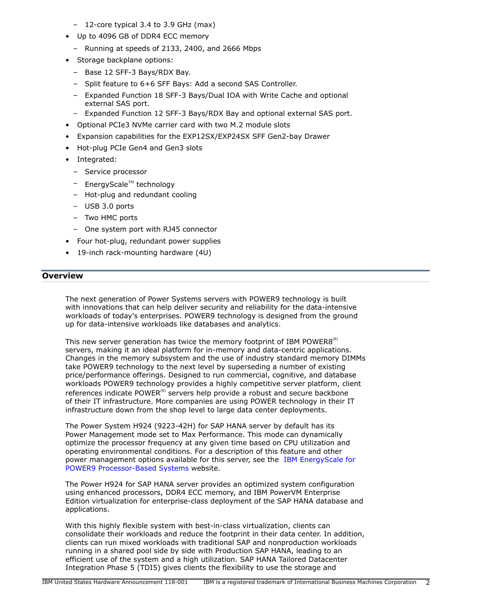- 12-core typical 3.4 to 3.9 GHz (max)
- Up to 4096 GB of DDR4 ECC memory
	- Running at speeds of 2133, 2400, and 2666 Mbps
- Storage backplane options:
	- Base 12 SFF-3 Bays/RDX Bay.
	- Split feature to 6+6 SFF Bays: Add a second SAS Controller.
	- Expanded Function 18 SFF-3 Bays/Dual IOA with Write Cache and optional external SAS port.
	- Expanded Function 12 SFF-3 Bays/RDX Bay and optional external SAS port.
- Optional PCIe3 NVMe carrier card with two M.2 module slots
- Expansion capabilities for the EXP12SX/EXP24SX SFF Gen2-bay Drawer
- Hot-plug PCIe Gen4 and Gen3 slots
- Integrated:
	- Service processor
	- $-$  EnergyScale<sup>TM</sup> technology
	- Hot-plug and redundant cooling
	- USB 3.0 ports
	- Two HMC ports
	- One system port with RJ45 connector
- Four hot-plug, redundant power supplies
- 19-inch rack-mounting hardware (4U)

## <span id="page-1-0"></span>**Overview**

The next generation of Power Systems servers with POWER9 technology is built with innovations that can help deliver security and reliability for the data-intensive workloads of today's enterprises. POWER9 technology is designed from the ground up for data-intensive workloads like databases and analytics.

This new server generation has twice the memory footprint of IBM POWER8 $^{(R)}$ servers, making it an ideal platform for in-memory and data-centric applications. Changes in the memory subsystem and the use of industry standard memory DIMMs take POWER9 technology to the next level by superseding a number of existing price/performance offerings. Designed to run commercial, cognitive, and database workloads POWER9 technology provides a highly competitive server platform, client references indicate POWER $<sup>(R)</sup>$  servers help provide a robust and secure backbone</sup> of their IT infrastructure. More companies are using POWER technology in their IT infrastructure down from the shop level to large data center deployments.

The Power System H924 (9223-42H) for SAP HANA server by default has its Power Management mode set to Max Performance. This mode can dynamically optimize the processor frequency at any given time based on CPU utilization and operating environmental conditions. For a description of this feature and other power management options available for this server, see the [IBM EnergyScale for](https://www-01.ibm.com/common/ssi/cgi-bin/ssialias?htmlfid=POW03125USEN) [POWER9 Processor-Based Systems](https://www-01.ibm.com/common/ssi/cgi-bin/ssialias?htmlfid=POW03125USEN) website.

The Power H924 for SAP HANA server provides an optimized system configuration using enhanced processors, DDR4 ECC memory, and IBM PowerVM Enterprise Edition virtualization for enterprise-class deployment of the SAP HANA database and applications.

With this highly flexible system with best-in-class virtualization, clients can consolidate their workloads and reduce the footprint in their data center. In addition, clients can run mixed workloads with traditional SAP and nonproduction workloads running in a shared pool side by side with Production SAP HANA, leading to an efficient use of the system and a high utilization. SAP HANA Tailored Datacenter Integration Phase 5 (TDI5) gives clients the flexibility to use the storage and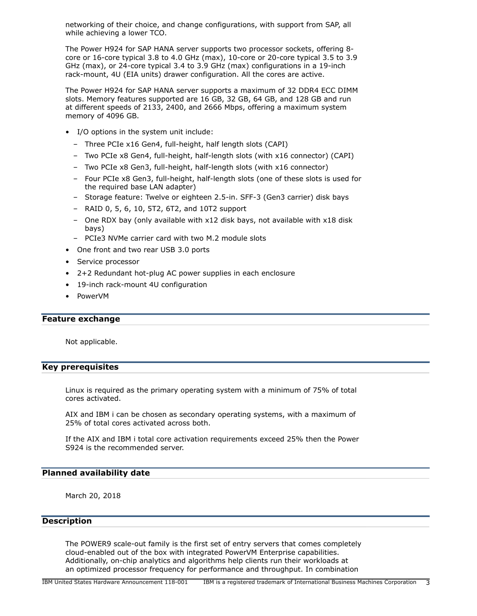networking of their choice, and change configurations, with support from SAP, all while achieving a lower TCO.

The Power H924 for SAP HANA server supports two processor sockets, offering 8 core or 16-core typical 3.8 to 4.0 GHz (max), 10-core or 20-core typical 3.5 to 3.9 GHz (max), or 24-core typical 3.4 to 3.9 GHz (max) configurations in a 19-inch rack-mount, 4U (EIA units) drawer configuration. All the cores are active.

The Power H924 for SAP HANA server supports a maximum of 32 DDR4 ECC DIMM slots. Memory features supported are 16 GB, 32 GB, 64 GB, and 128 GB and run at different speeds of 2133, 2400, and 2666 Mbps, offering a maximum system memory of 4096 GB.

- I/O options in the system unit include:
	- Three PCIe x16 Gen4, full-height, half length slots (CAPI)
	- Two PCIe x8 Gen4, full-height, half-length slots (with x16 connector) (CAPI)
	- Two PCIe x8 Gen3, full-height, half-length slots (with x16 connector)
	- Four PCIe x8 Gen3, full-height, half-length slots (one of these slots is used for the required base LAN adapter)
	- Storage feature: Twelve or eighteen 2.5-in. SFF-3 (Gen3 carrier) disk bays
	- RAID 0, 5, 6, 10, 5T2, 6T2, and 10T2 support
	- One RDX bay (only available with x12 disk bays, not available with x18 disk bays)
	- PCIe3 NVMe carrier card with two M.2 module slots
- One front and two rear USB 3.0 ports
- Service processor
- 2+2 Redundant hot-plug AC power supplies in each enclosure
- 19-inch rack-mount 4U configuration
- PowerVM

#### **Feature exchange**

Not applicable.

## <span id="page-2-0"></span>**Key prerequisites**

Linux is required as the primary operating system with a minimum of 75% of total cores activated.

AIX and IBM i can be chosen as secondary operating systems, with a maximum of 25% of total cores activated across both.

If the AIX and IBM i total core activation requirements exceed 25% then the Power S924 is the recommended server.

## <span id="page-2-1"></span>**Planned availability date**

March 20, 2018

## <span id="page-2-2"></span>**Description**

The POWER9 scale-out family is the first set of entry servers that comes completely cloud-enabled out of the box with integrated PowerVM Enterprise capabilities. Additionally, on-chip analytics and algorithms help clients run their workloads at an optimized processor frequency for performance and throughput. In combination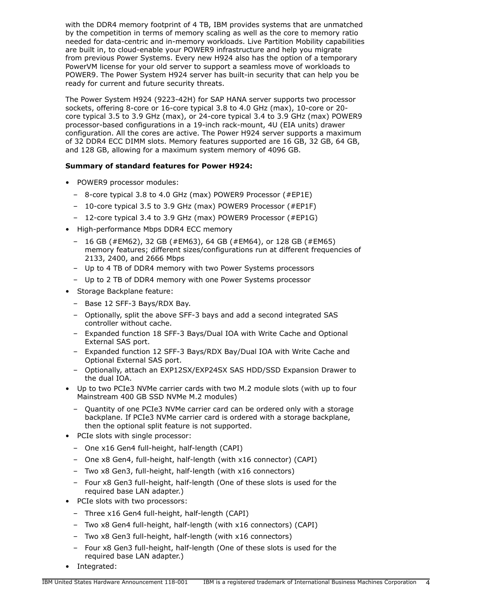with the DDR4 memory footprint of 4 TB, IBM provides systems that are unmatched by the competition in terms of memory scaling as well as the core to memory ratio needed for data-centric and in-memory workloads. Live Partition Mobility capabilities are built in, to cloud-enable your POWER9 infrastructure and help you migrate from previous Power Systems. Every new H924 also has the option of a temporary PowerVM license for your old server to support a seamless move of workloads to POWER9. The Power System H924 server has built-in security that can help you be ready for current and future security threats.

The Power System H924 (9223-42H) for SAP HANA server supports two processor sockets, offering 8-core or 16-core typical 3.8 to 4.0 GHz (max), 10-core or 20 core typical 3.5 to 3.9 GHz (max), or 24-core typical 3.4 to 3.9 GHz (max) POWER9 processor-based configurations in a 19-inch rack-mount, 4U (EIA units) drawer configuration. All the cores are active. The Power H924 server supports a maximum of 32 DDR4 ECC DIMM slots. Memory features supported are 16 GB, 32 GB, 64 GB, and 128 GB, allowing for a maximum system memory of 4096 GB.

# **Summary of standard features for Power H924:**

- POWER9 processor modules:
	- 8-core typical 3.8 to 4.0 GHz (max) POWER9 Processor (#EP1E)
	- 10-core typical 3.5 to 3.9 GHz (max) POWER9 Processor (#EP1F)
	- 12-core typical 3.4 to 3.9 GHz (max) POWER9 Processor (#EP1G)
- High-performance Mbps DDR4 ECC memory
	- 16 GB (#EM62), 32 GB (#EM63), 64 GB (#EM64), or 128 GB (#EM65) memory features; different sizes/configurations run at different frequencies of 2133, 2400, and 2666 Mbps
	- Up to 4 TB of DDR4 memory with two Power Systems processors
	- Up to 2 TB of DDR4 memory with one Power Systems processor
- Storage Backplane feature:
	- Base 12 SFF-3 Bays/RDX Bay.
	- Optionally, split the above SFF-3 bays and add a second integrated SAS controller without cache.
	- Expanded function 18 SFF-3 Bays/Dual IOA with Write Cache and Optional External SAS port.
	- Expanded function 12 SFF-3 Bays/RDX Bay/Dual IOA with Write Cache and Optional External SAS port.
	- Optionally, attach an EXP12SX/EXP24SX SAS HDD/SSD Expansion Drawer to the dual IOA.
- Up to two PCIe3 NVMe carrier cards with two M.2 module slots (with up to four Mainstream 400 GB SSD NVMe M.2 modules)
	- Quantity of one PCIe3 NVMe carrier card can be ordered only with a storage backplane. If PCIe3 NVMe carrier card is ordered with a storage backplane, then the optional split feature is not supported.
- PCIe slots with single processor:
	- One x16 Gen4 full-height, half-length (CAPI)
	- One x8 Gen4, full-height, half-length (with x16 connector) (CAPI)
	- Two x8 Gen3, full-height, half-length (with x16 connectors)
	- Four x8 Gen3 full-height, half-length (One of these slots is used for the required base LAN adapter.)
- PCIe slots with two processors:
	- Three x16 Gen4 full-height, half-length (CAPI)
	- Two x8 Gen4 full-height, half-length (with x16 connectors) (CAPI)
	- Two x8 Gen3 full-height, half-length (with x16 connectors)
	- Four x8 Gen3 full-height, half-length (One of these slots is used for the required base LAN adapter.)
- Integrated: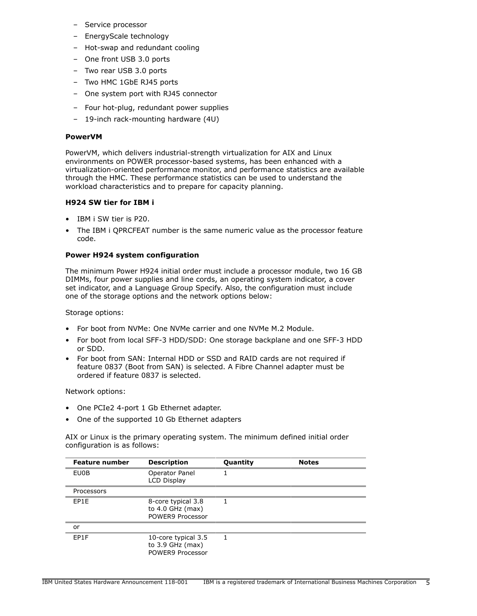- Service processor
- EnergyScale technology
- Hot-swap and redundant cooling
- One front USB 3.0 ports
- Two rear USB 3.0 ports
- Two HMC 1GbE RJ45 ports
- One system port with RJ45 connector
- Four hot-plug, redundant power supplies
- 19-inch rack-mounting hardware (4U)

## **PowerVM**

PowerVM, which delivers industrial-strength virtualization for AIX and Linux environments on POWER processor-based systems, has been enhanced with a virtualization-oriented performance monitor, and performance statistics are available through the HMC. These performance statistics can be used to understand the workload characteristics and to prepare for capacity planning.

## **H924 SW tier for IBM i**

- IBM i SW tier is P20.
- The IBM i QPRCFEAT number is the same numeric value as the processor feature code.

## **Power H924 system configuration**

The minimum Power H924 initial order must include a processor module, two 16 GB DIMMs, four power supplies and line cords, an operating system indicator, a cover set indicator, and a Language Group Specify. Also, the configuration must include one of the storage options and the network options below:

Storage options:

- For boot from NVMe: One NVMe carrier and one NVMe M.2 Module.
- For boot from local SFF-3 HDD/SDD: One storage backplane and one SFF-3 HDD or SDD.
- For boot from SAN: Internal HDD or SSD and RAID cards are not required if feature 0837 (Boot from SAN) is selected. A Fibre Channel adapter must be ordered if feature 0837 is selected.

Network options:

- One PCIe2 4-port 1 Gb Ethernet adapter.
- One of the supported 10 Gb Ethernet adapters

AIX or Linux is the primary operating system. The minimum defined initial order configuration is as follows:

| <b>Feature number</b>                                                | <b>Description</b>                                            | <b>Quantity</b> | <b>Notes</b> |
|----------------------------------------------------------------------|---------------------------------------------------------------|-----------------|--------------|
| EU0B                                                                 | Operator Panel<br>LCD Display                                 |                 |              |
| Processors                                                           |                                                               |                 |              |
| EP1E<br>8-core typical 3.8<br>to $4.0$ GHz (max)<br>POWER9 Processor |                                                               |                 |              |
| or                                                                   |                                                               |                 |              |
| EP1F                                                                 | 10-core typical 3.5<br>to $3.9$ GHz (max)<br>POWER9 Processor |                 |              |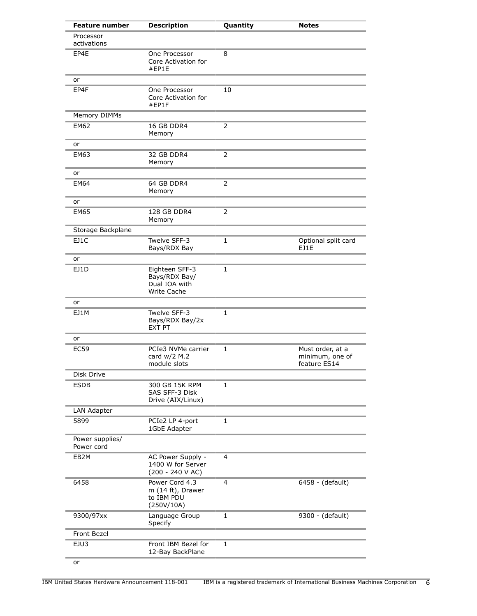| <b>Feature number</b>                                 | <b>Description</b>                                                     | Quantity       | <b>Notes</b>                                        |
|-------------------------------------------------------|------------------------------------------------------------------------|----------------|-----------------------------------------------------|
| Processor<br>activations                              |                                                                        |                |                                                     |
| EP4E<br>One Processor<br>Core Activation for<br>#EP1E |                                                                        | 8              |                                                     |
| or                                                    |                                                                        |                |                                                     |
| EP4F                                                  | One Processor<br>Core Activation for<br>#EP1F                          | 10             |                                                     |
| Memory DIMMs                                          |                                                                        |                |                                                     |
| <b>EM62</b>                                           | 16 GB DDR4<br>Memory                                                   | $\overline{2}$ |                                                     |
| or                                                    |                                                                        |                |                                                     |
| <b>EM63</b>                                           | 32 GB DDR4<br>Memory                                                   | $\overline{2}$ |                                                     |
| or                                                    |                                                                        |                |                                                     |
| <b>EM64</b>                                           | 64 GB DDR4<br>Memory                                                   | 2              |                                                     |
| or                                                    |                                                                        |                |                                                     |
| <b>EM65</b>                                           | 128 GB DDR4<br>Memory                                                  | 2              |                                                     |
| Storage Backplane                                     |                                                                        |                |                                                     |
| EJ1C                                                  | Twelve SFF-3<br>Bays/RDX Bay                                           | 1              | Optional split card<br>EJ1E                         |
| or                                                    |                                                                        |                |                                                     |
| EJ1D                                                  | Eighteen SFF-3<br>Bays/RDX Bay/<br>Dual IOA with<br><b>Write Cache</b> | 1              |                                                     |
| or                                                    |                                                                        |                |                                                     |
| EJ1M                                                  | Twelve SFF-3<br>Bays/RDX Bay/2x<br><b>EXT PT</b>                       | $\mathbf{1}$   |                                                     |
| or                                                    |                                                                        |                |                                                     |
| <b>EC59</b>                                           | PCIe3 NVMe carrier<br>card $w/2$ M.2<br>module slots                   | 1              | Must order, at a<br>minimum, one of<br>feature ES14 |
| Disk Drive                                            |                                                                        |                |                                                     |
| <b>ESDB</b>                                           | 300 GB 15K RPM<br>SAS SFF-3 Disk<br>Drive (AIX/Linux)                  | 1              |                                                     |
| LAN Adapter                                           |                                                                        |                |                                                     |
| 5899                                                  | PCIe2 LP 4-port<br>1GbE Adapter                                        | $\mathbf{1}$   |                                                     |
| Power supplies/<br>Power cord                         |                                                                        |                |                                                     |
| EB <sub>2</sub> M                                     | AC Power Supply -<br>1400 W for Server<br>$(200 - 240 V AC)$           | 4              |                                                     |
| 6458                                                  | Power Cord 4.3<br>m (14 ft), Drawer<br>to IBM PDU<br>(250V/10A)        | $\overline{4}$ | 6458 - (default)                                    |
| 9300/97xx                                             | Language Group<br>Specify                                              | $\mathbf{1}$   | 9300 - (default)                                    |
| Front Bezel                                           |                                                                        |                |                                                     |
| EJU3                                                  | Front IBM Bezel for<br>12-Bay BackPlane                                | 1              |                                                     |
| or                                                    |                                                                        |                |                                                     |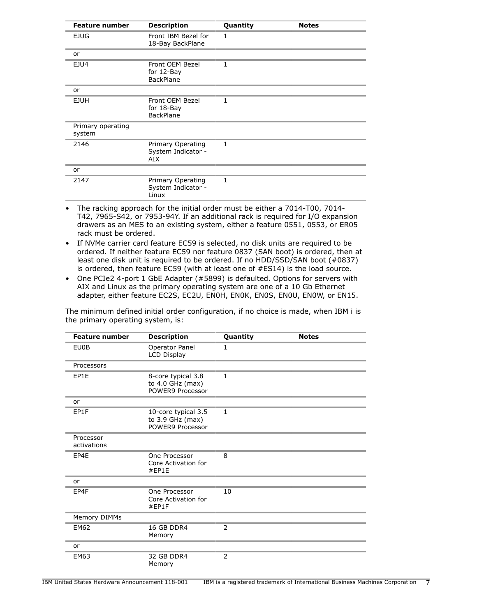| <b>Description</b><br><b>Feature number</b> |                                                   | Quantity     | <b>Notes</b> |
|---------------------------------------------|---------------------------------------------------|--------------|--------------|
| <b>EJUG</b>                                 | Front IBM Bezel for<br>18-Bay BackPlane           | 1            |              |
| or                                          |                                                   |              |              |
| EJU4                                        | Front OEM Bezel<br>for 12-Bay<br><b>BackPlane</b> | $\mathbf{1}$ |              |
| or                                          |                                                   |              |              |
| <b>EJUH</b>                                 | Front OEM Bezel<br>for 18-Bay<br><b>BackPlane</b> | 1            |              |
| Primary operating<br>system                 |                                                   |              |              |
| 2146                                        | Primary Operating<br>System Indicator -<br>AIX    | 1            |              |
| or                                          |                                                   |              |              |
| 2147                                        | Primary Operating<br>System Indicator -<br>Linux  | 1            |              |

- The racking approach for the initial order must be either a 7014-T00, 7014- T42, 7965-S42, or 7953-94Y. If an additional rack is required for I/O expansion drawers as an MES to an existing system, either a feature 0551, 0553, or ER05 rack must be ordered.
- If NVMe carrier card feature EC59 is selected, no disk units are required to be ordered. If neither feature EC59 nor feature 0837 (SAN boot) is ordered, then at least one disk unit is required to be ordered. If no HDD/SSD/SAN boot (#0837) is ordered, then feature EC59 (with at least one of #ES14) is the load source.
- One PCIe2 4-port 1 GbE Adapter (#5899) is defaulted. Options for servers with AIX and Linux as the primary operating system are one of a 10 Gb Ethernet adapter, either feature EC2S, EC2U, EN0H, EN0K, EN0S, EN0U, EN0W, or EN15.

|                                   |  | The minimum defined initial order configuration, if no choice is made, when IBM i is |  |  |  |  |
|-----------------------------------|--|--------------------------------------------------------------------------------------|--|--|--|--|
| the primary operating system, is: |  |                                                                                      |  |  |  |  |

| <b>Feature number</b>                                               | <b>Description</b>                                         | Quantity     | <b>Notes</b> |
|---------------------------------------------------------------------|------------------------------------------------------------|--------------|--------------|
| <b>EU0B</b>                                                         | Operator Panel<br><b>LCD Display</b>                       | 1            |              |
| Processors                                                          |                                                            |              |              |
| EP1E                                                                | 8-core typical 3.8<br>to 4.0 GHz (max)<br>POWER9 Processor | $\mathbf{1}$ |              |
| or                                                                  |                                                            |              |              |
| EP1F<br>10-core typical 3.5<br>to 3.9 GHz (max)<br>POWER9 Processor |                                                            | 1            |              |
| Processor<br>activations                                            |                                                            |              |              |
| EP4E                                                                | One Processor<br>Core Activation for<br>#EP1E              |              |              |
| or                                                                  |                                                            |              |              |
| EP4F                                                                | One Processor<br>Core Activation for<br>#EP1F              |              |              |
| Memory DIMMs                                                        |                                                            |              |              |
| <b>EM62</b>                                                         | <b>16 GB DDR4</b><br>Memory                                | 2            |              |
| or                                                                  |                                                            |              |              |
| <b>EM63</b>                                                         | 32 GB DDR4<br>Memory                                       | 2            |              |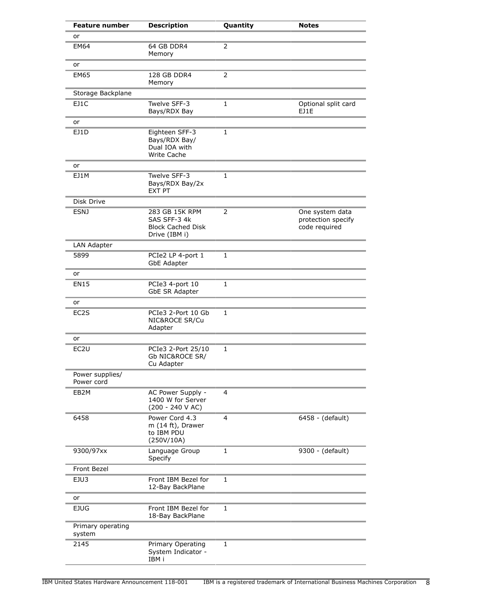| <b>Feature number</b>               | <b>Description</b>                                                          | Quantity       | <b>Notes</b>                                           |
|-------------------------------------|-----------------------------------------------------------------------------|----------------|--------------------------------------------------------|
| or                                  |                                                                             |                |                                                        |
| <b>EM64</b><br>64 GB DDR4<br>Memory |                                                                             | 2              |                                                        |
| or                                  |                                                                             |                |                                                        |
| <b>EM65</b>                         | 128 GB DDR4<br>Memory                                                       | 2              |                                                        |
| Storage Backplane                   |                                                                             |                |                                                        |
| EJ1C                                | Twelve SFF-3<br>Bays/RDX Bay                                                | 1              | Optional split card<br>F11F                            |
| or                                  |                                                                             |                |                                                        |
| EJ1D                                | Eighteen SFF-3<br>Bays/RDX Bay/<br>Dual IOA with<br><b>Write Cache</b>      | $\mathbf{1}$   |                                                        |
| or                                  |                                                                             |                |                                                        |
| EJ1M                                | Twelve SFF-3<br>Bays/RDX Bay/2x<br><b>EXT PT</b>                            | 1              |                                                        |
| Disk Drive                          |                                                                             |                |                                                        |
| <b>ESNJ</b>                         | 283 GB 15K RPM<br>SAS SFF-3 4k<br><b>Block Cached Disk</b><br>Drive (IBM i) | $\overline{2}$ | One system data<br>protection specify<br>code required |
| LAN Adapter                         |                                                                             |                |                                                        |
| 5899                                | PCIe2 LP 4-port 1<br><b>GbE Adapter</b>                                     | 1              |                                                        |
| or                                  |                                                                             |                |                                                        |
| <b>EN15</b>                         | PCIe3 4-port 10<br>GbE SR Adapter                                           | $\mathbf{1}$   |                                                        |
| or                                  |                                                                             |                |                                                        |
| EC2S                                | PCIe3 2-Port 10 Gb<br>NIC&ROCE SR/Cu<br>Adapter                             | 1              |                                                        |
| or                                  |                                                                             |                |                                                        |
| EC <sub>2U</sub>                    | PCIe3 2-Port 25/10<br>Gb NIC&ROCE SR/<br>Cu Adapter                         | 1              |                                                        |
| Power supplies/<br>Power cord       |                                                                             |                |                                                        |
| EB2M                                | AC Power Supply -<br>1400 W for Server<br>$(200 - 240 V AC)$                | 4              |                                                        |
| 6458                                | Power Cord 4.3<br>m (14 ft), Drawer<br>to IBM PDU<br>(250V/10A)             | 4              | 6458 - (default)                                       |
| 9300/97xx                           | Language Group<br>Specify                                                   | 1              | 9300 - (default)                                       |
| <b>Front Bezel</b>                  |                                                                             |                |                                                        |
| EJU3                                | Front IBM Bezel for<br>12-Bay BackPlane                                     | 1              |                                                        |
| or                                  |                                                                             |                |                                                        |
| <b>EJUG</b>                         | Front IBM Bezel for<br>18-Bay BackPlane                                     | $\mathbf{1}$   |                                                        |
| Primary operating<br>system         |                                                                             |                |                                                        |
| 2145                                | Primary Operating<br>System Indicator -<br>IBM i                            | 1              |                                                        |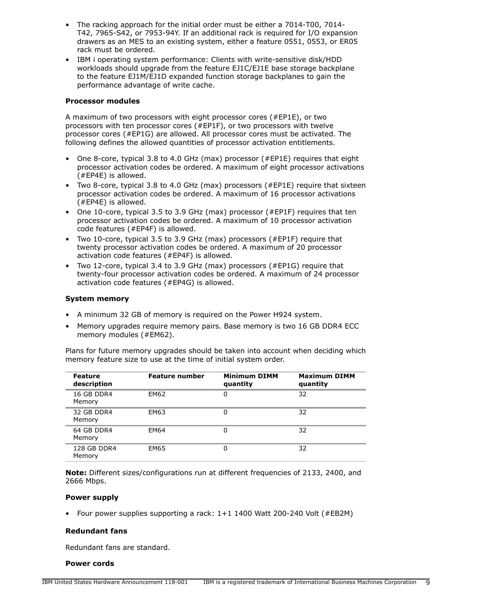- The racking approach for the initial order must be either a 7014-T00, 7014- T42, 7965-S42, or 7953-94Y. If an additional rack is required for I/O expansion drawers as an MES to an existing system, either a feature 0551, 0553, or ER05 rack must be ordered.
- IBM i operating system performance: Clients with write-sensitive disk/HDD workloads should upgrade from the feature EJ1C/EJ1E base storage backplane to the feature EJ1M/EJ1D expanded function storage backplanes to gain the performance advantage of write cache.

## **Processor modules**

A maximum of two processors with eight processor cores (#EP1E), or two processors with ten processor cores (#EP1F), or two processors with twelve processor cores (#EP1G) are allowed. All processor cores must be activated. The following defines the allowed quantities of processor activation entitlements.

- One 8-core, typical 3.8 to 4.0 GHz (max) processor (#EP1E) requires that eight processor activation codes be ordered. A maximum of eight processor activations (#EP4E) is allowed.
- Two 8-core, typical 3.8 to 4.0 GHz (max) processors (#EP1E) require that sixteen processor activation codes be ordered. A maximum of 16 processor activations (#EP4E) is allowed.
- One 10-core, typical 3.5 to 3.9 GHz (max) processor (#EP1F) requires that ten processor activation codes be ordered. A maximum of 10 processor activation code features (#EP4F) is allowed.
- Two 10-core, typical 3.5 to 3.9 GHz (max) processors (#EP1F) require that twenty processor activation codes be ordered. A maximum of 20 processor activation code features (#EP4F) is allowed.
- Two 12-core, typical 3.4 to 3.9 GHz (max) processors (#EP1G) require that twenty-four processor activation codes be ordered. A maximum of 24 processor activation code features (#EP4G) is allowed.

## **System memory**

- A minimum 32 GB of memory is required on the Power H924 system.
- Memory upgrades require memory pairs. Base memory is two 16 GB DDR4 ECC memory modules (#EM62).

Plans for future memory upgrades should be taken into account when deciding which memory feature size to use at the time of initial system order.

| <b>Feature</b><br>description | <b>Feature number</b> | <b>Minimum DIMM</b><br>quantity | <b>Maximum DIMM</b><br>quantity |
|-------------------------------|-----------------------|---------------------------------|---------------------------------|
| 16 GB DDR4<br>Memory          | EM62                  | 0                               | 32                              |
| 32 GB DDR4<br>Memory          | EM63                  | 0                               | 32                              |
| 64 GB DDR4<br>Memory          | <b>EM64</b>           | 0                               | 32                              |
| 128 GB DDR4<br>Memory         | <b>EM65</b>           | 0                               | 32                              |

**Note:** Different sizes/configurations run at different frequencies of 2133, 2400, and 2666 Mbps.

#### **Power supply**

• Four power supplies supporting a rack: 1+1 1400 Watt 200-240 Volt (#EB2M)

#### **Redundant fans**

Redundant fans are standard.

#### **Power cords**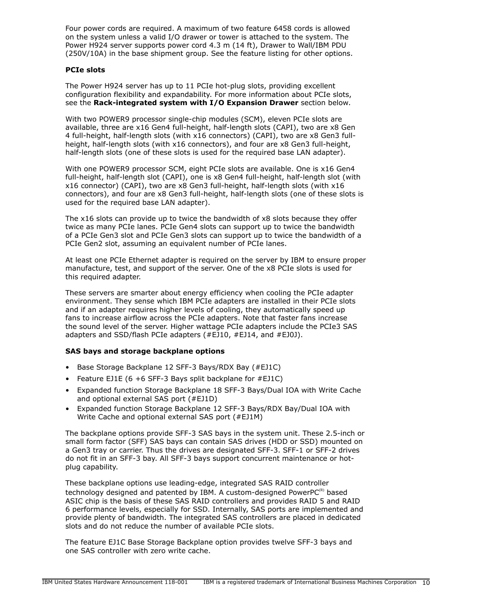Four power cords are required. A maximum of two feature 6458 cords is allowed on the system unless a valid I/O drawer or tower is attached to the system. The Power H924 server supports power cord 4.3 m (14 ft), Drawer to Wall/IBM PDU (250V/10A) in the base shipment group. See the feature listing for other options.

## **PCIe slots**

The Power H924 server has up to 11 PCIe hot-plug slots, providing excellent configuration flexibility and expandability. For more information about PCIe slots, see the **Rack-integrated system with I/O Expansion Drawer** section below.

With two POWER9 processor single-chip modules (SCM), eleven PCIe slots are available, three are x16 Gen4 full-height, half-length slots (CAPI), two are x8 Gen 4 full-height, half-length slots (with x16 connectors) (CAPI), two are x8 Gen3 fullheight, half-length slots (with x16 connectors), and four are x8 Gen3 full-height, half-length slots (one of these slots is used for the required base LAN adapter).

With one POWER9 processor SCM, eight PCIe slots are available. One is x16 Gen4 full-height, half-length slot (CAPI), one is x8 Gen4 full-height, half-length slot (with x16 connector) (CAPI), two are x8 Gen3 full-height, half-length slots (with x16 connectors), and four are x8 Gen3 full-height, half-length slots (one of these slots is used for the required base LAN adapter).

The x16 slots can provide up to twice the bandwidth of x8 slots because they offer twice as many PCIe lanes. PCIe Gen4 slots can support up to twice the bandwidth of a PCIe Gen3 slot and PCIe Gen3 slots can support up to twice the bandwidth of a PCIe Gen2 slot, assuming an equivalent number of PCIe lanes.

At least one PCIe Ethernet adapter is required on the server by IBM to ensure proper manufacture, test, and support of the server. One of the x8 PCIe slots is used for this required adapter.

These servers are smarter about energy efficiency when cooling the PCIe adapter environment. They sense which IBM PCIe adapters are installed in their PCIe slots and if an adapter requires higher levels of cooling, they automatically speed up fans to increase airflow across the PCIe adapters. Note that faster fans increase the sound level of the server. Higher wattage PCIe adapters include the PCIe3 SAS adapters and SSD/flash PCIe adapters (#EJ10, #EJ14, and #EJ0J).

## **SAS bays and storage backplane options**

- Base Storage Backplane 12 SFF-3 Bays/RDX Bay (#EJ1C)
- Feature EJ1E (6 +6 SFF-3 Bays split backplane for #EJ1C)
- Expanded function Storage Backplane 18 SFF-3 Bays/Dual IOA with Write Cache and optional external SAS port (#EJ1D)
- Expanded function Storage Backplane 12 SFF-3 Bays/RDX Bay/Dual IOA with Write Cache and optional external SAS port (#EJ1M)

The backplane options provide SFF-3 SAS bays in the system unit. These 2.5-inch or small form factor (SFF) SAS bays can contain SAS drives (HDD or SSD) mounted on a Gen3 tray or carrier. Thus the drives are designated SFF-3. SFF-1 or SFF-2 drives do not fit in an SFF-3 bay. All SFF-3 bays support concurrent maintenance or hotplug capability.

These backplane options use leading-edge, integrated SAS RAID controller technology designed and patented by IBM. A custom-designed PowerP $C^{(R)}$  based ASIC chip is the basis of these SAS RAID controllers and provides RAID 5 and RAID 6 performance levels, especially for SSD. Internally, SAS ports are implemented and provide plenty of bandwidth. The integrated SAS controllers are placed in dedicated slots and do not reduce the number of available PCIe slots.

The feature EJ1C Base Storage Backplane option provides twelve SFF-3 bays and one SAS controller with zero write cache.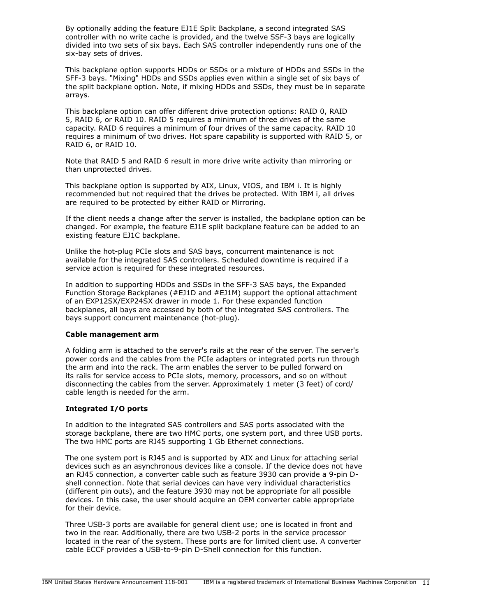By optionally adding the feature EJ1E Split Backplane, a second integrated SAS controller with no write cache is provided, and the twelve SSF-3 bays are logically divided into two sets of six bays. Each SAS controller independently runs one of the six-bay sets of drives.

This backplane option supports HDDs or SSDs or a mixture of HDDs and SSDs in the SFF-3 bays. "Mixing" HDDs and SSDs applies even within a single set of six bays of the split backplane option. Note, if mixing HDDs and SSDs, they must be in separate arrays.

This backplane option can offer different drive protection options: RAID 0, RAID 5, RAID 6, or RAID 10. RAID 5 requires a minimum of three drives of the same capacity. RAID 6 requires a minimum of four drives of the same capacity. RAID 10 requires a minimum of two drives. Hot spare capability is supported with RAID 5, or RAID 6, or RAID 10.

Note that RAID 5 and RAID 6 result in more drive write activity than mirroring or than unprotected drives.

This backplane option is supported by AIX, Linux, VIOS, and IBM i. It is highly recommended but not required that the drives be protected. With IBM i, all drives are required to be protected by either RAID or Mirroring.

If the client needs a change after the server is installed, the backplane option can be changed. For example, the feature EJ1E split backplane feature can be added to an existing feature EJ1C backplane.

Unlike the hot-plug PCIe slots and SAS bays, concurrent maintenance is not available for the integrated SAS controllers. Scheduled downtime is required if a service action is required for these integrated resources.

In addition to supporting HDDs and SSDs in the SFF-3 SAS bays, the Expanded Function Storage Backplanes (#EJ1D and #EJ1M) support the optional attachment of an EXP12SX/EXP24SX drawer in mode 1. For these expanded function backplanes, all bays are accessed by both of the integrated SAS controllers. The bays support concurrent maintenance (hot-plug).

#### **Cable management arm**

A folding arm is attached to the server's rails at the rear of the server. The server's power cords and the cables from the PCIe adapters or integrated ports run through the arm and into the rack. The arm enables the server to be pulled forward on its rails for service access to PCIe slots, memory, processors, and so on without disconnecting the cables from the server. Approximately 1 meter (3 feet) of cord/ cable length is needed for the arm.

## **Integrated I/O ports**

In addition to the integrated SAS controllers and SAS ports associated with the storage backplane, there are two HMC ports, one system port, and three USB ports. The two HMC ports are RJ45 supporting 1 Gb Ethernet connections.

The one system port is RJ45 and is supported by AIX and Linux for attaching serial devices such as an asynchronous devices like a console. If the device does not have an RJ45 connection, a converter cable such as feature 3930 can provide a 9-pin Dshell connection. Note that serial devices can have very individual characteristics (different pin outs), and the feature 3930 may not be appropriate for all possible devices. In this case, the user should acquire an OEM converter cable appropriate for their device.

Three USB-3 ports are available for general client use; one is located in front and two in the rear. Additionally, there are two USB-2 ports in the service processor located in the rear of the system. These ports are for limited client use. A converter cable ECCF provides a USB-to-9-pin D-Shell connection for this function.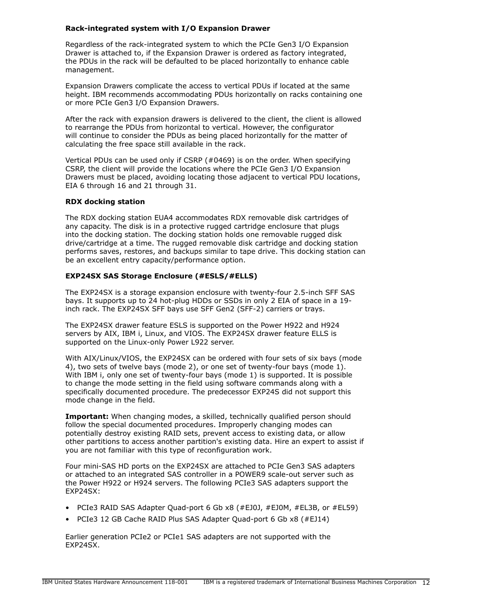## **Rack-integrated system with I/O Expansion Drawer**

Regardless of the rack-integrated system to which the PCIe Gen3 I/O Expansion Drawer is attached to, if the Expansion Drawer is ordered as factory integrated, the PDUs in the rack will be defaulted to be placed horizontally to enhance cable management.

Expansion Drawers complicate the access to vertical PDUs if located at the same height. IBM recommends accommodating PDUs horizontally on racks containing one or more PCIe Gen3 I/O Expansion Drawers.

After the rack with expansion drawers is delivered to the client, the client is allowed to rearrange the PDUs from horizontal to vertical. However, the configurator will continue to consider the PDUs as being placed horizontally for the matter of calculating the free space still available in the rack.

Vertical PDUs can be used only if CSRP (#0469) is on the order. When specifying CSRP, the client will provide the locations where the PCIe Gen3 I/O Expansion Drawers must be placed, avoiding locating those adjacent to vertical PDU locations, EIA 6 through 16 and 21 through 31.

## **RDX docking station**

The RDX docking station EUA4 accommodates RDX removable disk cartridges of any capacity. The disk is in a protective rugged cartridge enclosure that plugs into the docking station. The docking station holds one removable rugged disk drive/cartridge at a time. The rugged removable disk cartridge and docking station performs saves, restores, and backups similar to tape drive. This docking station can be an excellent entry capacity/performance option.

## **EXP24SX SAS Storage Enclosure (#ESLS/#ELLS)**

The EXP24SX is a storage expansion enclosure with twenty-four 2.5-inch SFF SAS bays. It supports up to 24 hot-plug HDDs or SSDs in only 2 EIA of space in a 19 inch rack. The EXP24SX SFF bays use SFF Gen2 (SFF-2) carriers or trays.

The EXP24SX drawer feature ESLS is supported on the Power H922 and H924 servers by AIX, IBM i, Linux, and VIOS. The EXP24SX drawer feature ELLS is supported on the Linux-only Power L922 server.

With AIX/Linux/VIOS, the EXP24SX can be ordered with four sets of six bays (mode 4), two sets of twelve bays (mode 2), or one set of twenty-four bays (mode 1). With IBM i, only one set of twenty-four bays (mode 1) is supported. It is possible to change the mode setting in the field using software commands along with a specifically documented procedure. The predecessor EXP24S did not support this mode change in the field.

**Important:** When changing modes, a skilled, technically qualified person should follow the special documented procedures. Improperly changing modes can potentially destroy existing RAID sets, prevent access to existing data, or allow other partitions to access another partition's existing data. Hire an expert to assist if you are not familiar with this type of reconfiguration work.

Four mini-SAS HD ports on the EXP24SX are attached to PCIe Gen3 SAS adapters or attached to an integrated SAS controller in a POWER9 scale-out server such as the Power H922 or H924 servers. The following PCIe3 SAS adapters support the EXP24SX:

- PCIe3 RAID SAS Adapter Quad-port 6 Gb x8 (#EJ0J, #EJ0M, #EL3B, or #EL59)
- PCIe3 12 GB Cache RAID Plus SAS Adapter Quad-port 6 Gb x8 (#EJ14)

Earlier generation PCIe2 or PCIe1 SAS adapters are not supported with the EXP24SX.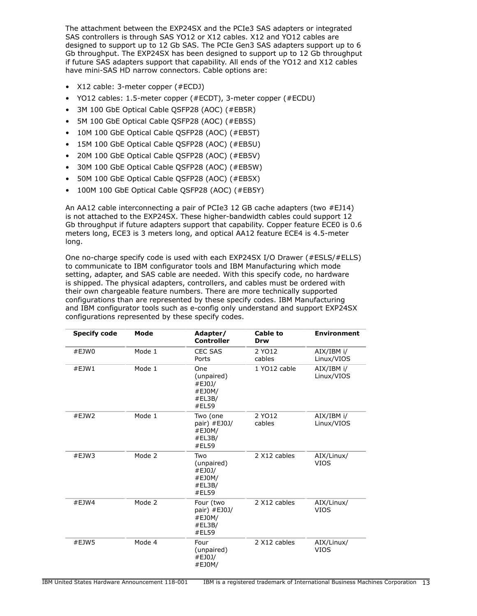The attachment between the EXP24SX and the PCIe3 SAS adapters or integrated SAS controllers is through SAS YO12 or X12 cables. X12 and YO12 cables are designed to support up to 12 Gb SAS. The PCIe Gen3 SAS adapters support up to 6 Gb throughput. The EXP24SX has been designed to support up to 12 Gb throughput if future SAS adapters support that capability. All ends of the YO12 and X12 cables have mini-SAS HD narrow connectors. Cable options are:

- X12 cable: 3-meter copper (#ECDJ)
- YO12 cables: 1.5-meter copper (#ECDT), 3-meter copper (#ECDU)
- 3M 100 GbE Optical Cable QSFP28 (AOC) (#EB5R)
- 5M 100 GbE Optical Cable QSFP28 (AOC) (#EB5S)
- 10M 100 GbE Optical Cable QSFP28 (AOC) (#EB5T)
- 15M 100 GbE Optical Cable QSFP28 (AOC) (#EB5U)
- 20M 100 GbE Optical Cable QSFP28 (AOC) (#EB5V)
- 30M 100 GbE Optical Cable QSFP28 (AOC) (#EB5W)
- 50M 100 GbE Optical Cable QSFP28 (AOC) (#EB5X)
- 100M 100 GbE Optical Cable QSFP28 (AOC) (#EB5Y)

An AA12 cable interconnecting a pair of PCIe3 12 GB cache adapters (two #EJ14) is not attached to the EXP24SX. These higher-bandwidth cables could support 12 Gb throughput if future adapters support that capability. Copper feature ECE0 is 0.6 meters long, ECE3 is 3 meters long, and optical AA12 feature ECE4 is 4.5-meter long.

One no-charge specify code is used with each EXP24SX I/O Drawer (#ESLS/#ELLS) to communicate to IBM configurator tools and IBM Manufacturing which mode setting, adapter, and SAS cable are needed. With this specify code, no hardware is shipped. The physical adapters, controllers, and cables must be ordered with their own chargeable feature numbers. There are more technically supported configurations than are represented by these specify codes. IBM Manufacturing and IBM configurator tools such as e-config only understand and support EXP24SX configurations represented by these specify codes.

| <b>Specify code</b> | Mode   | Adapter/<br><b>Controller</b>                            | <b>Cable to</b><br>Drw | <b>Environment</b>        |
|---------------------|--------|----------------------------------------------------------|------------------------|---------------------------|
| #EJW0               | Mode 1 | <b>CEC SAS</b><br>Ports                                  | 2 YO12<br>cables       | AIX/IBM i/<br>Linux/VIOS  |
| #EJW1               | Mode 1 | One<br>(unpaired)<br>#EJ0J/<br>#EJ0M/<br>#EL3B/<br>#EL59 | 1 YO12 cable           | AIX/IBM i/<br>Linux/VIOS  |
| #EJW2               | Mode 1 | Two (one<br>pair) #EJ0J/<br>#EJ0M/<br>#EL3B/<br>#EL59    | 2 YO12<br>cables       | AIX/IBM i/<br>Linux/VIOS  |
| #EJW3               | Mode 2 | Two<br>(unpaired)<br>#EJ0J/<br>#EJ0M/<br>#EL3B/<br>#EL59 | 2 X12 cables           | AIX/Linux/<br><b>VIOS</b> |
| #EJW4               | Mode 2 | Four (two<br>pair) #EJ0J/<br>#EJ0M/<br>#EL3B/<br>#EL59   | 2 X12 cables           | AIX/Linux/<br><b>VIOS</b> |
| #EJW5               | Mode 4 | Four<br>(unpaired)<br>#EJ0J/<br>#EJ0M/                   | 2 X12 cables           | AIX/Linux/<br><b>VIOS</b> |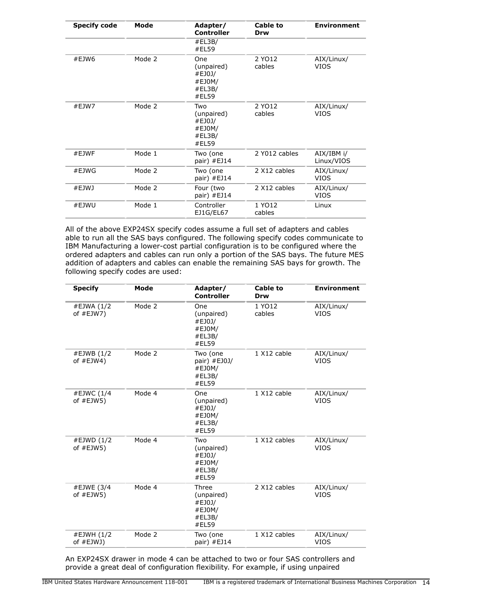| <b>Specify code</b> | Mode   | Adapter/<br><b>Controller</b>                            | Cable to<br>Drw  | <b>Environment</b>        |
|---------------------|--------|----------------------------------------------------------|------------------|---------------------------|
|                     |        | #EL3B/<br>#EL59                                          |                  |                           |
| #EJW6               | Mode 2 | One<br>(unpaired)<br>#EJ0J/<br>#EJ0M/<br>#EL3B/<br>#EL59 | 2 YO12<br>cables | AIX/Linux/<br><b>VIOS</b> |
| #EJW7               | Mode 2 | Two<br>(unpaired)<br>#EJ0J/<br>#EJ0M/<br>#EL3B/<br>#EL59 | 2 YO12<br>cables | AIX/Linux/<br><b>VIOS</b> |
| #EJWF               | Mode 1 | Two (one<br>pair) $#EJ14$                                | 2 Y012 cables    | AIX/IBM i/<br>Linux/VIOS  |
| #EJWG               | Mode 2 | Two (one<br>pair) #EJ14                                  | 2 X12 cables     | AIX/Linux/<br><b>VIOS</b> |
| #EJWJ               | Mode 2 | Four (two<br>pair) #EJ14                                 | 2 X12 cables     | AIX/Linux/<br><b>VIOS</b> |
| #EJWU               | Mode 1 | Controller<br>EJ1G/EL67                                  | 1 YO12<br>cables | Linux                     |

All of the above EXP24SX specify codes assume a full set of adapters and cables able to run all the SAS bays configured. The following specify codes communicate to IBM Manufacturing a lower-cost partial configuration is to be configured where the ordered adapters and cables can run only a portion of the SAS bays. The future MES addition of adapters and cables can enable the remaining SAS bays for growth. The following specify codes are used:

| <b>Specify</b>             | Mode   | Adapter/<br><b>Controller</b>                              | Cable to<br>Drw  | <b>Environment</b>        |
|----------------------------|--------|------------------------------------------------------------|------------------|---------------------------|
| #EJWA (1/2<br>of $#EJW7$ ) | Mode 2 | One<br>(unpaired)<br>#EJ0J/<br>#EJ0M/<br>#EL3B/<br>#ELS9   | 1 YO12<br>cables | AIX/Linux/<br><b>VIOS</b> |
| #EJWB (1/2<br>of $#EJW4)$  | Mode 2 | Two (one<br>pair) #EJ0J/<br>#EJ0M/<br>#EL3B/<br>#EL59      | 1 X12 cable      | AIX/Linux/<br><b>VIOS</b> |
| #EJWC (1/4<br>of $#EJW5)$  | Mode 4 | One<br>(unpaired)<br>#EJ0J/<br>#EJ0M/<br>#EL3B/<br>#EL59   | 1 X12 cable      | AIX/Linux/<br><b>VIOS</b> |
| #EJWD (1/2<br>of $#EJW5)$  | Mode 4 | Two<br>(unpaired)<br>#EJ0J/<br>#EJ0M/<br>#EL3B/<br>#EL59   | 1 X12 cables     | AIX/Linux/<br><b>VIOS</b> |
| #EJWE (3/4<br>of $#EJW5)$  | Mode 4 | Three<br>(unpaired)<br>#EJ0J/<br>#EJ0M/<br>#EL3B/<br>#EL59 | 2 X12 cables     | AIX/Linux/<br><b>VIOS</b> |
| #EJWH (1/2<br>of #EJWJ)    | Mode 2 | Two (one<br>pair) #EJ14                                    | 1 X12 cables     | AIX/Linux/<br><b>VIOS</b> |

An EXP24SX drawer in mode 4 can be attached to two or four SAS controllers and provide a great deal of configuration flexibility. For example, if using unpaired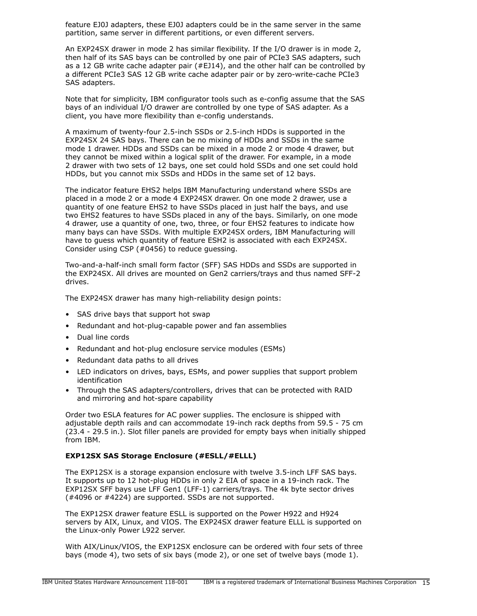feature EJ0J adapters, these EJ0J adapters could be in the same server in the same partition, same server in different partitions, or even different servers.

An EXP24SX drawer in mode 2 has similar flexibility. If the I/O drawer is in mode 2, then half of its SAS bays can be controlled by one pair of PCIe3 SAS adapters, such as a 12 GB write cache adapter pair  $(#EJ14)$ , and the other half can be controlled by a different PCIe3 SAS 12 GB write cache adapter pair or by zero-write-cache PCIe3 SAS adapters.

Note that for simplicity, IBM configurator tools such as e-config assume that the SAS bays of an individual I/O drawer are controlled by one type of SAS adapter. As a client, you have more flexibility than e-config understands.

A maximum of twenty-four 2.5-inch SSDs or 2.5-inch HDDs is supported in the EXP24SX 24 SAS bays. There can be no mixing of HDDs and SSDs in the same mode 1 drawer. HDDs and SSDs can be mixed in a mode 2 or mode 4 drawer, but they cannot be mixed within a logical split of the drawer. For example, in a mode 2 drawer with two sets of 12 bays, one set could hold SSDs and one set could hold HDDs, but you cannot mix SSDs and HDDs in the same set of 12 bays.

The indicator feature EHS2 helps IBM Manufacturing understand where SSDs are placed in a mode 2 or a mode 4 EXP24SX drawer. On one mode 2 drawer, use a quantity of one feature EHS2 to have SSDs placed in just half the bays, and use two EHS2 features to have SSDs placed in any of the bays. Similarly, on one mode 4 drawer, use a quantity of one, two, three, or four EHS2 features to indicate how many bays can have SSDs. With multiple EXP24SX orders, IBM Manufacturing will have to guess which quantity of feature ESH2 is associated with each EXP24SX. Consider using CSP (#0456) to reduce guessing.

Two-and-a-half-inch small form factor (SFF) SAS HDDs and SSDs are supported in the EXP24SX. All drives are mounted on Gen2 carriers/trays and thus named SFF-2 drives.

The EXP24SX drawer has many high-reliability design points:

- SAS drive bays that support hot swap
- Redundant and hot-plug-capable power and fan assemblies
- Dual line cords
- Redundant and hot-plug enclosure service modules (ESMs)
- Redundant data paths to all drives
- LED indicators on drives, bays, ESMs, and power supplies that support problem identification
- Through the SAS adapters/controllers, drives that can be protected with RAID and mirroring and hot-spare capability

Order two ESLA features for AC power supplies. The enclosure is shipped with adjustable depth rails and can accommodate 19-inch rack depths from 59.5 - 75 cm (23.4 - 29.5 in.). Slot filler panels are provided for empty bays when initially shipped from IBM.

#### **EXP12SX SAS Storage Enclosure (#ESLL/#ELLL)**

The EXP12SX is a storage expansion enclosure with twelve 3.5-inch LFF SAS bays. It supports up to 12 hot-plug HDDs in only 2 EIA of space in a 19-inch rack. The EXP12SX SFF bays use LFF Gen1 (LFF-1) carriers/trays. The 4k byte sector drives (#4096 or #4224) are supported. SSDs are not supported.

The EXP12SX drawer feature ESLL is supported on the Power H922 and H924 servers by AIX, Linux, and VIOS. The EXP24SX drawer feature ELLL is supported on the Linux-only Power L922 server.

With AIX/Linux/VIOS, the EXP12SX enclosure can be ordered with four sets of three bays (mode 4), two sets of six bays (mode 2), or one set of twelve bays (mode 1).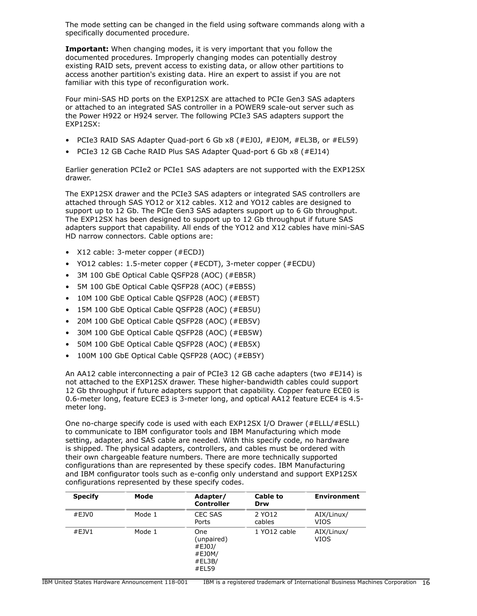The mode setting can be changed in the field using software commands along with a specifically documented procedure.

**Important:** When changing modes, it is very important that you follow the documented procedures. Improperly changing modes can potentially destroy existing RAID sets, prevent access to existing data, or allow other partitions to access another partition's existing data. Hire an expert to assist if you are not familiar with this type of reconfiguration work.

Four mini-SAS HD ports on the EXP12SX are attached to PCIe Gen3 SAS adapters or attached to an integrated SAS controller in a POWER9 scale-out server such as the Power H922 or H924 server. The following PCIe3 SAS adapters support the EXP12SX:

- PCIe3 RAID SAS Adapter Quad-port 6 Gb x8 (#EJ0J, #EJ0M, #EL3B, or #EL59)
- PCIe3 12 GB Cache RAID Plus SAS Adapter Quad-port 6 Gb x8 (#EJ14)

Earlier generation PCIe2 or PCIe1 SAS adapters are not supported with the EXP12SX drawer.

The EXP12SX drawer and the PCIe3 SAS adapters or integrated SAS controllers are attached through SAS YO12 or X12 cables. X12 and YO12 cables are designed to support up to 12 Gb. The PCIe Gen3 SAS adapters support up to 6 Gb throughput. The EXP12SX has been designed to support up to 12 Gb throughput if future SAS adapters support that capability. All ends of the YO12 and X12 cables have mini-SAS HD narrow connectors. Cable options are:

- X12 cable: 3-meter copper (#ECDJ)
- YO12 cables: 1.5-meter copper (#ECDT), 3-meter copper (#ECDU)
- 3M 100 GbE Optical Cable QSFP28 (AOC) (#EB5R)
- 5M 100 GbE Optical Cable QSFP28 (AOC) (#EB5S)
- 10M 100 GbE Optical Cable QSFP28 (AOC) (#EB5T)
- 15M 100 GbE Optical Cable QSFP28 (AOC) (#EB5U)
- 20M 100 GbE Optical Cable QSFP28 (AOC) (#EB5V)
- 30M 100 GbE Optical Cable QSFP28 (AOC) (#EB5W)
- 50M 100 GbE Optical Cable QSFP28 (AOC) (#EB5X)
- 100M 100 GbE Optical Cable QSFP28 (AOC) (#EB5Y)

An AA12 cable interconnecting a pair of PCIe3 12 GB cache adapters (two #EJ14) is not attached to the EXP12SX drawer. These higher-bandwidth cables could support 12 Gb throughput if future adapters support that capability. Copper feature ECE0 is 0.6-meter long, feature ECE3 is 3-meter long, and optical AA12 feature ECE4 is 4.5 meter long.

One no-charge specify code is used with each EXP12SX I/O Drawer (#ELLL/#ESLL) to communicate to IBM configurator tools and IBM Manufacturing which mode setting, adapter, and SAS cable are needed. With this specify code, no hardware is shipped. The physical adapters, controllers, and cables must be ordered with their own chargeable feature numbers. There are more technically supported configurations than are represented by these specify codes. IBM Manufacturing and IBM configurator tools such as e-config only understand and support EXP12SX configurations represented by these specify codes.

| <b>Specify</b> | Mode   | Adapter/<br><b>Controller</b>                                   | <b>Cable to</b><br>Drw | <b>Environment</b> |
|----------------|--------|-----------------------------------------------------------------|------------------------|--------------------|
| #EJVO          | Mode 1 | CEC SAS<br>Ports                                                | 2 YO12<br>cables       | AIX/Linux/<br>VIOS |
| #EJV1          | Mode 1 | <b>One</b><br>(unpaired)<br>#EJ0J/<br>#EJ0M/<br>#EL3B/<br>#EL59 | 1 YO12 cable           | AIX/Linux/<br>VIOS |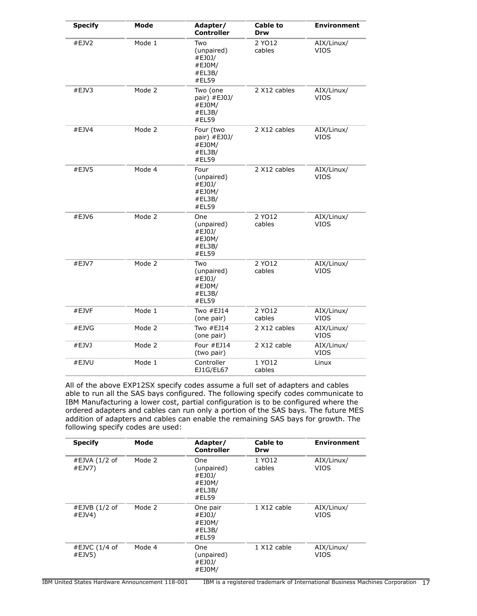| <b>Specify</b> | Mode   | Adapter/<br><b>Controller</b>                             | <b>Cable to</b><br>Drw | <b>Environment</b>        |
|----------------|--------|-----------------------------------------------------------|------------------------|---------------------------|
| #EJV2          | Mode 1 | Two<br>(unpaired)<br>#EJ0J/<br>#EJ0M/<br>#EL3B/<br>#EL59  | 2 YO12<br>cables       | AIX/Linux/<br><b>VIOS</b> |
| #EJV3          | Mode 2 | Two (one<br>pair) #EJ0J/<br>#EJ0M/<br>#EL3B/<br>#EL59     | 2 X12 cables           | AIX/Linux/<br><b>VIOS</b> |
| #EJV4          | Mode 2 | Four (two<br>pair) #EJ0J/<br>#EJ0M/<br>#EL3B/<br>#EL59    | 2 X12 cables           | AIX/Linux/<br>VIOS        |
| #EJV5          | Mode 4 | Four<br>(unpaired)<br>#EJ0J/<br>#EJ0M/<br>#EL3B/<br>#EL59 | 2 X12 cables           | AIX/Linux/<br><b>VIOS</b> |
| #EJV6          | Mode 2 | One<br>(unpaired)<br>#EJ0J/<br>#EJ0M/<br>#EL3B/<br>#EL59  | 2 YO12<br>cables       | AIX/Linux/<br><b>VIOS</b> |
| #EJV7          | Mode 2 | Two<br>(unpaired)<br>#EJ0J/<br>#EJ0M/<br>#EL3B/<br>#EL59  | 2 YO12<br>cables       | AIX/Linux/<br><b>VIOS</b> |
| #EJVF          | Mode 1 | Two $#EJ14$<br>(one pair)                                 | 2 YO12<br>cables       | AIX/Linux/<br>VIOS        |
| #EJVG          | Mode 2 | Two #EJ14<br>(one pair)                                   | 2 X12 cables           | AIX/Linux/<br>VIOS        |
| #EJVJ          | Mode 2 | Four $#E$ 14<br>(two pair)                                | 2 X12 cable            | AIX/Linux/<br><b>VIOS</b> |
| #EJVU          | Mode 1 | Controller<br>EJ1G/EL67                                   | 1 YO12<br>cables       | Linux                     |

All of the above EXP12SX specify codes assume a full set of adapters and cables able to run all the SAS bays configured. The following specify codes communicate to IBM Manufacturing a lower cost, partial configuration is to be configured where the ordered adapters and cables can run only a portion of the SAS bays. The future MES addition of adapters and cables can enable the remaining SAS bays for growth. The following specify codes are used:

| <b>Specify</b>            | Mode   | Adapter/<br><b>Controller</b>                            | <b>Cable to</b><br>Drw | <b>Environment</b>        |
|---------------------------|--------|----------------------------------------------------------|------------------------|---------------------------|
| #EJVA (1/2 of<br>#EJV7)   | Mode 2 | One<br>(unpaired)<br>#EJ0J/<br>#EJ0M/<br>#EL3B/<br>#ELS9 | 1 YO12<br>cables       | AIX/Linux/<br>VIOS        |
| $#EJVB$ (1/2 of<br>#EJV4) | Mode 2 | One pair<br>#EJ0J/<br>#EJ0M/<br>#EL3B/<br>#ELS9          | 1 X12 cable            | AIX/Linux/<br><b>VIOS</b> |
| #EJVC (1/4 of<br>#EJV5)   | Mode 4 | One<br>(unpaired)<br>#EJ0J/<br>#EJ0M/                    | 1 X12 cable            | AIX/Linux/<br>VIOS        |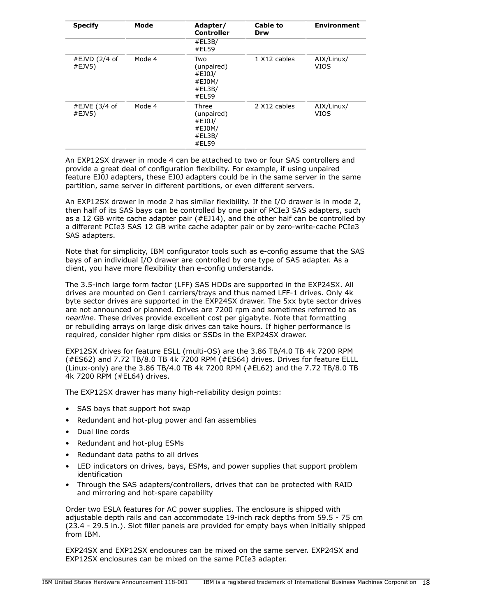| <b>Specify</b>            | Mode   | Adapter/<br><b>Controller</b>                              | <b>Cable to</b><br>Drw | <b>Environment</b>        |
|---------------------------|--------|------------------------------------------------------------|------------------------|---------------------------|
|                           |        | #EL3B/<br>#EL59                                            |                        |                           |
| #EJVD $(2/4$ of<br>#EJV5) | Mode 4 | Two<br>(unpaired)<br>#EJ0J/<br>#EJ0M/<br>#EL3B/<br>#EL59   | 1 X12 cables           | AIX/Linux/<br><b>VIOS</b> |
| #EJVE (3/4 of<br>#EJV5)   | Mode 4 | Three<br>(unpaired)<br>#EJ0J/<br>#EJ0M/<br>#EL3B/<br>#EL59 | 2 X12 cables           | AIX/Linux/<br>VIOS        |

An EXP12SX drawer in mode 4 can be attached to two or four SAS controllers and provide a great deal of configuration flexibility. For example, if using unpaired feature EJ0J adapters, these EJ0J adapters could be in the same server in the same partition, same server in different partitions, or even different servers.

An EXP12SX drawer in mode 2 has similar flexibility. If the I/O drawer is in mode 2, then half of its SAS bays can be controlled by one pair of PCIe3 SAS adapters, such as a 12 GB write cache adapter pair (#EJ14), and the other half can be controlled by a different PCIe3 SAS 12 GB write cache adapter pair or by zero-write-cache PCIe3 SAS adapters.

Note that for simplicity, IBM configurator tools such as e-config assume that the SAS bays of an individual I/O drawer are controlled by one type of SAS adapter. As a client, you have more flexibility than e-config understands.

The 3.5-inch large form factor (LFF) SAS HDDs are supported in the EXP24SX. All drives are mounted on Gen1 carriers/trays and thus named LFF-1 drives. Only 4k byte sector drives are supported in the EXP24SX drawer. The 5xx byte sector drives are not announced or planned. Drives are 7200 rpm and sometimes referred to as *nearline*. These drives provide excellent cost per gigabyte. Note that formatting or rebuilding arrays on large disk drives can take hours. If higher performance is required, consider higher rpm disks or SSDs in the EXP24SX drawer.

EXP12SX drives for feature ESLL (multi-OS) are the 3.86 TB/4.0 TB 4k 7200 RPM (#ES62) and 7.72 TB/8.0 TB 4k 7200 RPM (#ES64) drives. Drives for feature ELLL (Linux-only) are the 3.86 TB/4.0 TB 4k 7200 RPM (#EL62) and the 7.72 TB/8.0 TB 4k 7200 RPM (#EL64) drives.

The EXP12SX drawer has many high-reliability design points:

- SAS bays that support hot swap
- Redundant and hot-plug power and fan assemblies
- Dual line cords
- Redundant and hot-plug ESMs
- Redundant data paths to all drives
- LED indicators on drives, bays, ESMs, and power supplies that support problem identification
- Through the SAS adapters/controllers, drives that can be protected with RAID and mirroring and hot-spare capability

Order two ESLA features for AC power supplies. The enclosure is shipped with adjustable depth rails and can accommodate 19-inch rack depths from 59.5 - 75 cm (23.4 - 29.5 in.). Slot filler panels are provided for empty bays when initially shipped from IBM.

EXP24SX and EXP12SX enclosures can be mixed on the same server. EXP24SX and EXP12SX enclosures can be mixed on the same PCIe3 adapter.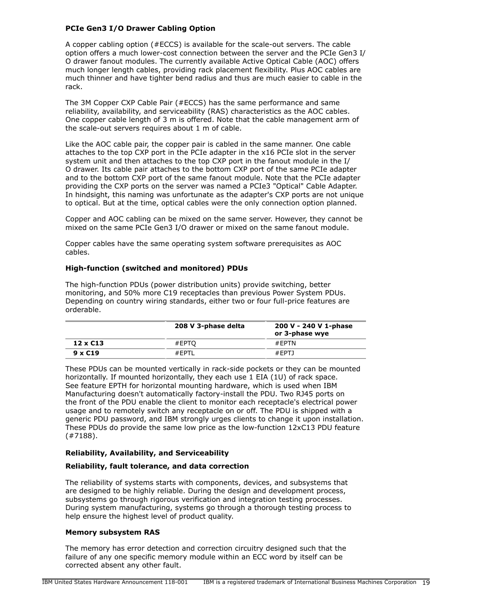## **PCIe Gen3 I/O Drawer Cabling Option**

A copper cabling option (#ECCS) is available for the scale-out servers. The cable option offers a much lower-cost connection between the server and the PCIe Gen3 I/ O drawer fanout modules. The currently available Active Optical Cable (AOC) offers much longer length cables, providing rack placement flexibility. Plus AOC cables are much thinner and have tighter bend radius and thus are much easier to cable in the rack.

The 3M Copper CXP Cable Pair (#ECCS) has the same performance and same reliability, availability, and serviceability (RAS) characteristics as the AOC cables. One copper cable length of 3 m is offered. Note that the cable management arm of the scale-out servers requires about 1 m of cable.

Like the AOC cable pair, the copper pair is cabled in the same manner. One cable attaches to the top CXP port in the PCIe adapter in the x16 PCIe slot in the server system unit and then attaches to the top CXP port in the fanout module in the I/ O drawer. Its cable pair attaches to the bottom CXP port of the same PCIe adapter and to the bottom CXP port of the same fanout module. Note that the PCIe adapter providing the CXP ports on the server was named a PCIe3 "Optical" Cable Adapter. In hindsight, this naming was unfortunate as the adapter's CXP ports are not unique to optical. But at the time, optical cables were the only connection option planned.

Copper and AOC cabling can be mixed on the same server. However, they cannot be mixed on the same PCIe Gen3 I/O drawer or mixed on the same fanout module.

Copper cables have the same operating system software prerequisites as AOC cables.

## **High-function (switched and monitored) PDUs**

The high-function PDUs (power distribution units) provide switching, better monitoring, and 50% more C19 receptacles than previous Power System PDUs. Depending on country wiring standards, either two or four full-price features are orderable.

|                 | 208 V 3-phase delta | 200 V - 240 V 1-phase<br>or 3-phase wye |
|-----------------|---------------------|-----------------------------------------|
| $12 \times C13$ | #EPTO               | $#$ FPTN                                |
| $9 \times C19$  | #FPTI               | #EPTJ                                   |

These PDUs can be mounted vertically in rack-side pockets or they can be mounted horizontally. If mounted horizontally, they each use 1 EIA (1U) of rack space. See feature EPTH for horizontal mounting hardware, which is used when IBM Manufacturing doesn't automatically factory-install the PDU. Two RJ45 ports on the front of the PDU enable the client to monitor each receptacle's electrical power usage and to remotely switch any receptacle on or off. The PDU is shipped with a generic PDU password, and IBM strongly urges clients to change it upon installation. These PDUs do provide the same low price as the low-function 12xC13 PDU feature (#7188).

#### **Reliability, Availability, and Serviceability**

#### **Reliability, fault tolerance, and data correction**

The reliability of systems starts with components, devices, and subsystems that are designed to be highly reliable. During the design and development process, subsystems go through rigorous verification and integration testing processes. During system manufacturing, systems go through a thorough testing process to help ensure the highest level of product quality.

#### **Memory subsystem RAS**

The memory has error detection and correction circuitry designed such that the failure of any one specific memory module within an ECC word by itself can be corrected absent any other fault.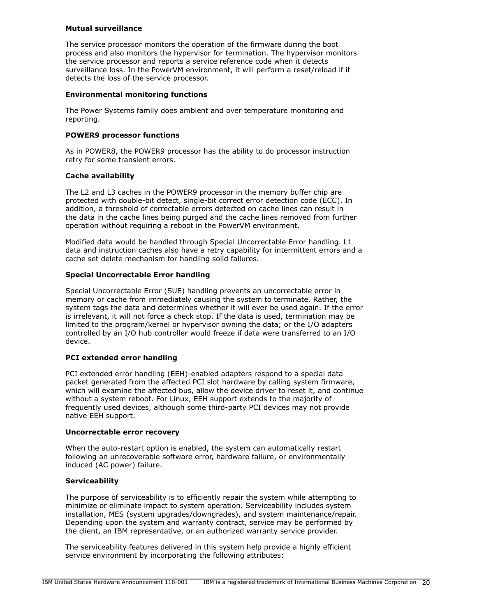## **Mutual surveillance**

The service processor monitors the operation of the firmware during the boot process and also monitors the hypervisor for termination. The hypervisor monitors the service processor and reports a service reference code when it detects surveillance loss. In the PowerVM environment, it will perform a reset/reload if it detects the loss of the service processor.

## **Environmental monitoring functions**

The Power Systems family does ambient and over temperature monitoring and reporting.

## **POWER9 processor functions**

As in POWER8, the POWER9 processor has the ability to do processor instruction retry for some transient errors.

## **Cache availability**

The L2 and L3 caches in the POWER9 processor in the memory buffer chip are protected with double-bit detect, single-bit correct error detection code (ECC). In addition, a threshold of correctable errors detected on cache lines can result in the data in the cache lines being purged and the cache lines removed from further operation without requiring a reboot in the PowerVM environment.

Modified data would be handled through Special Uncorrectable Error handling. L1 data and instruction caches also have a retry capability for intermittent errors and a cache set delete mechanism for handling solid failures.

## **Special Uncorrectable Error handling**

Special Uncorrectable Error (SUE) handling prevents an uncorrectable error in memory or cache from immediately causing the system to terminate. Rather, the system tags the data and determines whether it will ever be used again. If the error is irrelevant, it will not force a check stop. If the data is used, termination may be limited to the program/kernel or hypervisor owning the data; or the I/O adapters controlled by an I/O hub controller would freeze if data were transferred to an I/O device.

## **PCI extended error handling**

PCI extended error handling (EEH)-enabled adapters respond to a special data packet generated from the affected PCI slot hardware by calling system firmware, which will examine the affected bus, allow the device driver to reset it, and continue without a system reboot. For Linux, EEH support extends to the majority of frequently used devices, although some third-party PCI devices may not provide native EEH support.

## **Uncorrectable error recovery**

When the auto-restart option is enabled, the system can automatically restart following an unrecoverable software error, hardware failure, or environmentally induced (AC power) failure.

#### **Serviceability**

The purpose of serviceability is to efficiently repair the system while attempting to minimize or eliminate impact to system operation. Serviceability includes system installation, MES (system upgrades/downgrades), and system maintenance/repair. Depending upon the system and warranty contract, service may be performed by the client, an IBM representative, or an authorized warranty service provider.

The serviceability features delivered in this system help provide a highly efficient service environment by incorporating the following attributes: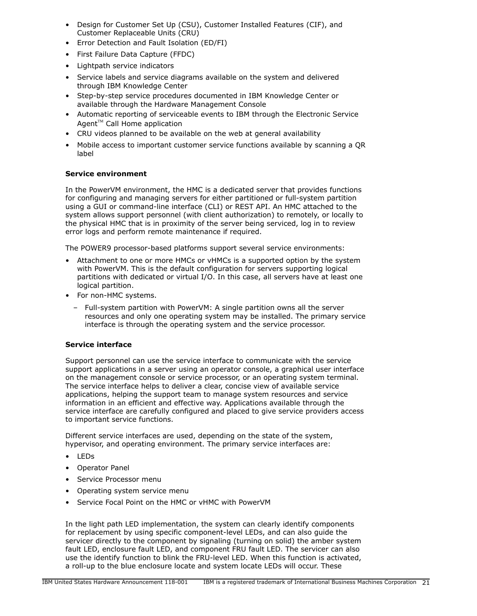- Design for Customer Set Up (CSU), Customer Installed Features (CIF), and Customer Replaceable Units (CRU)
- Error Detection and Fault Isolation (ED/FI)
- First Failure Data Capture (FFDC)
- Lightpath service indicators
- Service labels and service diagrams available on the system and delivered through IBM Knowledge Center
- Step-by-step service procedures documented in IBM Knowledge Center or available through the Hardware Management Console
- Automatic reporting of serviceable events to IBM through the Electronic Service  $Agent^{TM}$  Call Home application
- CRU videos planned to be available on the web at general availability
- Mobile access to important customer service functions available by scanning a QR label

# **Service environment**

In the PowerVM environment, the HMC is a dedicated server that provides functions for configuring and managing servers for either partitioned or full-system partition using a GUI or command-line interface (CLI) or REST API. An HMC attached to the system allows support personnel (with client authorization) to remotely, or locally to the physical HMC that is in proximity of the server being serviced, log in to review error logs and perform remote maintenance if required.

The POWER9 processor-based platforms support several service environments:

- Attachment to one or more HMCs or vHMCs is a supported option by the system with PowerVM. This is the default configuration for servers supporting logical partitions with dedicated or virtual I/O. In this case, all servers have at least one logical partition.
- For non-HMC systems.
	- Full-system partition with PowerVM: A single partition owns all the server resources and only one operating system may be installed. The primary service interface is through the operating system and the service processor.

## **Service interface**

Support personnel can use the service interface to communicate with the service support applications in a server using an operator console, a graphical user interface on the management console or service processor, or an operating system terminal. The service interface helps to deliver a clear, concise view of available service applications, helping the support team to manage system resources and service information in an efficient and effective way. Applications available through the service interface are carefully configured and placed to give service providers access to important service functions.

Different service interfaces are used, depending on the state of the system, hypervisor, and operating environment. The primary service interfaces are:

- LEDs
- Operator Panel
- Service Processor menu
- Operating system service menu
- Service Focal Point on the HMC or vHMC with PowerVM

In the light path LED implementation, the system can clearly identify components for replacement by using specific component-level LEDs, and can also guide the servicer directly to the component by signaling (turning on solid) the amber system fault LED, enclosure fault LED, and component FRU fault LED. The servicer can also use the identify function to blink the FRU-level LED. When this function is activated, a roll-up to the blue enclosure locate and system locate LEDs will occur. These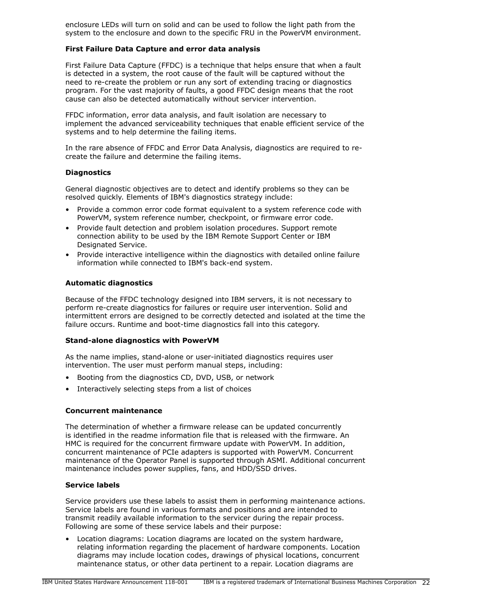enclosure LEDs will turn on solid and can be used to follow the light path from the system to the enclosure and down to the specific FRU in the PowerVM environment.

## **First Failure Data Capture and error data analysis**

First Failure Data Capture (FFDC) is a technique that helps ensure that when a fault is detected in a system, the root cause of the fault will be captured without the need to re-create the problem or run any sort of extending tracing or diagnostics program. For the vast majority of faults, a good FFDC design means that the root cause can also be detected automatically without servicer intervention.

FFDC information, error data analysis, and fault isolation are necessary to implement the advanced serviceability techniques that enable efficient service of the systems and to help determine the failing items.

In the rare absence of FFDC and Error Data Analysis, diagnostics are required to recreate the failure and determine the failing items.

## **Diagnostics**

General diagnostic objectives are to detect and identify problems so they can be resolved quickly. Elements of IBM's diagnostics strategy include:

- Provide a common error code format equivalent to a system reference code with PowerVM, system reference number, checkpoint, or firmware error code.
- Provide fault detection and problem isolation procedures. Support remote connection ability to be used by the IBM Remote Support Center or IBM Designated Service.
- Provide interactive intelligence within the diagnostics with detailed online failure information while connected to IBM's back-end system.

#### **Automatic diagnostics**

Because of the FFDC technology designed into IBM servers, it is not necessary to perform re-create diagnostics for failures or require user intervention. Solid and intermittent errors are designed to be correctly detected and isolated at the time the failure occurs. Runtime and boot-time diagnostics fall into this category.

#### **Stand-alone diagnostics with PowerVM**

As the name implies, stand-alone or user-initiated diagnostics requires user intervention. The user must perform manual steps, including:

- Booting from the diagnostics CD, DVD, USB, or network
- Interactively selecting steps from a list of choices

## **Concurrent maintenance**

The determination of whether a firmware release can be updated concurrently is identified in the readme information file that is released with the firmware. An HMC is required for the concurrent firmware update with PowerVM. In addition, concurrent maintenance of PCIe adapters is supported with PowerVM. Concurrent maintenance of the Operator Panel is supported through ASMI. Additional concurrent maintenance includes power supplies, fans, and HDD/SSD drives.

#### **Service labels**

Service providers use these labels to assist them in performing maintenance actions. Service labels are found in various formats and positions and are intended to transmit readily available information to the servicer during the repair process. Following are some of these service labels and their purpose:

• Location diagrams: Location diagrams are located on the system hardware, relating information regarding the placement of hardware components. Location diagrams may include location codes, drawings of physical locations, concurrent maintenance status, or other data pertinent to a repair. Location diagrams are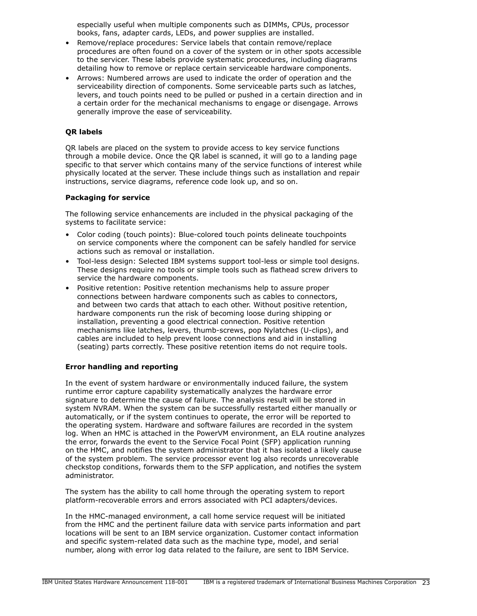especially useful when multiple components such as DIMMs, CPUs, processor books, fans, adapter cards, LEDs, and power supplies are installed.

- Remove/replace procedures: Service labels that contain remove/replace procedures are often found on a cover of the system or in other spots accessible to the servicer. These labels provide systematic procedures, including diagrams detailing how to remove or replace certain serviceable hardware components.
- Arrows: Numbered arrows are used to indicate the order of operation and the serviceability direction of components. Some serviceable parts such as latches, levers, and touch points need to be pulled or pushed in a certain direction and in a certain order for the mechanical mechanisms to engage or disengage. Arrows generally improve the ease of serviceability.

## **QR labels**

QR labels are placed on the system to provide access to key service functions through a mobile device. Once the QR label is scanned, it will go to a landing page specific to that server which contains many of the service functions of interest while physically located at the server. These include things such as installation and repair instructions, service diagrams, reference code look up, and so on.

## **Packaging for service**

The following service enhancements are included in the physical packaging of the systems to facilitate service:

- Color coding (touch points): Blue-colored touch points delineate touchpoints on service components where the component can be safely handled for service actions such as removal or installation.
- Tool-less design: Selected IBM systems support tool-less or simple tool designs. These designs require no tools or simple tools such as flathead screw drivers to service the hardware components.
- Positive retention: Positive retention mechanisms help to assure proper connections between hardware components such as cables to connectors, and between two cards that attach to each other. Without positive retention, hardware components run the risk of becoming loose during shipping or installation, preventing a good electrical connection. Positive retention mechanisms like latches, levers, thumb-screws, pop Nylatches (U-clips), and cables are included to help prevent loose connections and aid in installing (seating) parts correctly. These positive retention items do not require tools.

## **Error handling and reporting**

In the event of system hardware or environmentally induced failure, the system runtime error capture capability systematically analyzes the hardware error signature to determine the cause of failure. The analysis result will be stored in system NVRAM. When the system can be successfully restarted either manually or automatically, or if the system continues to operate, the error will be reported to the operating system. Hardware and software failures are recorded in the system log. When an HMC is attached in the PowerVM environment, an ELA routine analyzes the error, forwards the event to the Service Focal Point (SFP) application running on the HMC, and notifies the system administrator that it has isolated a likely cause of the system problem. The service processor event log also records unrecoverable checkstop conditions, forwards them to the SFP application, and notifies the system administrator.

The system has the ability to call home through the operating system to report platform-recoverable errors and errors associated with PCI adapters/devices.

In the HMC-managed environment, a call home service request will be initiated from the HMC and the pertinent failure data with service parts information and part locations will be sent to an IBM service organization. Customer contact information and specific system-related data such as the machine type, model, and serial number, along with error log data related to the failure, are sent to IBM Service.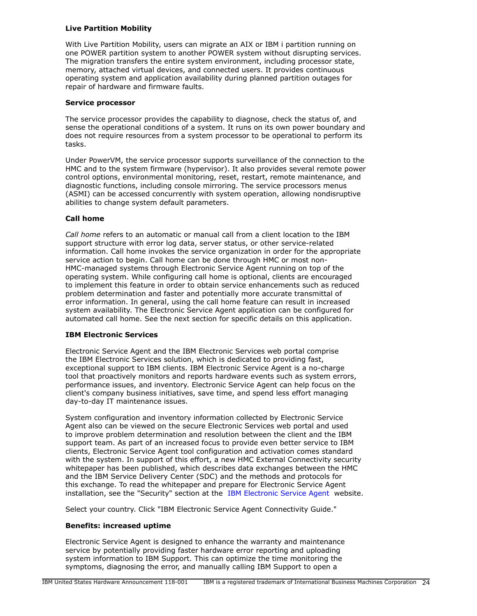## **Live Partition Mobility**

With Live Partition Mobility, users can migrate an AIX or IBM i partition running on one POWER partition system to another POWER system without disrupting services. The migration transfers the entire system environment, including processor state, memory, attached virtual devices, and connected users. It provides continuous operating system and application availability during planned partition outages for repair of hardware and firmware faults.

## **Service processor**

The service processor provides the capability to diagnose, check the status of, and sense the operational conditions of a system. It runs on its own power boundary and does not require resources from a system processor to be operational to perform its tasks.

Under PowerVM, the service processor supports surveillance of the connection to the HMC and to the system firmware (hypervisor). It also provides several remote power control options, environmental monitoring, reset, restart, remote maintenance, and diagnostic functions, including console mirroring. The service processors menus (ASMI) can be accessed concurrently with system operation, allowing nondisruptive abilities to change system default parameters.

## **Call home**

*Call home* refers to an automatic or manual call from a client location to the IBM support structure with error log data, server status, or other service-related information. Call home invokes the service organization in order for the appropriate service action to begin. Call home can be done through HMC or most non-HMC-managed systems through Electronic Service Agent running on top of the operating system. While configuring call home is optional, clients are encouraged to implement this feature in order to obtain service enhancements such as reduced problem determination and faster and potentially more accurate transmittal of error information. In general, using the call home feature can result in increased system availability. The Electronic Service Agent application can be configured for automated call home. See the next section for specific details on this application.

## **IBM Electronic Services**

Electronic Service Agent and the IBM Electronic Services web portal comprise the IBM Electronic Services solution, which is dedicated to providing fast, exceptional support to IBM clients. IBM Electronic Service Agent is a no-charge tool that proactively monitors and reports hardware events such as system errors, performance issues, and inventory. Electronic Service Agent can help focus on the client's company business initiatives, save time, and spend less effort managing day-to-day IT maintenance issues.

System configuration and inventory information collected by Electronic Service Agent also can be viewed on the secure Electronic Services web portal and used to improve problem determination and resolution between the client and the IBM support team. As part of an increased focus to provide even better service to IBM clients, Electronic Service Agent tool configuration and activation comes standard with the system. In support of this effort, a new HMC External Connectivity security whitepaper has been published, which describes data exchanges between the HMC and the IBM Service Delivery Center (SDC) and the methods and protocols for this exchange. To read the whitepaper and prepare for Electronic Service Agent installation, see the "Security" section at the [IBM Electronic Service Agent](http://www.ibm.com/support/esa) website.

Select your country. Click "IBM Electronic Service Agent Connectivity Guide."

#### **Benefits: increased uptime**

Electronic Service Agent is designed to enhance the warranty and maintenance service by potentially providing faster hardware error reporting and uploading system information to IBM Support. This can optimize the time monitoring the symptoms, diagnosing the error, and manually calling IBM Support to open a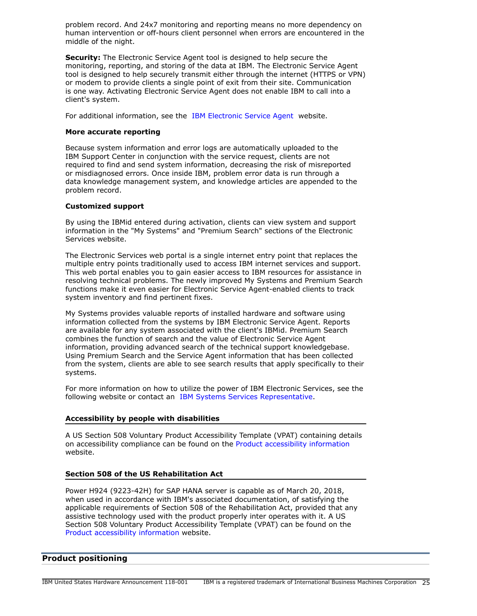problem record. And 24x7 monitoring and reporting means no more dependency on human intervention or off-hours client personnel when errors are encountered in the middle of the night.

**Security:** The Electronic Service Agent tool is designed to help secure the monitoring, reporting, and storing of the data at IBM. The Electronic Service Agent tool is designed to help securely transmit either through the internet (HTTPS or VPN) or modem to provide clients a single point of exit from their site. Communication is one way. Activating Electronic Service Agent does not enable IBM to call into a client's system.

For additional information, see the [IBM Electronic Service Agent](http://www.ibm.com/support/esa) website.

## **More accurate reporting**

Because system information and error logs are automatically uploaded to the IBM Support Center in conjunction with the service request, clients are not required to find and send system information, decreasing the risk of misreported or misdiagnosed errors. Once inside IBM, problem error data is run through a data knowledge management system, and knowledge articles are appended to the problem record.

## **Customized support**

By using the IBMid entered during activation, clients can view system and support information in the "My Systems" and "Premium Search" sections of the Electronic Services website.

The Electronic Services web portal is a single internet entry point that replaces the multiple entry points traditionally used to access IBM internet services and support. This web portal enables you to gain easier access to IBM resources for assistance in resolving technical problems. The newly improved My Systems and Premium Search functions make it even easier for Electronic Service Agent-enabled clients to track system inventory and find pertinent fixes.

My Systems provides valuable reports of installed hardware and software using information collected from the systems by IBM Electronic Service Agent. Reports are available for any system associated with the client's IBMid. Premium Search combines the function of search and the value of Electronic Service Agent information, providing advanced search of the technical support knowledgebase. Using Premium Search and the Service Agent information that has been collected from the system, clients are able to see search results that apply specifically to their systems.

For more information on how to utilize the power of IBM Electronic Services, see the following website or contact an [IBM Systems Services Representative](http://www.ibm.com/support/electronic).

## **Accessibility by people with disabilities**

A US Section 508 Voluntary Product Accessibility Template (VPAT) containing details on accessibility compliance can be found on the [Product accessibility information](http://www.ibm.com/able/product_accessibility/index.html) website.

## **Section 508 of the US Rehabilitation Act**

Power H924 (9223-42H) for SAP HANA server is capable as of March 20, 2018, when used in accordance with IBM's associated documentation, of satisfying the applicable requirements of Section 508 of the Rehabilitation Act, provided that any assistive technology used with the product properly inter operates with it. A US Section 508 Voluntary Product Accessibility Template (VPAT) can be found on the [Product accessibility information](http://www.ibm.com/able/product_accessibility/index.html) website.

## <span id="page-24-0"></span>**Product positioning**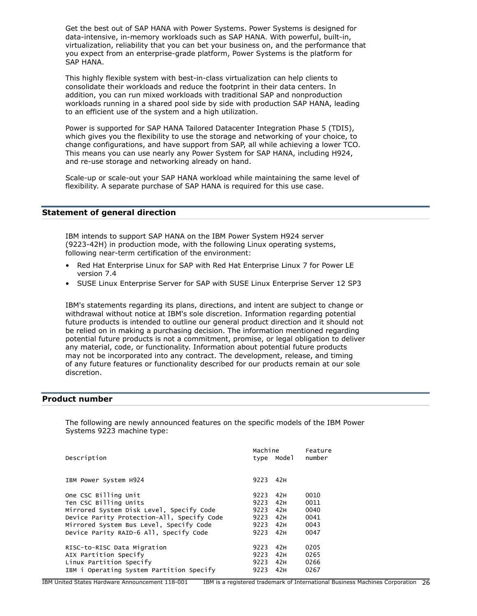Get the best out of SAP HANA with Power Systems. Power Systems is designed for data-intensive, in-memory workloads such as SAP HANA. With powerful, built-in, virtualization, reliability that you can bet your business on, and the performance that you expect from an enterprise-grade platform, Power Systems is the platform for SAP HANA.

This highly flexible system with best-in-class virtualization can help clients to consolidate their workloads and reduce the footprint in their data centers. In addition, you can run mixed workloads with traditional SAP and nonproduction workloads running in a shared pool side by side with production SAP HANA, leading to an efficient use of the system and a high utilization.

Power is supported for SAP HANA Tailored Datacenter Integration Phase 5 (TDI5), which gives you the flexibility to use the storage and networking of your choice, to change configurations, and have support from SAP, all while achieving a lower TCO. This means you can use nearly any Power System for SAP HANA, including H924, and re-use storage and networking already on hand.

Scale-up or scale-out your SAP HANA workload while maintaining the same level of flexibility. A separate purchase of SAP HANA is required for this use case.

## <span id="page-25-1"></span>**Statement of general direction**

IBM intends to support SAP HANA on the IBM Power System H924 server (9223-42H) in production mode, with the following Linux operating systems, following near-term certification of the environment:

- Red Hat Enterprise Linux for SAP with Red Hat Enterprise Linux 7 for Power LE version 7.4
- SUSE Linux Enterprise Server for SAP with SUSE Linux Enterprise Server 12 SP3

IBM's statements regarding its plans, directions, and intent are subject to change or withdrawal without notice at IBM's sole discretion. Information regarding potential future products is intended to outline our general product direction and it should not be relied on in making a purchasing decision. The information mentioned regarding potential future products is not a commitment, promise, or legal obligation to deliver any material, code, or functionality. Information about potential future products may not be incorporated into any contract. The development, release, and timing of any future features or functionality described for our products remain at our sole discretion.

#### <span id="page-25-0"></span>**Product number**

The following are newly announced features on the specific models of the IBM Power Systems 9223 machine type:

|                                            |      | Machine | Feature |  |
|--------------------------------------------|------|---------|---------|--|
| Description                                | type | Model   | number  |  |
|                                            |      |         |         |  |
| IBM Power System H924                      | 9223 | 42H     |         |  |
|                                            |      |         |         |  |
| One CSC Billing Unit                       | 9223 | 42H     | 0010    |  |
| Ten CSC Billing Units                      | 9223 | 42H     | 0011    |  |
| Mirrored System Disk Level, Specify Code   | 9223 | 42H     | 0040    |  |
| Device Parity Protection-All, Specify Code | 9223 | 42H     | 0041    |  |
| Mirrored System Bus Level, Specify Code    | 9223 | 42H     | 0043    |  |
| Device Parity RAID-6 All, Specify Code     | 9223 | 42H     | 0047    |  |
|                                            |      |         |         |  |
| RISC-to-RISC Data Migration                | 9223 | 42H     | 0205    |  |
| AIX Partition Specify                      | 9223 | 42H     | 0265    |  |
| Linux Partition Specify                    | 9223 | 42H     | 0266    |  |
| IBM i Operating System Partition Specify   | 9223 | 42H     | 0267    |  |
|                                            |      |         |         |  |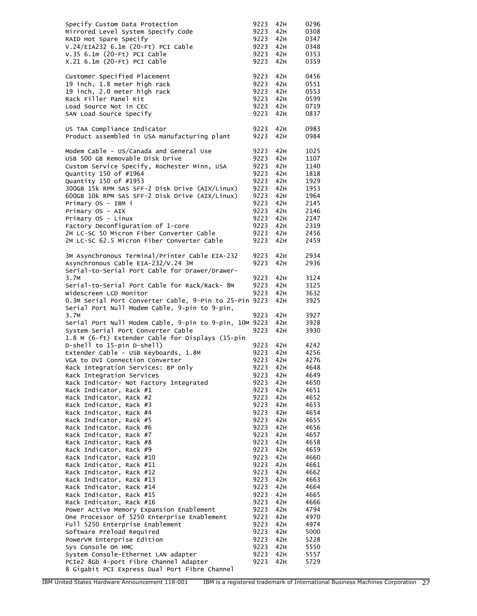| Specify Custom Data Protection<br>Mirrored Level System Specify Code<br>RAID Hot Spare Specify<br>V.24/EIA232 6.1m (20-Ft) PCI Cable<br>V.35 6.1m (20-Ft) PCI Cable<br>X.21 6.1m (20-Ft) PCI Cable | 9223<br>9223<br>9223<br>9223<br>9223<br>9223 | 42H<br>42H<br>42H<br>42H<br>42H<br>42H | 0296<br>0308<br>0347<br>0348<br>0353<br>0359 |
|----------------------------------------------------------------------------------------------------------------------------------------------------------------------------------------------------|----------------------------------------------|----------------------------------------|----------------------------------------------|
| Customer Specified Placement                                                                                                                                                                       | 9223                                         | 42H                                    | 0456                                         |
| 19 inch, 1.8 meter high rack                                                                                                                                                                       | 9223                                         | 42H                                    | 0551                                         |
| 19 inch, 2.0 meter high rack                                                                                                                                                                       | 9223                                         | 42H                                    | 0553                                         |
| Rack Filler Panel Kit                                                                                                                                                                              | 9223                                         | 42H                                    | 0599                                         |
| Load Source Not in CEC                                                                                                                                                                             | 9223                                         | 42H                                    | 0719                                         |
| SAN Load Source Specify                                                                                                                                                                            | 9223                                         | 42H                                    | 0837                                         |
| US TAA Compliance Indicator                                                                                                                                                                        | 9223                                         | 42H                                    | 0983                                         |
| Product assembled in USA manufacturing plant                                                                                                                                                       | 9223                                         | 42H                                    | 0984                                         |
| Modem Cable - US/Canada and General Use                                                                                                                                                            | 9223                                         | 42H                                    | 1025                                         |
| USB 500 GB Removable Disk Drive                                                                                                                                                                    | 9223                                         | 42H                                    | 1107                                         |
| Custom Service Specify, Rochester Minn, USA                                                                                                                                                        | 9223                                         | 42H                                    | 1140                                         |
| Quantity 150 of #1964                                                                                                                                                                              | 9223                                         | 42H                                    | 1818                                         |
| Quantity 150 of #1953                                                                                                                                                                              | 9223                                         | 42H                                    | 1929                                         |
| 300GB 15k RPM SAS SFF-2 Disk Drive (AIX/Linux)                                                                                                                                                     | 9223                                         | 42H                                    | 1953                                         |
| 600GB 10k RPM SAS SFF-2 Disk Drive (AIX/Linux)                                                                                                                                                     | 9223                                         | 42H                                    | 1964                                         |
| Primary OS - IBM i                                                                                                                                                                                 | 9223                                         | 42H                                    | 2145                                         |
| Primary OS - AIX                                                                                                                                                                                   | 9223                                         | 42H                                    | 2146                                         |
| Primary OS - Linux                                                                                                                                                                                 | 9223                                         | 42H                                    | 2147                                         |
| Factory Deconfiguration of 1-core                                                                                                                                                                  | 9223                                         | 42H                                    | 2319                                         |
| 2M LC-SC 50 Micron Fiber Converter Cable                                                                                                                                                           | 9223                                         | 42H                                    | 2456                                         |
| 2M LC-SC 62.5 Micron Fiber Converter Cable                                                                                                                                                         | 9223                                         | 42H                                    | 2459                                         |
| 3M Asynchronous Terminal/Printer Cable EIA-232                                                                                                                                                     | 9223                                         | 42H                                    | 2934                                         |
| Asynchronous Cable EIA-232/V.24 3M<br>Serial-to-Serial Port Cable for Drawer/Drawer-                                                                                                               | 9223                                         | 42H                                    | 2936                                         |
| 3.7M                                                                                                                                                                                               | 9223                                         | 42H                                    | 3124                                         |
| Serial-to-Serial Port Cable for Rack/Rack- 8M                                                                                                                                                      | 9223                                         | 42H                                    | 3125                                         |
| Widescreen LCD Monitor                                                                                                                                                                             | 9223                                         | 42H                                    | 3632                                         |
| 0.3M Serial Port Converter Cable, 9-Pin to 25-Pin 9223<br>Serial Port Null Modem Cable, 9-pin to 9-pin,                                                                                            |                                              | 42H                                    | 3925                                         |
| 3.7M                                                                                                                                                                                               | 9223                                         | 42H                                    | 3927                                         |
| Serial Port Null Modem Cable, 9-pin to 9-pin, 10M 9223                                                                                                                                             |                                              | 42H                                    | 3928                                         |
| System Serial Port Converter Cable<br>1.8 M (6-ft) Extender Cable for Displays (15-pin                                                                                                             | 9223                                         | 42H                                    | 3930                                         |
| D-shell to 15-pin D-shell)                                                                                                                                                                         | 9223                                         | 42H                                    | 4242                                         |
| Extender Cable - USB Keyboards, 1.8M                                                                                                                                                               | 9223                                         | 42H                                    | 4256                                         |
| VGA to DVI Connection Converter                                                                                                                                                                    | 9223                                         | 42H                                    | 4276                                         |
| Rack Integration Services: BP only                                                                                                                                                                 | 9223 42H                                     |                                        | 4648                                         |
| Rack Integration Services                                                                                                                                                                          | 9223                                         | 42H                                    | 4649                                         |
| Rack Indicator- Not Factory Integrated                                                                                                                                                             | 9223                                         | 42H                                    | 4650                                         |
| Rack Indicator, Rack #1                                                                                                                                                                            | 9223                                         | 42H                                    | 4651                                         |
| Rack Indicator, Rack #2                                                                                                                                                                            | 9223                                         | 42H                                    | 4652                                         |
| Rack Indicator, Rack #3                                                                                                                                                                            | 9223                                         | 42H                                    | 4653                                         |
| Rack Indicator, Rack #4                                                                                                                                                                            | 9223                                         | 42H                                    | 4654                                         |
| Rack Indicator, Rack #5                                                                                                                                                                            | 9223                                         | 42H                                    | 4655                                         |
| Rack Indicator, Rack #6                                                                                                                                                                            | 9223                                         | 42H                                    | 4656                                         |
| Rack Indicator, Rack #7                                                                                                                                                                            | 9223                                         | 42H                                    | 4657                                         |
| Rack Indicator, Rack #8                                                                                                                                                                            | 9223                                         | 42H                                    | 4658                                         |
| Rack Indicator, Rack #9                                                                                                                                                                            | 9223                                         | 42H                                    | 4659                                         |
| Rack Indicator, Rack #10<br>Rack Indicator, Rack #11                                                                                                                                               | 9223<br>9223                                 | 42H<br>42H                             | 4660<br>4661                                 |
| Rack Indicator, Rack #12                                                                                                                                                                           | 9223                                         | 42H                                    | 4662                                         |
| Rack Indicator, Rack #13                                                                                                                                                                           | 9223                                         | 42H                                    | 4663                                         |
| Rack Indicator, Rack #14                                                                                                                                                                           | 9223                                         | 42H                                    | 4664                                         |
| Rack Indicator, Rack #15                                                                                                                                                                           | 9223                                         | 42H                                    | 4665                                         |
| Rack Indicator, Rack #16                                                                                                                                                                           | 9223                                         | 42H                                    | 4666                                         |
| Power Active Memory Expansion Enablement                                                                                                                                                           | 9223                                         | 42H                                    | 4794                                         |
| One Processor of 5250 Enterprise Enablement                                                                                                                                                        | 9223                                         | 42H                                    | 4970                                         |
| Full 5250 Enterprise Enablement                                                                                                                                                                    | 9223                                         | 42H                                    | 4974                                         |
| Software Preload Required                                                                                                                                                                          | 9223                                         | 42H                                    | 5000                                         |
| PowerVM Enterprise Edition                                                                                                                                                                         | 9223                                         | 42H                                    | 5228                                         |
| Sys Console On HMC                                                                                                                                                                                 | 9223                                         | 42H                                    | 5550                                         |
| System Console-Ethernet LAN adapter                                                                                                                                                                | 9223                                         | 42H                                    | 5557                                         |
| PCIe2 8Gb 4-port Fibre Channel Adapter                                                                                                                                                             | 9223                                         | 42H                                    | 5729                                         |
| 8 Gigabit PCI Express Dual Port Fibre Channel                                                                                                                                                      |                                              |                                        |                                              |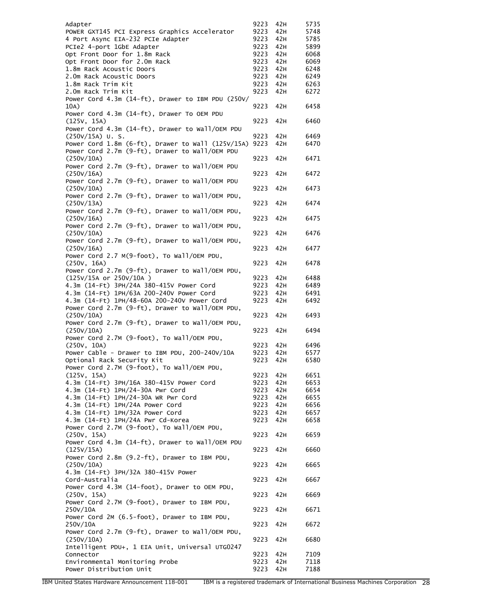| Adapter                                                       | 9223         | 42H        | 5735         |
|---------------------------------------------------------------|--------------|------------|--------------|
| POWER GXT145 PCI Express Graphics Accelerator                 | 9223         | 42H        | 5748         |
| 4 Port Async EIA-232 PCIe Adapter                             | 9223         | 42H        | 5785         |
| PCIe2 4-port 1GbE Adapter                                     | 9223         | 42H        | 5899         |
| Opt Front Door for 1.8m Rack                                  | 9223         | 42H        | 6068         |
| Opt Front Door for 2.0m Rack                                  | 9223         | 42H        | 6069         |
| 1.8m Rack Acoustic Doors                                      | 9223         | 42H        | 6248         |
| 2.0m Rack Acoustic Doors                                      | 9223         | 42H<br>42H | 6249         |
| 1.8m Rack Trim Kit<br>2.0m Rack Trim Kit                      | 9223<br>9223 | 42H        | 6263<br>6272 |
| Power Cord 4.3m (14-ft), Drawer to IBM PDU (250V/             |              |            |              |
| 10A)                                                          | 9223         | 42H        | 6458         |
| Power Cord 4.3m (14-ft), Drawer To OEM PDU                    |              |            |              |
| (125V, 15A)                                                   | 9223         | 42H        | 6460         |
| Power Cord 4.3m (14-ft), Drawer to Wall/OEM PDU               |              |            |              |
| $(250V/15A)$ U.S.                                             | 9223         | 42H        | 6469         |
| Power Cord 1.8m (6-ft), Drawer to Wall (125V/15A)             | 9223         | 42H        | 6470         |
| Power Cord 2.7m (9-ft), Drawer to Wall/OEM PDU                |              |            |              |
| (250V/10A)                                                    | 9223         | 42H        | 6471         |
| Power Cord 2.7m (9-ft), Drawer to Wall/OEM PDU                |              |            |              |
| (250V/16A)                                                    | 9223         | 42H        | 6472         |
| Power Cord 2.7m (9-ft), Drawer to Wall/OEM PDU                |              |            |              |
| (250V/10A)                                                    | 9223         | 42H        | 6473         |
| Power Cord 2.7m (9-ft), Drawer to Wall/OEM PDU,               |              |            |              |
| (250V/13A)                                                    | 9223         | 42H        | 6474         |
| Power Cord 2.7m (9-ft), Drawer to Wall/OEM PDU,               |              |            |              |
| (250V/16A)                                                    | 9223         | 42H        | 6475         |
| Power Cord 2.7m (9-ft), Drawer to Wall/OEM PDU,               |              |            |              |
| (250V/10A)<br>Power Cord 2.7m (9-ft), Drawer to Wall/OEM PDU, | 9223         | 42H        | 6476         |
| (250V/16A)                                                    | 9223         | 42H        | 6477         |
| Power Cord 2.7 M(9-foot), To Wall/OEM PDU,                    |              |            |              |
| (250V, 16A)                                                   | 9223         | 42H        | 6478         |
| Power Cord 2.7m (9-ft), Drawer to Wall/OEM PDU,               |              |            |              |
| (125V/15A or 250V/10A)                                        | 9223         | 42H        | 6488         |
| 4.3m (14-Ft) 3PH/24A 380-415V Power Cord                      | 9223         | 42H        | 6489         |
| 4.3m (14-Ft) 1PH/63A 200-240V Power Cord                      | 9223         | 42H        | 6491         |
| 4.3m (14-Ft) 1PH/48-60A 200-240V Power Cord                   | 9223         | 42H        | 6492         |
| Power Cord 2.7m (9-ft), Drawer to Wall/OEM PDU,               |              |            |              |
| (250V/10A)                                                    | 9223         | 42H        | 6493         |
| Power Cord 2.7m (9-ft), Drawer to Wall/OEM PDU,               |              |            |              |
| (250V/10A)                                                    | 9223         | 42H        | 6494         |
| Power Cord 2.7M (9-foot), To Wall/OEM PDU,                    |              |            |              |
| (250V, 10A)                                                   | 9223         | 42H        | 6496         |
| Power Cable - Drawer to IBM PDU, 200-240V/10A                 | 9223         | 42H        | 6577         |
| Optional Rack Security Kit                                    | 9223         | 42H        | 6580         |
| Power Cord 2.7M (9-foot), To Wall/OEM PDU,                    |              |            |              |
| (125V, 15A)<br>4.3m (14-Ft) 3PH/16A 380-415V Power Cord       | 9223<br>9223 | 42H<br>42H | 6651<br>6653 |
| 4.3m (14-Ft) 1PH/24-30A Pwr Cord                              | 9223         | 42H        | 6654         |
| 4.3m (14-Ft) 1PH/24-30A WR Pwr Cord                           | 9223         | 42H        | 6655         |
| 4.3m (14-Ft) 1PH/24A Power Cord                               | 9223         | 42H        | 6656         |
| 4.3m (14-Ft) 1PH/32A Power Cord                               | 9223         | 42H        | 6657         |
| 4.3m (14-Ft) 1PH/24A Pwr Cd-Korea                             | 9223         | 42H        | 6658         |
| Power Cord 2.7M (9-foot), To Wall/OEM PDU,                    |              |            |              |
| (250V, 15A)                                                   | 9223         | 42H        | 6659         |
| Power Cord 4.3m (14-ft), Drawer to Wall/OEM PDU               |              |            |              |
| (125V/15A)                                                    | 9223         | 42H        | 6660         |
| Power Cord 2.8m (9.2-ft), Drawer to IBM PDU,                  |              |            |              |
| (250V/10A)                                                    | 9223         | 42H        | 6665         |
| 4.3m (14-Ft) 3PH/32A 380-415V Power                           |              |            |              |
| Cord-Australia                                                | 9223         | 42H        | 6667         |
| Power Cord 4.3M (14-foot), Drawer to OEM PDU,                 |              |            |              |
| (250V, 15A)                                                   | 9223         | 42H        | 6669         |
| Power Cord 2.7M (9-foot), Drawer to IBM PDU,                  |              |            |              |
| 250V/10A                                                      | 9223         | 42H        | 6671         |
| Power Cord 2M (6.5-foot), Drawer to IBM PDU,                  |              |            |              |
| 250V/10A                                                      | 9223         | 42H        | 6672         |
| Power Cord 2.7m (9-ft), Drawer to Wall/OEM PDU,<br>(250V/10A) | 9223         | 42H        | 6680         |
| Intelligent PDU+, 1 EIA Unit, Universal UTG0247               |              |            |              |
| Connector                                                     | 9223         | 42H        | 7109         |
| Environmental Monitoring Probe                                | 9223         | 42H        | 7118         |
| Power Distribution Unit                                       | 9223         | 42H        | 7188         |
|                                                               |              |            |              |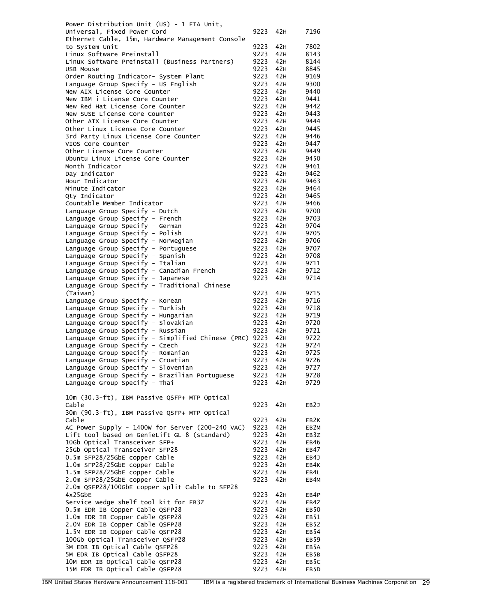| Power Distribution Unit (US) - 1 EIA Unit,             |      |          |                   |
|--------------------------------------------------------|------|----------|-------------------|
| Universal, Fixed Power Cord                            | 9223 | 42H      | 7196              |
| Ethernet Cable, 15m, Hardware Management Console       |      |          |                   |
| to System Unit                                         | 9223 | 42H      | 7802              |
| Linux Software Preinstall                              | 9223 | 42H      | 8143              |
| Linux Software Preinstall (Business Partners)          | 9223 | 42H      | 8144              |
| USB Mouse                                              | 9223 | 42H      | 8845              |
|                                                        | 9223 | 42H      |                   |
| Order Routing Indicator- System Plant                  |      |          | 9169              |
| Language Group Specify - US English                    | 9223 | 42H      | 9300              |
| New AIX License Core Counter                           | 9223 | 42H      | 9440              |
| New IBM i License Core Counter                         | 9223 | 42H      | 9441              |
| New Red Hat License Core Counter                       | 9223 | 42H      | 9442              |
| New SUSE License Core Counter                          | 9223 | 42H      | 9443              |
| Other AIX License Core Counter                         | 9223 | 42H      | 9444              |
| Other Linux License Core Counter                       | 9223 | 42H      | 9445              |
| 3rd Party Linux License Core Counter                   | 9223 | 42H      | 9446              |
| VIOS Core Counter                                      | 9223 | 42H      | 9447              |
| Other License Core Counter                             | 9223 | 42H      | 9449              |
| Ubuntu Linux License Core Counter                      | 9223 | 42H      | 9450              |
| Month Indicator                                        | 9223 | 42H      | 9461              |
| Day Indicator                                          | 9223 | 42H      | 9462              |
| Hour Indicator                                         | 9223 | 42H      | 9463              |
| Minute Indicator                                       | 9223 | 42H      | 9464              |
| Qty Indicator                                          | 9223 | 42H      | 9465              |
| Countable Member Indicator                             | 9223 | 42H      | 9466              |
|                                                        | 9223 | 42H      | 9700              |
| Language Group Specify - Dutch                         |      |          |                   |
| Language Group Specify - French                        | 9223 | 42H      | 9703              |
| Language Group Specify - German                        | 9223 | 42H      | 9704              |
| Language Group Specify - Polish                        | 9223 | 42H      | 9705              |
| Language Group Specify - Norwegian                     | 9223 | 42H      | 9706              |
| Language Group Specify - Portuguese                    | 9223 | 42H      | 9707              |
| Language Group Specify - Spanish                       | 9223 | 42H      | 9708              |
| Language Group Specify - Italian                       | 9223 | 42H      | 9711              |
| Language Group Specify - Canadian French               | 9223 | 42H      | 9712              |
| Language Group Specify - Japanese                      | 9223 | 42H      | 9714              |
| Language Group Specify - Traditional Chinese           |      |          |                   |
| (Taiwan)                                               | 9223 | 42H      | 9715              |
| Language Group Specify - Korean                        | 9223 | 42H      | 9716              |
| Language Group Specify - Turkish                       | 9223 | 42H      | 9718              |
| Language Group Specify - Hungarian                     | 9223 | 42H      | 9719              |
| Language Group Specify - Slovakian                     | 9223 | 42H      | 9720              |
| Language Group Specify - Russian                       | 9223 | 42H      | 9721              |
| Language Group Specify - Simplified Chinese (PRC) 9223 |      | 42H      | 9722              |
| Language Group Specify - Czech                         | 9223 | 42H      | 9724              |
| Language Group Specify - Romanian                      | 9223 | 42H      | 9725              |
|                                                        |      |          |                   |
| Language Group Specify - Croatian                      | 9223 | 42H      | 9726              |
| Language Group Specify - Slovenian                     |      | 9223 42H | 9727              |
| Language Group Specify - Brazilian Portuguese          | 9223 | 42H      | 9728              |
| Language Group Specify - Thai                          | 9223 | 42H      | 9729              |
|                                                        |      |          |                   |
| 10m (30.3-ft), IBM Passive QSFP+ MTP Optical           |      |          |                   |
| Cable                                                  | 9223 | 42H      | EB <sub>2</sub> J |
| 30m (90.3-ft), IBM Passive QSFP+ MTP Optical           |      |          |                   |
| Cable                                                  | 9223 | 42H      | EB <sub>2</sub> K |
| AC Power Supply - 1400w for Server (200-240 VAC)       | 9223 | 42H      | EB2M              |
| Lift tool based on GenieLift GL-8 (standard)           | 9223 | 42H      | EB3Z              |
| 10Gb Optical Transceiver SFP+                          | 9223 | 42H      | EB46              |
| 25Gb Optical Transceiver SFP28                         | 9223 | 42H      | EB47              |
| 0.5m SFP28/25GbE copper Cable                          | 9223 | 42H      | EB4J              |
| 1.0m SFP28/25GbE copper Cable                          | 9223 | 42H      | EB4K              |
| 1.5m SFP28/25GbE copper Cable                          | 9223 | 42H      | EB4L              |
| 2.0m SFP28/25GbE copper Cable                          | 9223 | 42H      | EB4M              |
|                                                        |      |          |                   |
| 2.0m QSFP28/100GbE copper split Cable to SFP28         |      |          |                   |
| $4x25$ GbE                                             | 9223 | 42H      | EB4P              |
| Service wedge shelf tool kit for EB3Z                  | 9223 | 42H      | EB4Z              |
| 0.5m EDR IB Copper Cable QSFP28                        | 9223 | 42H      | EB <sub>50</sub>  |
| 1.0m EDR IB Copper Cable QSFP28                        | 9223 | 42H      | EB51              |
| 2.0M EDR IB Copper Cable QSFP28                        | 9223 | 42H      | EB <sub>52</sub>  |
| 1.5M EDR IB Copper Cable QSFP28                        | 9223 | 42H      | EB54              |
| 100Gb Optical Transceiver QSFP28                       | 9223 | 42H      | EB59              |
| 3M EDR IB Optical Cable QSFP28                         | 9223 | 42H      | EB5A              |
| 5M EDR IB Optical Cable QSFP28                         | 9223 | 42H      | EB5B              |
| 10M EDR IB Optical Cable QSFP28                        | 9223 | 42H      | EB5C              |
| 15M EDR IB Optical Cable QSFP28                        | 9223 | 42H      | EB5D              |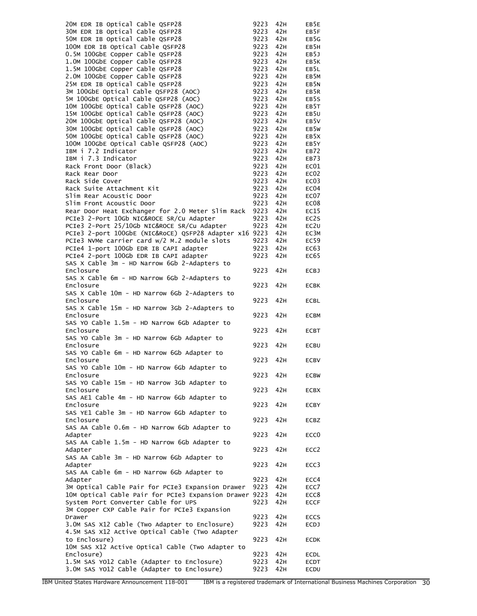| 20M EDR IB Optical Cable QSFP28                        | 9223 | 42H | EB5E              |
|--------------------------------------------------------|------|-----|-------------------|
| 30M EDR IB Optical Cable QSFP28                        | 9223 | 42H | EB5F              |
| 50M EDR IB Optical Cable QSFP28                        | 9223 | 42H | EB5G              |
| 100M EDR IB Optical Cable QSFP28                       | 9223 | 42H | EB5H              |
| 0.5M 100GbE Copper Cable QSFP28                        | 9223 | 42H | EB5J              |
| 1.0M 100GbE Copper Cable QSFP28                        | 9223 | 42H | EB5K              |
| 1.5M 100GbE Copper Cable QSFP28                        | 9223 | 42H | EB5L              |
| 2.0M 100GbE Copper Cable QSFP28                        | 9223 | 42H | EB5M              |
| 25M EDR IB Optical Cable QSFP28                        | 9223 | 42H | EB5N              |
| 3M 100GbE Optical Cable QSFP28 (AOC)                   | 9223 | 42H | EB5R              |
| 5M 100GbE Optical Cable QSFP28 (AOC)                   | 9223 | 42H | EB5S              |
| 10M 100GbE Optical Cable QSFP28 (AOC)                  | 9223 | 42H | EB5T              |
| 15M 100GbE Optical Cable QSFP28 (AOC)                  | 9223 | 42H | EB5U              |
| 20M 100GbE Optical Cable QSFP28 (AOC)                  | 9223 | 42H | EB5V              |
| 30M 100GbE Optical Cable QSFP28 (AOC)                  | 9223 | 42H | EB5W              |
| 50M 100GbE Optical Cable QSFP28 (AOC)                  | 9223 | 42H | EB <sub>5</sub> X |
| 100M 100GbE Optical Cable QSFP28 (AOC)                 | 9223 | 42H | EB5Y              |
| IBM i 7.2 Indicator                                    | 9223 | 42H | EB72              |
| IBM i 7.3 Indicator                                    | 9223 | 42H | EB73              |
| Rack Front Door (Black)                                | 9223 | 42H | EC01              |
| Rack Rear Door                                         | 9223 | 42H | EC <sub>02</sub>  |
| Rack Side Cover                                        | 9223 | 42H | EC <sub>03</sub>  |
| Rack Suite Attachment Kit                              | 9223 | 42H | EC <sub>04</sub>  |
| Slim Rear Acoustic Door                                | 9223 | 42H | EC07              |
| Slim Front Acoustic Door                               | 9223 | 42H | EC <sub>08</sub>  |
| Rear Door Heat Exchanger for 2.0 Meter Slim Rack       | 9223 | 42H | EC15              |
| PCIe3 2-Port 10Gb NIC&ROCE SR/Cu Adapter               | 9223 | 42H | EC2S              |
| PCIe3 2-Port 25/10Gb NIC&ROCE SR/Cu Adapter            | 9223 | 42H | EC2U              |
| PCIe3 2-port 100GbE (NIC&RoCE) QSFP28 Adapter x16 9223 |      | 42H | EC3M              |
| PCIe3 NVMe carrier card w/2 M.2 module slots           | 9223 | 42H | EC59              |
| PCIe4 1-port 100Gb EDR IB CAPI adapter                 | 9223 | 42H | EC63              |
| PCIe4 2-port 100Gb EDR IB CAPI adapter                 | 9223 | 42H | EC65              |
| SAS X Cable 3m - HD Narrow 6Gb 2-Adapters to           |      |     |                   |
| Enclosure                                              | 9223 | 42H | <b>ECBJ</b>       |
| SAS X Cable 6m - HD Narrow 6Gb 2-Adapters to           |      |     |                   |
| Enclosure                                              | 9223 | 42H | <b>ECBK</b>       |
| SAS X Cable 10m - HD Narrow 6Gb 2-Adapters to          |      |     |                   |
| Enclosure                                              | 9223 | 42H | ECBL              |
| SAS X Cable 15m - HD Narrow 3Gb 2-Adapters to          |      |     |                   |
| Enclosure                                              | 9223 | 42H | <b>ECBM</b>       |
| SAS YO Cable 1.5m - HD Narrow 6Gb Adapter to           |      |     |                   |
| Enclosure                                              | 9223 | 42H | <b>ECBT</b>       |
| SAS YO Cable 3m - HD Narrow 6Gb Adapter to             |      |     |                   |
| Enclosure                                              | 9223 | 42H | ECBU              |
| SAS YO Cable 6m - HD Narrow 6Gb Adapter to             |      |     |                   |
| Enclosure                                              | 9223 | 42H | <b>ECBV</b>       |
| SAS YO Cable 10m - HD Narrow 6Gb Adapter to            |      |     |                   |
| Enclosure                                              | 9223 | 42H | <b>ECBW</b>       |
| SAS YO Cable 15m - HD Narrow 3Gb Adapter to            |      |     |                   |
| Enclosure                                              | 9223 | 42H | <b>ECBX</b>       |
| SAS AE1 Cable 4m - HD Narrow 6Gb Adapter to            |      |     |                   |
| Enclosure                                              | 9223 | 42H | <b>ECBY</b>       |
| SAS YE1 Cable 3m - HD Narrow 6Gb Adapter to            |      |     |                   |
| Enclosure                                              | 9223 | 42H | <b>ECBZ</b>       |
| SAS AA Cable 0.6m - HD Narrow 6Gb Adapter to           |      |     |                   |
| Adapter                                                | 9223 | 42H | ECC <sub>0</sub>  |
| SAS AA Cable 1.5m - HD Narrow 6Gb Adapter to           |      |     |                   |
| Adapter                                                | 9223 | 42H | ECC <sub>2</sub>  |
| SAS AA Cable 3m - HD Narrow 6Gb Adapter to             |      |     |                   |
| Adapter                                                | 9223 | 42H | ECC <sub>3</sub>  |
| SAS AA Cable 6m - HD Narrow 6Gb Adapter to             |      |     |                   |
| Adapter                                                | 9223 | 42H | ECC4              |
| 3M Optical Cable Pair for PCIe3 Expansion Drawer       | 9223 | 42H | ECC7              |
| 10M Optical Cable Pair for PCIe3 Expansion Drawer 9223 |      | 42H | ECC8              |
| System Port Converter Cable for UPS                    | 9223 | 42H | <b>ECCF</b>       |
| 3M Copper CXP Cable Pair for PCIe3 Expansion           |      |     |                   |
| Drawer                                                 | 9223 | 42H | <b>ECCS</b>       |
| 3.0M SAS X12 Cable (Two Adapter to Enclosure)          | 9223 | 42H | ECDJ              |
| 4.5M SAS X12 Active Optical Cable (Two Adapter         |      |     |                   |
| to Enclosure)                                          | 9223 | 42H | <b>ECDK</b>       |
| 10M SAS X12 Active Optical Cable (Two Adapter to       |      |     |                   |
| Enclosure)                                             | 9223 | 42H | ECDL              |
| 1.5M SAS YO12 Cable (Adapter to Enclosure)             | 9223 | 42H | ECDT              |
| 3.0M SAS YO12 Cable (Adapter to Enclosure)             | 9223 | 42H | ECDU              |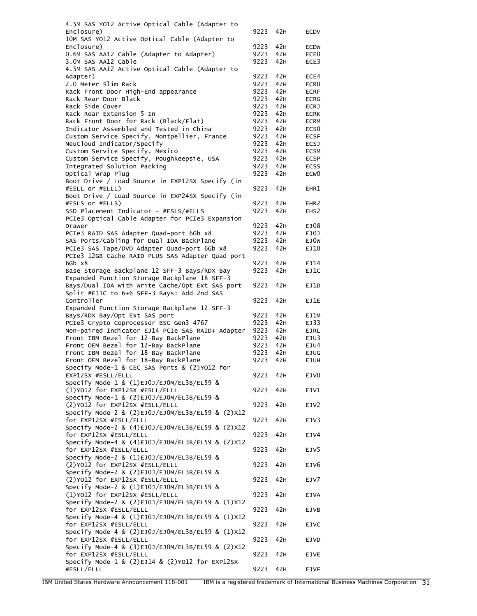| 4.5M SAS YO12 Active Optical Cable (Adapter to                               |              |            |                            |
|------------------------------------------------------------------------------|--------------|------------|----------------------------|
| Enclosure)                                                                   | 9223         | 42H        | ECDV                       |
| 10M SAS YO12 Active Optical Cable (Adapter to                                |              |            |                            |
| Enclosure)                                                                   | 9223         | 42H        | <b>ECDW</b>                |
| 0.6M SAS AA12 Cable (Adapter to Adapter)                                     | 9223         | 42H        | ECE <sub>0</sub>           |
| 3.0M SAS AA12 Cable                                                          | 9223         | 42H        | ECE3                       |
| 4.5M SAS AA12 Active Optical Cable (Adapter to                               |              |            |                            |
| Adapter)                                                                     | 9223         | 42H        | ECE4                       |
| 2.0 Meter Slim Rack<br>Rack Front Door High-End appearance                   | 9223<br>9223 | 42H<br>42H | ECR <sub>0</sub>           |
| Rack Rear Door Black                                                         | 9223         | 42H        | <b>ECRF</b>                |
| Rack Side Cover                                                              | 9223         | 42H        | <b>ECRG</b><br><b>ECRJ</b> |
| Rack Rear Extension 5-In                                                     | 9223         | 42H        | <b>ECRK</b>                |
| Rack Front Door for Rack (Black/Flat)                                        | 9223         | 42H        | <b>ECRM</b>                |
| Indicator Assembled and Tested in China                                      | 9223         | 42H        | ECS <sub>0</sub>           |
| Custom Service Specify, Montpellier, France                                  | 9223         | 42H        | <b>ECSF</b>                |
| NeuCloud Indicator/Specify                                                   | 9223         | 42H        | <b>ECSJ</b>                |
| Custom Service Specify, Mexico                                               | 9223         | 42H        | <b>ECSM</b>                |
| Custom Service Specify, Poughkeepsie, USA                                    | 9223         | 42H        | <b>ECSP</b>                |
| Integrated Solution Packing                                                  | 9223         | 42H        | <b>ECSS</b>                |
| Optical Wrap Plug                                                            | 9223         | 42H        | ECW <sub>0</sub>           |
| Boot Drive / Load Source in EXP12SX Specify (in                              |              |            |                            |
| #ESLL or #ELLL)                                                              | 9223         | 42H        | EHR1                       |
| Boot Drive / Load Source in EXP24SX Specify (in                              |              |            |                            |
| #ESLS or #ELLS)                                                              | 9223         | 42H        | EHR <sub>2</sub>           |
| SSD Placement Indicator - #ESLS/#ELLS                                        | 9223         | 42H        | EHS <sub>2</sub>           |
| PCIe3 Optical Cable Adapter for PCIe3 Expansion                              |              |            |                            |
| Drawer                                                                       | 9223         | 42H        | EJ08                       |
| PCIe3 RAID SAS Adapter Quad-port 6Gb x8                                      | 9223         | 42H        | EJOJ                       |
| SAS Ports/Cabling for Dual IOA BackPlane                                     | 9223         | 42H        | EJ0W                       |
| PCIe3 SAS Tape/DVD Adapter Quad-port 6Gb x8                                  | 9223         | 42H        | EJ10                       |
| PCIe3 12GB Cache RAID PLUS SAS Adapter Quad-port                             |              |            |                            |
| 6Gb x8                                                                       | 9223         | 42H        | EJ14                       |
| Base Storage Backplane 12 SFF-3 Bays/RDX Bay                                 | 9223         | 42H        | EJ1C                       |
| Expanded Function Storage Backplane 18 SFF-3                                 |              |            |                            |
| Bays/Dual IOA with Write Cache/Opt Ext SAS port                              | 9223         | 42H        | EJ1D                       |
| Split #EJ1C to 6+6 SFF-3 Bays: Add 2nd SAS                                   |              |            |                            |
| Controller                                                                   | 9223         | 42H        | EJ1E                       |
| Expanded Function Storage Backplane 12 SFF-3                                 |              |            |                            |
| Bays/RDX Bay/Opt Ext SAS port                                                | 9223         | 42H        | EJ1M                       |
| PCIe3 Crypto Coprocessor BSC-Gen3 4767                                       | 9223         | 42H        | EJ33                       |
| Non-paired Indicator EJ14 PCIe SAS RAID+ Adapter                             | 9223<br>9223 | 42H<br>42H | <b>EJRL</b>                |
| Front IBM Bezel for 12-Bay BackPlane<br>Front OEM Bezel for 12-Bay BackPlane | 9223         | 42H        | EJU3<br>EJU4               |
| Front IBM Bezel for 18-Bay BackPlane                                         | 9223         | 42H        | <b>EJUG</b>                |
| Front OEM Bezel for 18-Bay BackPlane                                         | 9223         | 42H        | <b>EJUH</b>                |
| Specify Mode-1 & CEC SAS Ports & (2)Y012 for                                 |              |            |                            |
| EXP12SX #ESLL/ELLL                                                           | 9223         | 42H        | EJV0                       |
| Specify Mode-1 & (1)EJ0J/EJOM/EL3B/EL59 &                                    |              |            |                            |
| (1)Y012 for EXP12SX #ESLL/ELLL                                               | 9223         | 42H        | EJV1                       |
| Specify Mode-1 & (2)EJ0J/EJOM/EL3B/EL59 &                                    |              |            |                            |
| (2) Y012 for EXP12SX #ESLL/ELLL                                              | 9223         | 42H        | EJV2                       |
| Specify Mode-2 & (2)EJ0J/EJ0M/EL3B/EL59 & (2)X12                             |              |            |                            |
| for EXP12SX #ESLL/ELLL                                                       | 9223         | 42H        | EJV3                       |
| Specify Mode-2 & (4)EJ0J/EJOM/EL3B/EL59 & (2)X12                             |              |            |                            |
| for EXP12SX #ESLL/ELLL                                                       | 9223         | 42H        | EJV4                       |
| Specify Mode-4 & (4)EJ0J/EJOM/EL3B/EL59 & (2)X12                             |              |            |                            |
| for EXP12SX #ESLL/ELLL                                                       | 9223         | 42H        | EJV5                       |
| Specify Mode-2 & (1)EJ0J/EJOM/EL3B/EL59 &                                    |              |            |                            |
| (2) YO12 for EXP12SX #ESLL/ELLL                                              | 9223         | 42H        | EJV <sub>6</sub>           |
| Specify Mode-2 & (2)EJ0J/EJOM/EL3B/EL59 &                                    |              |            |                            |
| (2) Y012 for EXP12SX #ESLL/ELLL                                              | 9223         | 42H        | EJV7                       |
| Specify Mode-2 & (1)EJ0J/EJOM/EL3B/EL59 &                                    |              |            |                            |
| (1)Y012 for EXP12SX #ESLL/ELLL                                               | 9223         | 42H        | <b>EJVA</b>                |
| Specify Mode-2 & (2)EJ0J/EJOM/EL3B/EL59 & (1)X12                             |              |            |                            |
| for EXP12SX #ESLL/ELLL                                                       |              |            |                            |
| Specify Mode-4 & (1)EJ0J/EJOM/EL3B/EL59 & (1)X12                             | 9223         | 42H        | EJVB                       |
| for EXP12SX #ESLL/ELLL                                                       |              |            |                            |
|                                                                              | 9223         | 42H        | <b>EJVC</b>                |
| Specify Mode-4 & (2)EJ0J/EJOM/EL3B/EL59 & (1)X12                             |              |            |                            |
| for EXP12SX #ESLL/ELLL                                                       | 9223         | 42H        | EJVD                       |
| Specify Mode-4 & (3)EJ0J/EJOM/EL3B/EL59 & (2)X12                             |              |            |                            |
| for EXP12SX #ESLL/ELLL                                                       | 9223         | 42H        | EJVE                       |
| Specify Mode-1 & (2)EJ14 & (2)YO12 for EXP12SX<br>#ESLL/ELLL                 | 9223         | 42H        | <b>EJVF</b>                |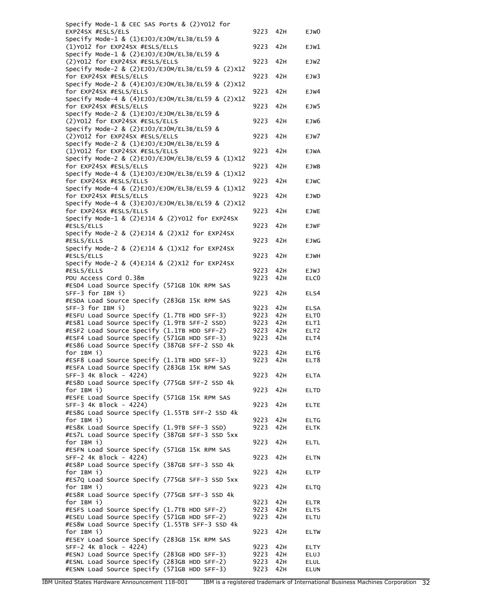| Specify Mode-1 & CEC SAS Ports & (2)Y012 for                                |              |            |                     |
|-----------------------------------------------------------------------------|--------------|------------|---------------------|
| EXP24SX #ESLS/ELS                                                           | 9223         | 42H        | EJW <sub>0</sub>    |
| Specify Mode-1 & (1)EJ0J/EJOM/EL3B/EL59 &                                   |              |            |                     |
| (1)Y012 for EXP24SX #ESLS/ELLS<br>Specify Mode-1 & (2)EJ0J/EJOM/EL3B/EL59 & | 9223         | 42H        | EJW1                |
| (2) Y012 for EXP24SX #ESLS/ELLS                                             | 9223         | 42H        | EJW2                |
| Specify Mode-2 & (2)EJ0J/EJ0M/EL3B/EL59 & (2)X12                            |              |            |                     |
| for EXP24SX #ESLS/ELLS                                                      | 9223         | 42H        | EJW3                |
| Specify Mode-2 & (4)EJ0J/EJOM/EL3B/EL59 & (2)X12                            |              |            |                     |
| for EXP24SX #ESLS/ELLS                                                      | 9223         | 42H        | EJW4                |
| Specify Mode-4 & (4)EJ0J/EJ0M/EL3B/EL59 & (2)X12<br>for EXP24SX #ESLS/ELLS  | 9223         | 42H        | EJW5                |
| Specify Mode-2 & (1)EJ0J/EJOM/EL3B/EL59 &                                   |              |            |                     |
| (2)Y012 for EXP24SX #ESLS/ELLS                                              | 9223         | 42H        | EJW6                |
| Specify Mode-2 & (2)EJ0J/EJOM/EL3B/EL59 &                                   |              |            |                     |
| (2) Y012 for EXP24SX #ESLS/ELLS                                             | 9223         | 42H        | EJW7                |
| Specify Mode-2 & (1)EJ0J/EJOM/EL3B/EL59 &                                   |              |            |                     |
| (1)Y012 for EXP24SX #ESLS/ELLS                                              | 9223         | 42H        | <b>EJWA</b>         |
| Specify Mode-2 & (2)EJ0J/EJOM/EL3B/EL59 & (1)X12<br>for EXP24SX #ESLS/ELLS  | 9223         | 42H        | EJWB                |
| Specify Mode-4 & (1)EJ0J/EJOM/EL3B/EL59 & (1)X12                            |              |            |                     |
| for EXP24SX #ESLS/ELLS                                                      | 9223         | 42H        | <b>EJWC</b>         |
| Specify Mode-4 & (2)EJ0J/EJ0M/EL3B/EL59 & (1)X12                            |              |            |                     |
| for EXP24SX #ESLS/ELLS                                                      | 9223         | 42H        | <b>EJWD</b>         |
| Specify Mode-4 & (3)EJ0J/EJ0M/EL3B/EL59 & (2)X12                            |              |            |                     |
| for EXP24SX #ESLS/ELLS                                                      | 9223         | 42H        | <b>EJWE</b>         |
| Specify Mode-1 & (2)EJ14 & (2)YO12 for EXP24SX<br>#ESLS/ELLS                | 9223         | 42H        | <b>EJWF</b>         |
| Specify Mode-2 & (2)EJ14 & (2)X12 for EXP24SX                               |              |            |                     |
| #ESLS/ELLS                                                                  | 9223         | 42H        | <b>EJWG</b>         |
| Specify Mode-2 & $(2)EJ14$ & $(1)X12$ for EXP24SX                           |              |            |                     |
| #ESLS/ELLS                                                                  | 9223         | 42H        | <b>EJWH</b>         |
| Specify Mode-2 & $(4)EJ14$ & $(2)X12$ for EXP24SX                           |              |            |                     |
| #ESLS/ELLS                                                                  | 9223         | 42H        | <b>EJWJ</b>         |
| PDU Access Cord 0.38m                                                       | 9223         | 42H        | ELC <sub>0</sub>    |
| #ESD4 Load Source Specify (571GB 10K RPM SAS<br>SFF-3 for IBM i)            | 9223         | 42H        | ELS4                |
| #ESDA Load Source Specify (283GB 15K RPM SAS                                |              |            |                     |
| $SFF-3$ for IBM $i)$                                                        | 9223         | 42H        | <b>ELSA</b>         |
| #ESFU Load Source Specify (1.7TB HDD SFF-3)                                 | 9223         | 42H        | ELT <sub>0</sub>    |
| #ES81 Load Source Specify (1.9TB SFF-2 SSD)                                 | 9223         | 42H        | ELT1                |
| #ESF2 Load Source Specify (1.1TB HDD SFF-2)                                 | 9223         | 42H        | ELT <sub>2</sub>    |
| #ESF4 Load Source Specify (571GB HDD SFF-3)                                 | 9223         | 42H        | ELT4                |
| #ES86 Load Source Specify (387GB SFF-2 SSD 4k                               |              |            |                     |
| for IBM i)<br>#ESF8 Load Source Specify (1.1TB HDD SFF-3)                   | 9223<br>9223 | 42H<br>42H | ELT6<br>ELT8        |
| #ESFA Load Source Specify (283GB 15K RPM SAS                                |              |            |                     |
| SFF-3 4K Block - 4224)                                                      | 9223         | 42H        | <b>ELTA</b>         |
| #ES8D Load Source Specify (775GB SFF-2 SSD 4k                               |              |            |                     |
| for IBM i)                                                                  | 9223         | 42H        | <b>ELTD</b>         |
| #ESFE Load Source Specify (571GB 15K RPM SAS                                |              |            |                     |
| SFF-3 4K Block - 4224)                                                      | 9223         | 42H        | <b>ELTE</b>         |
| #ES8G Load Source Specify (1.55TB SFF-2 SSD 4k<br>for IBM i)                | 9223         | 42H        | <b>ELTG</b>         |
| #ES8K Load Source Specify (1.9TB SFF-3 SSD)                                 | 9223         | 42H        | <b>ELTK</b>         |
| #ES7L Load Source Specify (387GB SFF-3 SSD 5xx                              |              |            |                     |
| for IBM i)                                                                  | 9223         | 42H        | <b>ELTL</b>         |
| #ESFN Load Source Specify (571GB 15K RPM SAS                                |              |            |                     |
| SFF-2 4K Block - 4224)                                                      | 9223         | 42H        | <b>ELTN</b>         |
| #ES8P Load Source Specify (387GB SFF-3 SSD 4k                               |              |            |                     |
| for IBM i)                                                                  | 9223         | 42H        | <b>ELTP</b>         |
| #ES7Q Load Source Specify (775GB SFF-3 SSD 5xx<br>for IBM i)                | 9223         | 42H        | <b>ELTQ</b>         |
| #ES8R Load Source Specify (775GB SFF-3 SSD 4k                               |              |            |                     |
| for IBM i)                                                                  | 9223         | 42H        | ELTR                |
| #ESFS Load Source Specify (1.7TB HDD SFF-2)                                 | 9223         | 42H        | <b>ELTS</b>         |
| #ESEU Load Source Specify (571GB HDD SFF-2)                                 | 9223         | 42H        | ELTU                |
| #ES8W Load Source Specify (1.55TB SFF-3 SSD 4k                              |              |            |                     |
| for IBM i)                                                                  | 9223         | 42H        | <b>ELTW</b>         |
| #ESEY Load Source Specify (283GB 15K RPM SAS<br>SFF-2 4K Block - 4224)      |              | 42H        |                     |
| #ESNJ Load Source Specify (283GB HDD SFF-3)                                 | 9223<br>9223 | 42H        | ELTY<br><b>ELUJ</b> |
| #ESNL Load Source Specify (283GB HDD SFF-2)                                 | 9223         | 42H        | <b>ELUL</b>         |
| #ESNN Load Source Specify (571GB HDD SFF-3)                                 | 9223         | 42H        | <b>ELUN</b>         |
|                                                                             |              |            |                     |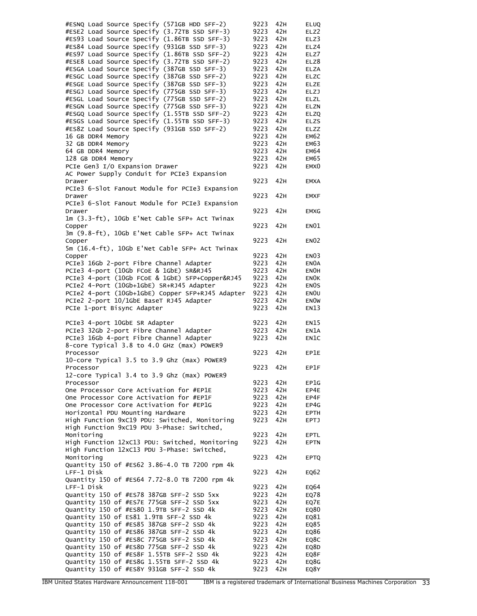#ESNQ Load Source Specify (571GB HDD SFF-2) 9223 42H ELUQ #ESE2 Load Source Specify (3.72TB SSD SFF-3) 9223 42H ELZ2 #ES93 Load Source Specify (1.86TB SSD SFF-3) 9223 42H ELZ3 #ES84 Load Source Specify (931GB SSD SFF-3) 9223 42H ELZ4 #ES97 Load Source Specify (1.86TB SSD SFF-2) 9223 42H ELZ7 #ESE8 Load Source Specify (3.72TB SSD SFF-2) 9223 42H ELZ8 #ESGA Load Source Specify (387GB SSD SFF-3) 9223 42H ELZA #ESGC Load Source Specify (387GB SSD SFF-2) 9223 42H ELZC #ESGE Load Source Specify (387GB SSD SFF-3) 9223 42H ELZE #ESGJ Load Source Specify (775GB SSD SFF-3) 9223 42H ELZJ #ESGL Load Source Specify (775GB SSD SFF-2) 9223 42H ELZL #ESGN Load Source Specify (775GB SSD SFF-3) 9223 42H ELZN #ESGQ Load Source Specify (1.55TB SSD SFF-2) 9223 42H ELZQ #ESGS Load Source Specify (1.55TB SSD SFF-3) 9223 42H ELZS #ES8Z Load Source Specify (931GB SSD SFF-2) 9223 42H ELZZ 16 GB DDR4 Memory 9223 42H EM62 32 GB DDR4 Memory 9223 42H EM63 64 GB DDR4 Memory 9223 42H EM64 128 GB DDR4 Memory 9223 42H EM65 PCIe Gen3 I/O Expansion Drawer 9223 42H EMXO AC Power Supply Conduit for PCIe3 Expansion Drawer 9223 42H EMXA PCIe3 6-Slot Fanout Module for PCIe3 Expansion Drawer 9223 42H EMXF PCIe3 6-Slot Fanout Module for PCIe3 Expansion Drawer 9223 42H EMXG 1m (3.3-ft), 10Gb E'Net Cable SFP+ Act Twinax Copper 3223 42H ENO1 3m (9.8-ft), 10Gb E'Net Cable SFP+ Act Twinax Copper 9223 42H ENO2 5m (16.4-ft), 10Gb E'Net Cable SFP+ Act Twinax Copper 9223 42H EN03 PCIe3 16Gb 2-port Fibre Channel Adapter 9223 42H ENOA PCIe3 4-port (10Gb FCoE & 1GbE) SR&RJ45 9223 42H EN0H PCIe3 4-port (10Gb FCoE & 1GbE) SFP+Copper&RJ45 9223 42H ENOK PCIe2 4-Port (10Gb+1GbE) SR+RJ45 Adapter 9223 42H ENOS PCIe2 4-port (10Gb+1GbE) Copper SFP+RJ45 Adapter 9223 42H EN0U PCIe2 2-port 10/1GbE BaseT RJ45 Adapter 9223 42H ENOW PCIe 1-port Bisync Adapter 19223 42H EN13 PCIe3 4-port 10GbE SR Adapter 9223 42H EN15 PCIe3 32Gb 2-port Fibre Channel Adapter 9223 42H EN1A PCIe3 16Gb 4-port Fibre Channel Adapter 9223 42H EN1C 8-core Typical 3.8 to 4.0 GHz (max) POWER9 Processor 8223 42H EP1E 10-core Typical 3.5 to 3.9 Ghz (max) POWER9 Processor 8223 42H EP1F 12-core Typical 3.4 to 3.9 Ghz (max) POWER9 Processor **9223 42H EP1G** One Processor Core Activation for #EP1E 9223 42H EP4E<br>One Processor Core Activation for #EP1F 9223 42H EP4F One Processor Core Activation for #EP1F 9223 42H EP4F One Processor Core Activation for #EP1G 9223 42H EP4G Horizontal PDU Mounting Hardware 9223 42H EPTH High Function 9xC19 PDU: Switched, Monitoring 9223 42H EPTJ High Function 9xC19 PDU 3-Phase: Switched, Monitoring **1223** 42H EPTL High Function 12xC13 PDU: Switched, Monitoring 9223 42H EPTN High Function 12xC13 PDU 3-Phase: Switched, Monitoring 9223 42H EPTQ Quantity 150 of #ES62 3.86-4.0 TB 7200 rpm 4k LFF-1 Disk 9223 42H EQ62 Quantity 150 of #ES64 7.72-8.0 TB 7200 rpm 4k LFF-1 Disk 9223 42H EQ64 Quantity 150 of #ES78 387GB SFF-2 SSD 5xx 9223 42H EQ78 Quantity 150 of #ES7E 775GB SFF-2 SSD 5xx 9223 42H EQ7E Quantity 150 of #ES80 1.9TB SFF-2 SSD 4k 9223 42H EQ80 Quantity 150 of ES81 1.9TB SFF-2 SSD 4k 9223 42H EQ81<br>Quantity 150 of #ES85 387GB SFF-2 SSD 4k 9223 42H EQ85 Quantity 150 of #ES85 387GB SFF-2 SSD 4k 9223 42H EQ85 Quantity 150 of #ES86 387GB SFF-2 SSD 4k 9223 42H EQ86 Quantity 150 of #ES8C 775GB SFF-2 SSD 4k 9223 42H EQ8C Quantity 150 of #ES8D 775GB SFF-2 SSD 4k 9223 42H EQ8D Quantity 150 of #ES8F 1.55TB SFF-2 SSD 4k 9223 42H EQ8F Quantity 150 of #ES8G 1.55TB SFF-2 SSD 4k 9223 42H EQ8G Quantity 150 of #ES8Y 931GB SFF-2 SSD 4k 9223 42H EQ8Y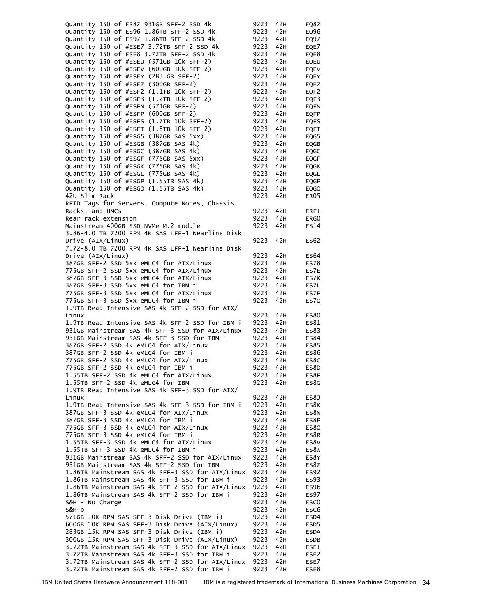| Quantity 150 of ES8Z 931GB SFF-2 SSD 4k          | 9223 | 42H | EQ8Z             |
|--------------------------------------------------|------|-----|------------------|
| Quantity 150 of ES96 1.86TB SFF-2 SSD 4k         | 9223 | 42H | EQ96             |
| Quantity 150 of ES97 1.86TB SFF-2 SSD 4k         | 9223 | 42H | EQ97             |
| Quantity 150 of #ESE7 3.72TB SFF-2 SSD 4k        | 9223 | 42H | EQE7             |
|                                                  |      |     |                  |
| Quantity 150 of ESE8 3.72TB SFF-2 SSD 4k         | 9223 | 42H | EQE8             |
| Quantity 150 of #ESEU (571GB 10k SFF-2)          | 9223 | 42H | EQEU             |
| Quantity 150 of #ESEV (600GB 10k SFF-2)          | 9223 | 42H | EQEV             |
| Quantity 150 of #ESEY (283 GB SFF-2)             | 9223 | 42H | EQEY             |
| Quantity 150 of #ESEZ (300GB SFF-2)              | 9223 | 42H | EQEZ             |
| Quantity 150 of #ESF2 (1.1TB 10k SFF-2)          | 9223 | 42H | EQF2             |
| Quantity 150 of #ESF3 (1.2TB 10k SFF-2)          | 9223 | 42H | EQF3             |
| Quantity 150 of #ESFN (571GB SFF-2)              | 9223 | 42H | <b>EQFN</b>      |
| Quantity 150 of #ESFP (600GB SFF-2)              | 9223 | 42H | <b>EQFP</b>      |
| Quantity 150 of #ESFS (1.7TB 10k SFF-2)          | 9223 | 42H |                  |
|                                                  |      |     | <b>EQFS</b>      |
| Quantity 150 of #ESFT (1.8TB 10k SFF-2)          | 9223 | 42H | EQFT             |
| Quantity 150 of #ESG5 (387GB SAS 5xx)            | 9223 | 42H | EQG5             |
| Quantity 150 of #ESGB (387GB SAS 4k)             | 9223 | 42H | EQGB             |
| Quantity 150 of #ESGC (387GB SAS 4k)             | 9223 | 42H | EQGC             |
| Quantity 150 of #ESGF (775GB SAS 5xx)            | 9223 | 42H | EQGF             |
| Quantity 150 of #ESGK (775GB SAS 4k)             | 9223 | 42H | EQGK             |
| Quantity 150 of #ESGL (775GB SAS 4k)             | 9223 | 42H | EQGL             |
| Quantity 150 of #ESGP (1.55TB SAS 4k)            | 9223 | 42H | EQGP             |
| Quantity 150 of #ESGQ (1.55TB SAS 4k)            | 9223 |     |                  |
|                                                  |      | 42H | EQGQ             |
| 420 Slim Rack                                    | 9223 | 42H | ER05             |
| RFID Tags for Servers, Compute Nodes, Chassis,   |      |     |                  |
| Racks, and HMCs                                  | 9223 | 42H | ERF1             |
| Rear rack extension                              | 9223 | 42H | ERG0             |
| Mainstream 400GB SSD NVMe M.2 module             | 9223 | 42H | ES14             |
| 3.86-4.0 TB 7200 RPM 4K SAS LFF-1 Nearline Disk  |      |     |                  |
| Drive (AIX/Linux)                                | 9223 | 42H | ES62             |
|                                                  |      |     |                  |
| 7.72-8.0 TB 7200 RPM 4K SAS LFF-1 Nearline Disk  |      |     |                  |
| Drive (AIX/Linux)                                | 9223 | 42H | ES64             |
| 387GB SFF-2 SSD 5xx eMLC4 for AIX/Linux          | 9223 | 42H | ES78             |
| 775GB SFF-2 SSD 5xx eMLC4 for AIX/Linux          | 9223 | 42H | ES7E             |
| 387GB SFF-3 SSD 5xx eMLC4 for AIX/Linux          | 9223 | 42H | ES7K             |
| 387GB SFF-3 SSD 5xx eMLC4 for IBM i              | 9223 | 42H | ES7L             |
| 775GB SFF-3 SSD 5xx eMLC4 for AIX/Linux          | 9223 | 42H | ES7P             |
| 775GB SFF-3 SSD 5xx eMLC4 for IBM i              | 9223 | 42H | ES7Q             |
| 1.9TB Read Intensive SAS 4k SFF-2 SSD for AIX/   |      |     |                  |
| Linux                                            | 9223 | 42H | ES80             |
|                                                  |      |     |                  |
| 1.9TB Read Intensive SAS 4k SFF-2 SSD for IBM i  | 9223 | 42H | ES81             |
| 931GB Mainstream SAS 4k SFF-3 SSD for AIX/Linux  | 9223 | 42H | ES83             |
| 931GB Mainstream SAS 4k SFF-3 SSD for IBM i      | 9223 | 42H | ES84             |
| 387GB SFF-2 SSD 4k eMLC4 for AIX/Linux           | 9223 | 42H | ES85             |
| 387GB SFF-2 SSD 4k eMLC4 for IBM i               | 9223 | 42H | ES86             |
| 775GB SFF-2 SSD 4k eMLC4 for AIX/Linux           | 9223 | 42H | ES8C             |
| 775GB SFF-2 SSD 4k eMLC4 for IBM i               | 9223 | 42H | ES8D             |
| 1.55TB SFF-2 SSD 4k eMLC4 for AIX/Linux          | 9223 | 42H | ES8F             |
| 1.55TB SFF-2 SSD 4k eMLC4 for IBM i              | 9223 | 42H | ES8G             |
| 1.9TB Read Intensive SAS 4k SFF-3 SSD for AIX/   |      |     |                  |
| Linux                                            |      |     |                  |
|                                                  | 9223 | 42H | ES8J             |
| 1.9TB Read Intensive SAS 4k SFF-3 SSD for IBM i  | 9223 | 42H | ES8K             |
| 387GB SFF-3 SSD 4k eMLC4 for AIX/Linux           | 9223 | 42H | ES8N             |
| 387GB SFF-3 SSD 4k eMLC4 for IBM i               | 9223 | 42H | ES8P             |
| 775GB SFF-3 SSD 4k eMLC4 for AIX/Linux           | 9223 | 42H | ES8Q             |
| 775GB SFF-3 SSD 4k eMLC4 for IBM i               | 9223 | 42H | ES8R             |
| 1.55TB SFF-3 SSD 4k eMLC4 for AIX/Linux          | 9223 | 42H | ES8V             |
| 1.55TB SFF-3 SSD 4k eMLC4 for IBM i              | 9223 | 42H | ES8W             |
| 931GB Mainstream SAS 4k SFF-2 SSD for AIX/Linux  | 9223 | 42H | ES8Y             |
|                                                  |      |     |                  |
| 931GB Mainstream SAS 4k SFF-2 SSD for IBM i      | 9223 | 42H | ES8Z             |
| 1.86TB Mainstream SAS 4k SFF-3 SSD for AIX/Linux | 9223 | 42H | <b>ES92</b>      |
| 1.86TB Mainstream SAS 4k SFF-3 SSD for IBM i     | 9223 | 42H | ES93             |
| 1.86TB Mainstream SAS 4k SFF-2 SSD for AIX/Linux | 9223 | 42H | <b>ES96</b>      |
| 1.86TB Mainstream SAS 4k SFF-2 SSD for IBM i     | 9223 | 42H | <b>ES97</b>      |
| S&H - No Charge                                  | 9223 | 42H | ESC <sub>0</sub> |
| S&H-b                                            | 9223 | 42H | ESC <sub>6</sub> |
| 571GB 10K RPM SAS SFF-3 Disk Drive (IBM i)       | 9223 | 42H | ESD4             |
| 600GB 10K RPM SAS SFF-3 Disk Drive (AIX/Linux)   | 9223 | 42H | ESD <sub>5</sub> |
|                                                  |      |     |                  |
| 283GB 15K RPM SAS SFF-3 Disk Drive (IBM i)       | 9223 | 42H | <b>ESDA</b>      |
| 300GB 15K RPM SAS SFF-3 Disk Drive (AIX/Linux)   |      | 42H | ESDB             |
| 3.72TB Mainstream SAS 4k SFF-3 SSD for AIX/Linux | 9223 |     |                  |
|                                                  | 9223 | 42H | ESE1             |
| 3.72TB Mainstream SAS 4k SFF-3 SSD for IBM i     | 9223 | 42H | ESE <sub>2</sub> |
| 3.72TB Mainstream SAS 4k SFF-2 SSD for AIX/Linux | 9223 | 42H | ESE7             |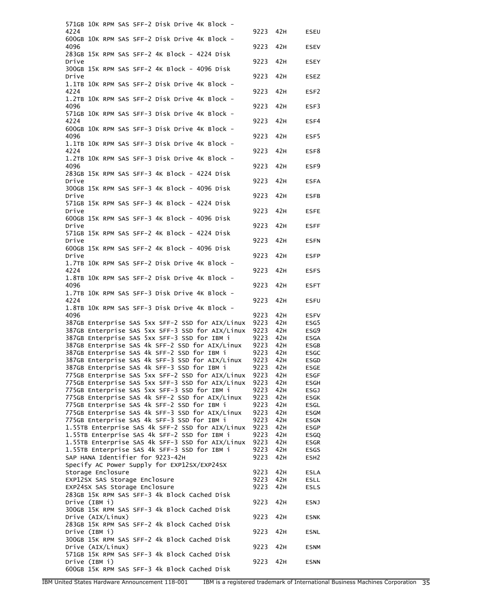|       |                   | 571GB 10K RPM SAS SFF-2 Disk Drive 4K Block -    |          |     |                  |
|-------|-------------------|--------------------------------------------------|----------|-----|------------------|
| 4224  |                   |                                                  | 9223     | 42H | ESEU             |
| 4096  |                   | 600GB 10K RPM SAS SFF-2 Disk Drive 4K Block -    | 9223     | 42H | <b>ESEV</b>      |
| Drive |                   | 283GB 15K RPM SAS SFF-2 4K Block - 4224 Disk     | 9223     | 42H | <b>ESEY</b>      |
| Drive |                   | 300GB 15K RPM SAS SFF-2 4K Block - 4096 Disk     | 9223     | 42H | <b>ESEZ</b>      |
| 4224  |                   | 1.1TB 10K RPM SAS SFF-2 Disk Drive 4K Block -    | 9223     | 42H | ESF <sub>2</sub> |
| 4096  |                   | 1.2TB 10K RPM SAS SFF-2 Disk Drive 4K Block -    | 9223     | 42H | ESF3             |
| 4224  |                   | 571GB 10K RPM SAS SFF-3 Disk Drive 4K Block -    | 9223     | 42H | ESF4             |
| 4096  |                   | 600GB 10K RPM SAS SFF-3 Disk Drive 4K Block -    | 9223     | 42H | ESF5             |
| 4224  |                   | 1.1TB 10K RPM SAS SFF-3 Disk Drive 4K Block -    | 9223     | 42H | ESF8             |
|       |                   | 1.2TB 10K RPM SAS SFF-3 Disk Drive 4K Block -    |          |     |                  |
| 4096  |                   | 283GB 15K RPM SAS SFF-3 4K Block - 4224 Disk     | 9223     | 42H | ESF9             |
| Drive |                   | 300GB 15K RPM SAS SFF-3 4K Block - 4096 Disk     | 9223     | 42H | <b>ESFA</b>      |
| Drive |                   | 571GB 15K RPM SAS SFF-3 4K Block - 4224 Disk     | 9223     | 42H | <b>ESFB</b>      |
| Drive |                   | 600GB 15K RPM SAS SFF-3 4K Block - 4096 Disk     | 9223     | 42H | <b>ESFE</b>      |
| Drive |                   | 571GB 15K RPM SAS SFF-2 4K Block - 4224 Disk     | 9223     | 42H | <b>ESFF</b>      |
| Drive |                   | 600GB 15K RPM SAS SFF-2 4K Block - 4096 Disk     | 9223     | 42H | <b>ESFN</b>      |
| Drive |                   | 1.7TB 10K RPM SAS SFF-2 Disk Drive 4K Block -    | 9223     | 42H | <b>ESFP</b>      |
| 4224  |                   | 1.8TB 10K RPM SAS SFF-2 Disk Drive 4K Block -    | 9223     | 42H | <b>ESFS</b>      |
| 4096  |                   | 1.7TB 10K RPM SAS SFF-3 Disk Drive 4K Block -    | 9223     | 42H | <b>ESFT</b>      |
| 4224  |                   | 1.8TB 10K RPM SAS SFF-3 Disk Drive 4K Block -    | 9223     | 42H | <b>ESFU</b>      |
| 4096  |                   |                                                  | 9223     | 42H | <b>ESFV</b>      |
|       |                   | 387GB Enterprise SAS 5xx SFF-2 SSD for AIX/Linux | 9223     | 42H | ESG5             |
|       |                   | 387GB Enterprise SAS 5xx SFF-3 SSD for AIX/Linux | 9223     | 42H | ESG9             |
|       |                   | 387GB Enterprise SAS 5xx SFF-3 SSD for IBM i     | 9223     | 42H | <b>ESGA</b>      |
|       |                   | 387GB Enterprise SAS 4k SFF-2 SSD for AIX/Linux  | 9223     | 42H | <b>ESGB</b>      |
|       |                   | 387GB Enterprise SAS 4k SFF-2 SSD for IBM i      | 9223     | 42H | <b>ESGC</b>      |
|       |                   | 387GB Enterprise SAS 4k SFF-3 SSD for AIX/Linux  | 9223     | 42H | ESGD             |
|       |                   | 387GB Enterprise SAS 4k SFF-3 SSD for IBM i      | 9223 42H |     | ESGE             |
|       |                   | 775GB Enterprise SAS 5xx SFF-2 SSD for AIX/Linux | 9223     | 42H | ESGF             |
|       |                   | 775GB Enterprise SAS 5xx SFF-3 SSD for AIX/Linux | 9223     | 42H | <b>ESGH</b>      |
|       |                   | 775GB Enterprise SAS 5xx SFF-3 SSD for IBM i     | 9223     | 42H | <b>ESGJ</b>      |
|       |                   | 775GB Enterprise SAS 4k SFF-2 SSD for AIX/Linux  | 9223     | 42H | <b>ESGK</b>      |
|       |                   | 775GB Enterprise SAS 4k SFF-2 SSD for IBM i      |          |     |                  |
|       |                   |                                                  | 9223     | 42H | ESGL             |
|       |                   | 775GB Enterprise SAS 4k SFF-3 SSD for AIX/Linux  | 9223     | 42H | <b>ESGM</b>      |
|       |                   | 775GB Enterprise SAS 4k SFF-3 SSD for IBM i      | 9223     | 42H | <b>ESGN</b>      |
|       |                   | 1.55TB Enterprise SAS 4k SFF-2 SSD for AIX/Linux | 9223     | 42H | <b>ESGP</b>      |
|       |                   | 1.55TB Enterprise SAS 4k SFF-2 SSD for IBM i     | 9223     | 42H | <b>ESGQ</b>      |
|       |                   | 1.55TB Enterprise SAS 4k SFF-3 SSD for AIX/Linux | 9223     | 42H | <b>ESGR</b>      |
|       |                   | 1.55TB Enterprise SAS 4k SFF-3 SSD for IBM i     | 9223     | 42H | ESGS             |
|       |                   | SAP HANA Identifier for 9223-42H                 | 9223     | 42H | ESH <sub>2</sub> |
|       |                   | Specify AC Power Supply for EXP12SX/EXP24SX      |          |     |                  |
|       | Storage Enclosure |                                                  | 9223     | 42H |                  |
|       |                   |                                                  |          |     | ESLA             |
|       |                   | EXP12SX SAS Storage Enclosure                    | 9223     | 42H | <b>ESLL</b>      |
|       |                   | EXP24SX SAS Storage Enclosure                    | 9223     | 42H | <b>ESLS</b>      |
|       | Drive (IBM i)     | 283GB 15K RPM SAS SFF-3 4k Block Cached Disk     | 9223     | 42H | <b>ESNJ</b>      |
|       |                   | 300GB 15K RPM SAS SFF-3 4k Block Cached Disk     |          |     |                  |
|       | Drive (AIX/Linux) | 283GB 15K RPM SAS SFF-2 4k Block Cached Disk     | 9223     | 42H | <b>ESNK</b>      |
|       | Drive (IBM i)     | 300GB 15K RPM SAS SFF-2 4k Block Cached Disk     | 9223     | 42H | <b>ESNL</b>      |
|       | Drive (AIX/Linux) |                                                  | 9223     | 42H | <b>ESNM</b>      |
|       | Drive (IBM i)     | 571GB 15K RPM SAS SFF-3 4k Block Cached Disk     | 9223     | 42H | <b>ESNN</b>      |
|       |                   | 600GB 15K RPM SAS SFF-3 4k Block Cached Disk     |          |     |                  |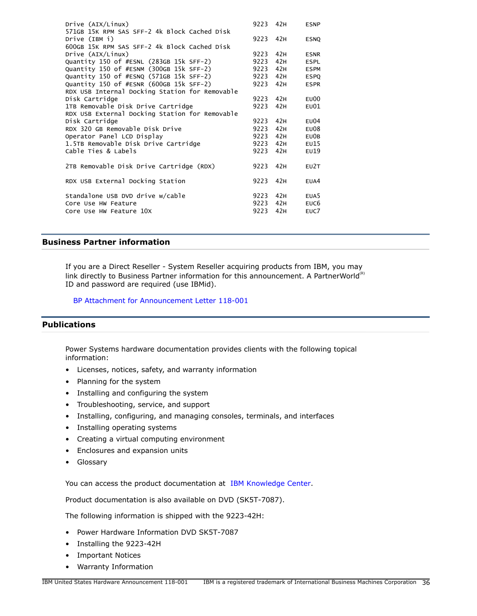| Drive (AIX/Linux)<br>571GB 15K RPM SAS SFF-2 4k Block Cached Disk | 9223     | 42H | <b>ESNP</b>       |
|-------------------------------------------------------------------|----------|-----|-------------------|
| Drive (IBM i)                                                     | 9223 42H |     | <b>ESNQ</b>       |
| 600GB 15K RPM SAS SFF-2 4k Block Cached Disk                      |          |     |                   |
| Drive (AIX/Linux)                                                 | 9223     | 42H | <b>ESNR</b>       |
| Quantity 150 of #ESNL (283GB 15k SFF-2)                           | 9223     | 42H | <b>ESPL</b>       |
| Quantity 150 of #ESNM (300GB 15k SFF-2)                           | 9223     | 42H | <b>ESPM</b>       |
| Quantity 150 of #ESNQ (571GB 15k SFF-2)                           | 9223     | 42H | <b>ESPO</b>       |
| Quantity 150 of #ESNR (600GB 15k SFF-2)                           | 9223     | 42H | <b>ESPR</b>       |
| RDX USB Internal Docking Station for Removable                    |          |     |                   |
| Disk Cartridge                                                    | 9223     | 42H | E <sub>U</sub> 00 |
| 1TB Removable Disk Drive Cartridge                                | 9223     | 42H | E <sub>U</sub> 01 |
| RDX USB External Docking Station for Removable                    |          |     |                   |
| Disk Cartridge                                                    | 9223     | 42H | E <sub>U</sub> 04 |
| RDX 320 GB Removable Disk Drive                                   | 9223     | 42H | E <sub>U</sub> 08 |
| Operator Panel LCD Display                                        | 9223     | 42H | EU0B              |
| 1.5TB Removable Disk Drive Cartridge                              | 9223     | 42H | EU15              |
| Cable Ties & Labels                                               | 9223     | 42H | EU19              |
|                                                                   |          |     |                   |
| 2TB Removable Disk Drive Cartridge (RDX)                          | 9223     | 42H | EU2T              |
| RDX USB External Docking Station                                  | 9223     | 42H | EUA4              |
| Standalone USB DVD drive w/cable                                  | 9223     | 42H | EUA <sub>5</sub>  |
| Core Use HW Feature                                               | 9223     | 42H | EUC <sub>6</sub>  |
| Core Use HW Feature 10X                                           | 9223     | 42H | EUC7              |
|                                                                   |          |     |                   |

## **Business Partner information**

If you are a Direct Reseller - System Reseller acquiring products from IBM, you may link directly to Business Partner information for this announcement. A PartnerWorld ${}^{\text{(R)}}$ ID and password are required (use IBMid).

[BP Attachment for Announcement Letter 118-001](https://www.ibm.com/partnerworld/mem/sla.jsp?num=118-001)

## <span id="page-35-0"></span>**Publications**

Power Systems hardware documentation provides clients with the following topical information:

- Licenses, notices, safety, and warranty information
- Planning for the system
- Installing and configuring the system
- Troubleshooting, service, and support
- Installing, configuring, and managing consoles, terminals, and interfaces
- Installing operating systems
- Creating a virtual computing environment
- Enclosures and expansion units
- Glossary

You can access the product documentation at [IBM Knowledge Center.](http://www.ibm.com/support/knowledgecenter/POWER9)

Product documentation is also available on DVD (SK5T-7087).

The following information is shipped with the 9223-42H:

- Power Hardware Information DVD SK5T-7087
- Installing the 9223-42H
- Important Notices
- Warranty Information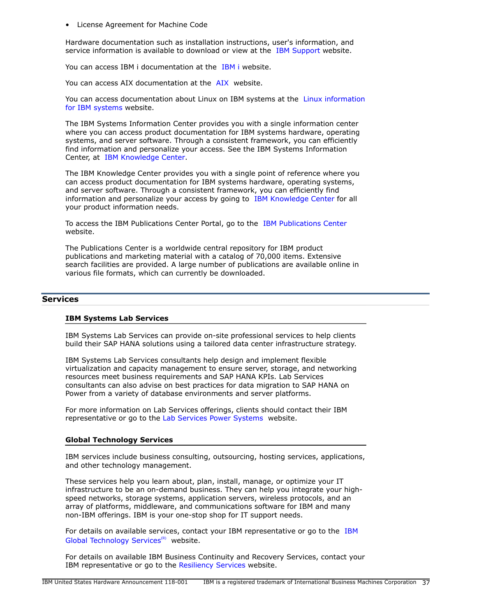• License Agreement for Machine Code

Hardware documentation such as installation instructions, user's information, and service information is available to download or view at the [IBM Support](https://www.ibm.com/support/home/) website.

You can access [IBM i](https://www.ibm.com/support/knowledgecenter/ssw_ibm_i) documentation at the IBM i website.

You can access [AIX](https://www.ibm.com/support/knowledgecenter/ssw_aix) documentation at the AIX website.

You can access documentation about Linux on IBM systems at the [Linux information](https://www.ibm.com/support/knowledgecenter/linuxonibm/liaaa/ic-homepage.htm) [for IBM systems](https://www.ibm.com/support/knowledgecenter/linuxonibm/liaaa/ic-homepage.htm) website.

The IBM Systems Information Center provides you with a single information center where you can access product documentation for IBM systems hardware, operating systems, and server software. Through a consistent framework, you can efficiently find information and personalize your access. See the IBM Systems Information Center, at [IBM Knowledge Center.](https://www.ibm.com/support/knowledgecenter/)

The IBM Knowledge Center provides you with a single point of reference where you can access product documentation for IBM systems hardware, operating systems, and server software. Through a consistent framework, you can efficiently find information and personalize your access by going to [IBM Knowledge Center](http://www-01.ibm.com/support/knowledgecenter/) for all your product information needs.

To access the IBM Publications Center Portal, go to the [IBM Publications Center](http://www.ibm.com/shop/publications/order) website.

The Publications Center is a worldwide central repository for IBM product publications and marketing material with a catalog of 70,000 items. Extensive search facilities are provided. A large number of publications are available online in various file formats, which can currently be downloaded.

## **Services**

#### **IBM Systems Lab Services**

IBM Systems Lab Services can provide on-site professional services to help clients build their SAP HANA solutions using a tailored data center infrastructure strategy.

IBM Systems Lab Services consultants help design and implement flexible virtualization and capacity management to ensure server, storage, and networking resources meet business requirements and SAP HANA KPIs. Lab Services consultants can also advise on best practices for data migration to SAP HANA on Power from a variety of database environments and server platforms.

For more information on Lab Services offerings, clients should contact their IBM representative or go to the [Lab Services Power Systems](https://www.ibm.com/it-infrastructure/services/lab-services/power) website.

#### **Global Technology Services**

IBM services include business consulting, outsourcing, hosting services, applications, and other technology management.

These services help you learn about, plan, install, manage, or optimize your IT infrastructure to be an on-demand business. They can help you integrate your highspeed networks, storage systems, application servers, wireless protocols, and an array of platforms, middleware, and communications software for IBM and many non-IBM offerings. IBM is your one-stop shop for IT support needs.

For details on available services, contact your IBM representative or go to the [IBM](http://www.ibm.com/services/) [Global Technology Services](http://www.ibm.com/services/) $(R)$  website.

For details on available IBM Business Continuity and Recovery Services, contact your IBM representative or go to the [Resiliency Services](http://www.ibm.com/services/continuity) website.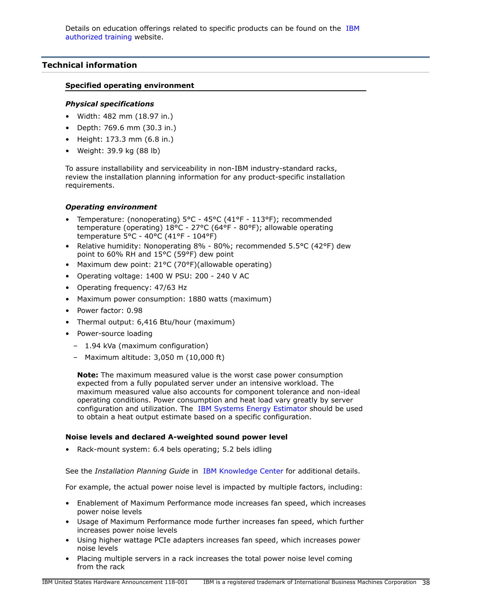# <span id="page-37-0"></span>**Technical information**

## **Specified operating environment**

## *Physical specifications*

- Width: 482 mm (18.97 in.)
- Depth: 769.6 mm (30.3 in.)
- Height: 173.3 mm (6.8 in.)
- Weight: 39.9 kg (88 lb)

To assure installability and serviceability in non-IBM industry-standard racks, review the installation planning information for any product-specific installation requirements.

# *Operating environment*

- Temperature: (nonoperating) 5°C 45°C (41°F 113°F); recommended temperature (operating) 18°C - 27°C (64°F - 80°F); allowable operating temperature 5°C - 40°C (41°F - 104°F)
- Relative humidity: Nonoperating 8% 80%; recommended 5.5°C (42°F) dew point to 60% RH and 15°C (59°F) dew point
- Maximum dew point: 21°C (70°F)(allowable operating)
- Operating voltage: 1400 W PSU: 200 240 V AC
- Operating frequency: 47/63 Hz
- Maximum power consumption: 1880 watts (maximum)
- Power factor: 0.98
- Thermal output: 6,416 Btu/hour (maximum)
- Power-source loading
	- 1.94 kVa (maximum configuration)
	- Maximum altitude: 3,050 m (10,000 ft)

**Note:** The maximum measured value is the worst case power consumption expected from a fully populated server under an intensive workload. The maximum measured value also accounts for component tolerance and non-ideal operating conditions. Power consumption and heat load vary greatly by server configuration and utilization. The [IBM Systems Energy Estimator](http://see.au-syd.mybluemix.net/see/EnergyEstimator) should be used to obtain a heat output estimate based on a specific configuration.

## **Noise levels and declared A-weighted sound power level**

Rack-mount system: 6.4 bels operating; 5.2 bels idling

See the *Installation Planning Guide* in [IBM Knowledge Center](http://www.ibm.com/support/knowledgecenter/POWER9) for additional details.

For example, the actual power noise level is impacted by multiple factors, including:

- Enablement of Maximum Performance mode increases fan speed, which increases power noise levels
- Usage of Maximum Performance mode further increases fan speed, which further increases power noise levels
- Using higher wattage PCIe adapters increases fan speed, which increases power noise levels
- Placing multiple servers in a rack increases the total power noise level coming from the rack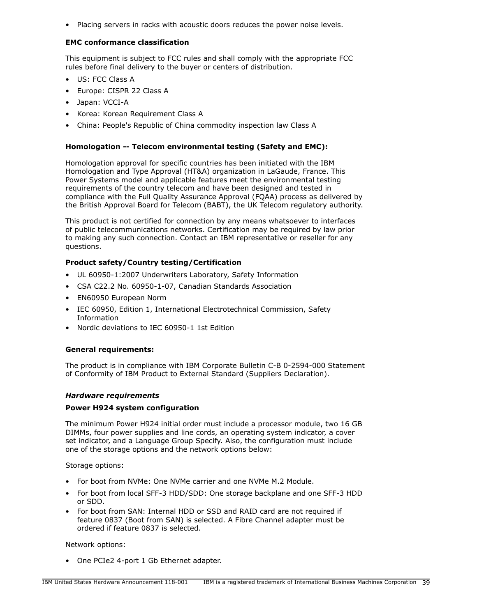• Placing servers in racks with acoustic doors reduces the power noise levels.

## **EMC conformance classification**

This equipment is subject to FCC rules and shall comply with the appropriate FCC rules before final delivery to the buyer or centers of distribution.

- US: FCC Class A
- Europe: CISPR 22 Class A
- Japan: VCCI-A
- Korea: Korean Requirement Class A
- China: People's Republic of China commodity inspection law Class A

## **Homologation -- Telecom environmental testing (Safety and EMC):**

Homologation approval for specific countries has been initiated with the IBM Homologation and Type Approval (HT&A) organization in LaGaude, France. This Power Systems model and applicable features meet the environmental testing requirements of the country telecom and have been designed and tested in compliance with the Full Quality Assurance Approval (FQAA) process as delivered by the British Approval Board for Telecom (BABT), the UK Telecom regulatory authority.

This product is not certified for connection by any means whatsoever to interfaces of public telecommunications networks. Certification may be required by law prior to making any such connection. Contact an IBM representative or reseller for any questions.

## **Product safety/Country testing/Certification**

- UL 60950-1:2007 Underwriters Laboratory, Safety Information
- CSA C22.2 No. 60950-1-07, Canadian Standards Association
- EN60950 European Norm
- IEC 60950, Edition 1, International Electrotechnical Commission, Safety Information
- Nordic deviations to IEC 60950-1 1st Edition

#### **General requirements:**

The product is in compliance with IBM Corporate Bulletin C-B 0-2594-000 Statement of Conformity of IBM Product to External Standard (Suppliers Declaration).

## *Hardware requirements*

#### **Power H924 system configuration**

The minimum Power H924 initial order must include a processor module, two 16 GB DIMMs, four power supplies and line cords, an operating system indicator, a cover set indicator, and a Language Group Specify. Also, the configuration must include one of the storage options and the network options below:

Storage options:

- For boot from NVMe: One NVMe carrier and one NVMe M.2 Module.
- For boot from local SFF-3 HDD/SDD: One storage backplane and one SFF-3 HDD or SDD.
- For boot from SAN: Internal HDD or SSD and RAID card are not required if feature 0837 (Boot from SAN) is selected. A Fibre Channel adapter must be ordered if feature 0837 is selected.

#### Network options:

• One PCIe2 4-port 1 Gb Ethernet adapter.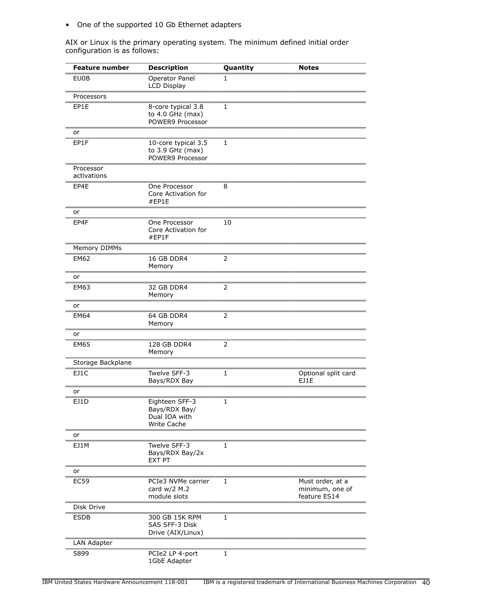• One of the supported 10 Gb Ethernet adapters

AIX or Linux is the primary operating system. The minimum defined initial order configuration is as follows:

| <b>Feature number</b>    | <b>Description</b>                                                     | Quantity       | <b>Notes</b>                                        |
|--------------------------|------------------------------------------------------------------------|----------------|-----------------------------------------------------|
| <b>EU0B</b>              | Operator Panel<br><b>LCD Display</b>                                   | 1              |                                                     |
| Processors               |                                                                        |                |                                                     |
| EP1E                     | 8-core typical 3.8<br>to 4.0 GHz (max)<br>POWER9 Processor             | $\mathbf{1}$   |                                                     |
| or                       |                                                                        |                |                                                     |
| EP1F                     | 10-core typical 3.5<br>to 3.9 GHz (max)<br>POWER9 Processor            | $\mathbf{1}$   |                                                     |
| Processor<br>activations |                                                                        |                |                                                     |
| EP4E                     | One Processor<br>Core Activation for<br>#EP1E                          | 8              |                                                     |
| or                       |                                                                        |                |                                                     |
| EP4F                     | One Processor<br>Core Activation for<br>#EP1F                          | 10             |                                                     |
| Memory DIMMs             |                                                                        |                |                                                     |
| <b>EM62</b>              | 16 GB DDR4<br>Memory                                                   | $\overline{2}$ |                                                     |
| or                       |                                                                        |                |                                                     |
| <b>EM63</b>              | 32 GB DDR4<br>Memory                                                   | 2              |                                                     |
| or                       |                                                                        |                |                                                     |
| <b>EM64</b>              | 64 GB DDR4<br>Memory                                                   | 2              |                                                     |
| or                       |                                                                        |                |                                                     |
| <b>EM65</b>              | 128 GB DDR4<br>Memory                                                  | 2              |                                                     |
| Storage Backplane        |                                                                        |                |                                                     |
| EJ1C                     | Twelve SFF-3<br>Bays/RDX Bay                                           | 1              | Optional split card<br><b>F11F</b>                  |
| or                       |                                                                        |                |                                                     |
| EJ1D                     | Eighteen SFF-3<br>Bays/RDX Bay/<br>Dual IOA with<br><b>Write Cache</b> | 1              |                                                     |
| or                       |                                                                        |                |                                                     |
| EJ1M                     | Twelve SFF-3<br>Bays/RDX Bay/2x<br><b>EXT PT</b>                       | 1              |                                                     |
| or                       |                                                                        |                |                                                     |
| <b>EC59</b>              | PCIe3 NVMe carrier<br>card w/2 M.2<br>module slots                     | $\mathbf{1}$   | Must order, at a<br>minimum, one of<br>feature ES14 |
| Disk Drive               |                                                                        |                |                                                     |
| ESDB                     | 300 GB 15K RPM<br>SAS SFF-3 Disk<br>Drive (AIX/Linux)                  | $\mathbf{1}$   |                                                     |
| LAN Adapter              |                                                                        |                |                                                     |
| 5899                     | PCIe2 LP 4-port<br>1GbE Adapter                                        | $\mathbf{1}$   |                                                     |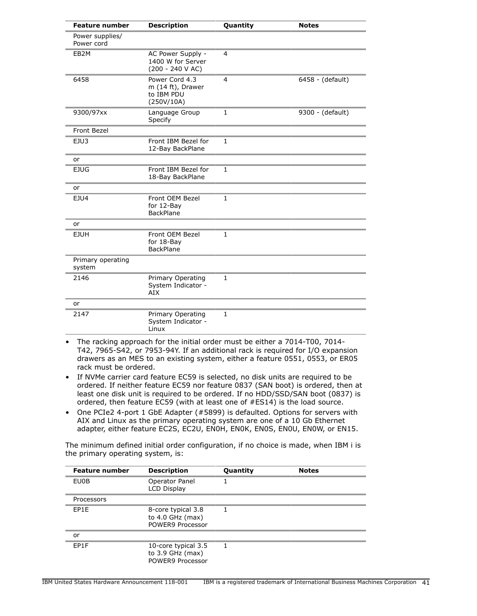| <b>Feature number</b>         | <b>Description</b>                                              | Quantity       | <b>Notes</b>     |
|-------------------------------|-----------------------------------------------------------------|----------------|------------------|
| Power supplies/<br>Power cord |                                                                 |                |                  |
| EB <sub>2</sub> M             | AC Power Supply -<br>1400 W for Server<br>$(200 - 240 V AC)$    | $\overline{4}$ |                  |
| 6458                          | Power Cord 4.3<br>m (14 ft), Drawer<br>to IBM PDU<br>(250V/10A) | $\overline{4}$ | 6458 - (default) |
| 9300/97xx                     | Language Group<br>Specify                                       | $\mathbf{1}$   | 9300 - (default) |
| Front Bezel                   |                                                                 |                |                  |
| EJU3                          | Front IBM Bezel for<br>12-Bay BackPlane                         | $\mathbf{1}$   |                  |
| or                            |                                                                 |                |                  |
| <b>EJUG</b>                   | Front IBM Bezel for<br>18-Bay BackPlane                         | $\mathbf{1}$   |                  |
| or                            |                                                                 |                |                  |
| EJU4                          | Front OEM Bezel<br>for 12-Bay<br><b>BackPlane</b>               | $\mathbf{1}$   |                  |
| or                            |                                                                 |                |                  |
| <b>EJUH</b>                   | Front OEM Bezel<br>for 18-Bay<br><b>BackPlane</b>               | $\mathbf{1}$   |                  |
| Primary operating<br>system   |                                                                 |                |                  |
| 2146                          | Primary Operating<br>System Indicator -<br>AIX                  | $\mathbf{1}$   |                  |
| or                            |                                                                 |                |                  |
| 2147                          | Primary Operating<br>System Indicator -<br>Linux                | 1              |                  |

- The racking approach for the initial order must be either a 7014-T00, 7014- T42, 7965-S42, or 7953-94Y. If an additional rack is required for I/O expansion drawers as an MES to an existing system, either a feature 0551, 0553, or ER05 rack must be ordered.
- If NVMe carrier card feature EC59 is selected, no disk units are required to be ordered. If neither feature EC59 nor feature 0837 (SAN boot) is ordered, then at least one disk unit is required to be ordered. If no HDD/SSD/SAN boot (0837) is ordered, then feature EC59 (with at least one of #ES14) is the load source.
- One PCIe2 4-port 1 GbE Adapter (#5899) is defaulted. Options for servers with AIX and Linux as the primary operating system are one of a 10 Gb Ethernet adapter, either feature EC2S, EC2U, EN0H, EN0K, EN0S, EN0U, EN0W, or EN15.

The minimum defined initial order configuration, if no choice is made, when IBM i is the primary operating system, is:

| <b>Feature number</b> | <b>Description</b>                                            | Quantity | <b>Notes</b> |
|-----------------------|---------------------------------------------------------------|----------|--------------|
| EU0B                  | Operator Panel<br>LCD Display                                 |          |              |
| Processors            |                                                               |          |              |
| EP1E                  | 8-core typical 3.8<br>to $4.0$ GHz (max)<br>POWER9 Processor  | 1        |              |
| or                    |                                                               |          |              |
| EP1F                  | 10-core typical 3.5<br>to $3.9$ GHz (max)<br>POWER9 Processor | 1.       |              |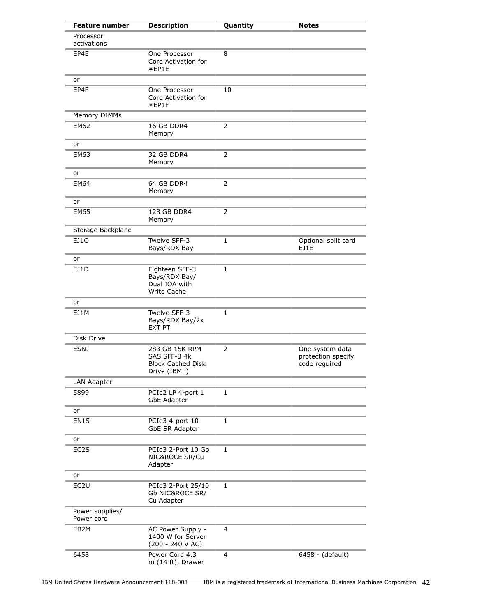| <b>Feature number</b>         | <b>Description</b>                                                          | Quantity       | <b>Notes</b>                                           |
|-------------------------------|-----------------------------------------------------------------------------|----------------|--------------------------------------------------------|
| Processor<br>activations      |                                                                             |                |                                                        |
| EP4E                          | One Processor<br>Core Activation for<br>#EP1E                               | 8              |                                                        |
| or                            |                                                                             |                |                                                        |
| EP4F                          | One Processor<br>Core Activation for<br>#EP1F                               | 10             |                                                        |
| Memory DIMMs                  |                                                                             |                |                                                        |
| <b>EM62</b>                   | 16 GB DDR4<br>Memory                                                        | $\overline{2}$ |                                                        |
| or                            |                                                                             |                |                                                        |
| <b>EM63</b>                   | 32 GB DDR4<br>Memory                                                        | $\overline{2}$ |                                                        |
| or                            |                                                                             |                |                                                        |
| EM64                          | 64 GB DDR4<br>Memory                                                        | 2              |                                                        |
| or                            |                                                                             |                |                                                        |
| <b>EM65</b>                   | 128 GB DDR4<br>Memory                                                       | 2              |                                                        |
| Storage Backplane             |                                                                             |                |                                                        |
| EJ1C                          | Twelve SFF-3<br>Bays/RDX Bay                                                | 1              | Optional split card<br>EJ1E                            |
| or                            |                                                                             |                |                                                        |
| EJ1D                          | Eighteen SFF-3<br>Bays/RDX Bay/<br>Dual IOA with<br>Write Cache             | 1              |                                                        |
| or                            |                                                                             |                |                                                        |
| EJ1M                          | Twelve SFF-3<br>Bays/RDX Bay/2x<br>EXT PT                                   | 1              |                                                        |
| Disk Drive                    |                                                                             |                |                                                        |
| <b>ESNJ</b>                   | 283 GB 15K RPM<br>SAS SFF-3 4k<br><b>Block Cached Disk</b><br>Drive (IBM i) | 2              | One system data<br>protection specify<br>code required |
| LAN Adapter                   |                                                                             |                |                                                        |
| 5899                          | PCIe2 LP 4-port 1<br><b>GbE Adapter</b>                                     | $\mathbf{1}$   |                                                        |
| or                            |                                                                             |                |                                                        |
| <b>EN15</b>                   | PCIe3 4-port 10<br>GbE SR Adapter                                           | $\mathbf{1}$   |                                                        |
| or                            |                                                                             |                |                                                        |
| EC2S                          | PCIe3 2-Port 10 Gb<br>NIC&ROCE SR/Cu<br>Adapter                             | $\mathbf{1}$   |                                                        |
| or                            |                                                                             |                |                                                        |
| EC <sub>2U</sub>              | PCIe3 2-Port 25/10<br>Gb NIC&ROCE SR/<br>Cu Adapter                         | $\mathbf{1}$   |                                                        |
| Power supplies/<br>Power cord |                                                                             |                |                                                        |
| EB2M                          | AC Power Supply -<br>1400 W for Server<br>$(200 - 240 V AC)$                | 4              |                                                        |
| 6458                          | Power Cord 4.3<br>m (14 ft), Drawer                                         | 4              | 6458 - (default)                                       |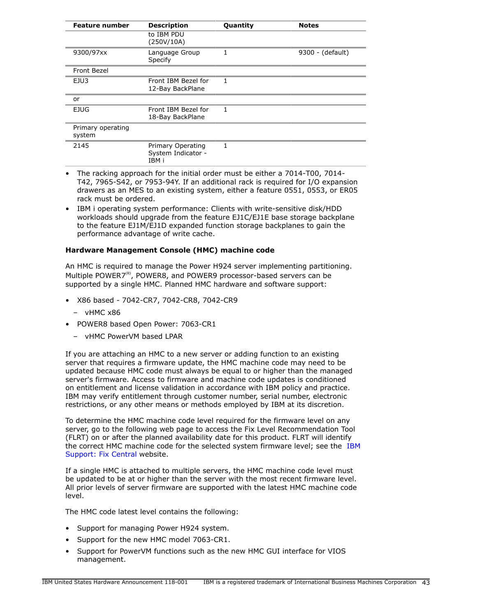| <b>Feature number</b>       | <b>Description</b>                               | <b>Quantity</b> | <b>Notes</b>     |
|-----------------------------|--------------------------------------------------|-----------------|------------------|
|                             | to IBM PDU<br>(250V/10A)                         |                 |                  |
| 9300/97xx                   | Language Group<br>Specify                        | 1               | 9300 - (default) |
| Front Bezel                 |                                                  |                 |                  |
| EJU3                        | Front IBM Bezel for<br>12-Bay BackPlane          | 1               |                  |
| or                          |                                                  |                 |                  |
| EJUG                        | Front IBM Bezel for<br>18-Bay BackPlane          | $\mathbf{1}$    |                  |
| Primary operating<br>system |                                                  |                 |                  |
| 2145                        | Primary Operating<br>System Indicator -<br>IBM i | 1               |                  |

- The racking approach for the initial order must be either a 7014-T00, 7014- T42, 7965-S42, or 7953-94Y. If an additional rack is required for I/O expansion drawers as an MES to an existing system, either a feature 0551, 0553, or ER05 rack must be ordered.
- IBM i operating system performance: Clients with write-sensitive disk/HDD workloads should upgrade from the feature EJ1C/EJ1E base storage backplane to the feature EJ1M/EJ1D expanded function storage backplanes to gain the performance advantage of write cache.

## **Hardware Management Console (HMC) machine code**

An HMC is required to manage the Power H924 server implementing partitioning. Multiple POWER7 $R$ , POWER8, and POWER9 processor-based servers can be supported by a single HMC. Planned HMC hardware and software support:

- X86 based 7042-CR7, 7042-CR8, 7042-CR9
	- $-$  vHMC  $\times$ 86
- POWER8 based Open Power: 7063-CR1
	- vHMC PowerVM based LPAR

If you are attaching an HMC to a new server or adding function to an existing server that requires a firmware update, the HMC machine code may need to be updated because HMC code must always be equal to or higher than the managed server's firmware. Access to firmware and machine code updates is conditioned on entitlement and license validation in accordance with IBM policy and practice. IBM may verify entitlement through customer number, serial number, electronic restrictions, or any other means or methods employed by IBM at its discretion.

To determine the HMC machine code level required for the firmware level on any server, go to the following web page to access the Fix Level Recommendation Tool (FLRT) on or after the planned availability date for this product. FLRT will identify the correct HMC machine code for the selected system firmware level; see the [IBM](https://www14.software.ibm.com/support/customercare/flrt/) [Support: Fix Central](https://www14.software.ibm.com/support/customercare/flrt/) website.

If a single HMC is attached to multiple servers, the HMC machine code level must be updated to be at or higher than the server with the most recent firmware level. All prior levels of server firmware are supported with the latest HMC machine code level.

The HMC code latest level contains the following:

- Support for managing Power H924 system.
- Support for the new HMC model 7063-CR1.
- Support for PowerVM functions such as the new HMC GUI interface for VIOS management.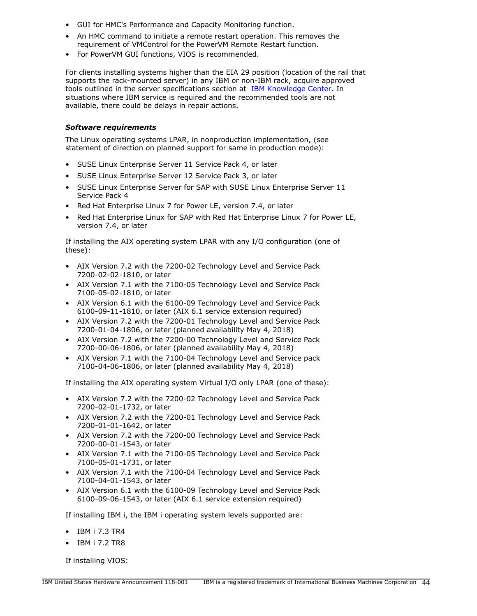- GUI for HMC's Performance and Capacity Monitoring function.
- An HMC command to initiate a remote restart operation. This removes the requirement of VMControl for the PowerVM Remote Restart function.
- For PowerVM GUI functions, VIOS is recommended.

For clients installing systems higher than the EIA 29 position (location of the rail that supports the rack-mounted server) in any IBM or non-IBM rack, acquire approved tools outlined in the server specifications section at [IBM Knowledge Center.](http://www.ibm.com/support/knowledgecenter/POWER9) In situations where IBM service is required and the recommended tools are not available, there could be delays in repair actions.

## *Software requirements*

The Linux operating systems LPAR, in nonproduction implementation, (see statement of direction on planned support for same in production mode):

- SUSE Linux Enterprise Server 11 Service Pack 4, or later
- SUSE Linux Enterprise Server 12 Service Pack 3, or later
- SUSE Linux Enterprise Server for SAP with SUSE Linux Enterprise Server 11 Service Pack 4
- Red Hat Enterprise Linux 7 for Power LE, version 7.4, or later
- Red Hat Enterprise Linux for SAP with Red Hat Enterprise Linux 7 for Power LE, version 7.4, or later

If installing the AIX operating system LPAR with any I/O configuration (one of these):

- AIX Version 7.2 with the 7200-02 Technology Level and Service Pack 7200-02-02-1810, or later
- AIX Version 7.1 with the 7100-05 Technology Level and Service Pack 7100-05-02-1810, or later
- AIX Version 6.1 with the 6100-09 Technology Level and Service Pack 6100-09-11-1810, or later (AIX 6.1 service extension required)
- AIX Version 7.2 with the 7200-01 Technology Level and Service Pack 7200-01-04-1806, or later (planned availability May 4, 2018)
- AIX Version 7.2 with the 7200-00 Technology Level and Service Pack 7200-00-06-1806, or later (planned availability May 4, 2018)
- AIX Version 7.1 with the 7100-04 Technology Level and Service pack 7100-04-06-1806, or later (planned availability May 4, 2018)

If installing the AIX operating system Virtual I/O only LPAR (one of these):

- AIX Version 7.2 with the 7200-02 Technology Level and Service Pack 7200-02-01-1732, or later
- AIX Version 7.2 with the 7200-01 Technology Level and Service Pack 7200-01-01-1642, or later
- AIX Version 7.2 with the 7200-00 Technology Level and Service Pack 7200-00-01-1543, or later
- AIX Version 7.1 with the 7100-05 Technology Level and Service Pack 7100-05-01-1731, or later
- AIX Version 7.1 with the 7100-04 Technology Level and Service Pack 7100-04-01-1543, or later
- AIX Version 6.1 with the 6100-09 Technology Level and Service Pack 6100-09-06-1543, or later (AIX 6.1 service extension required)

If installing IBM i, the IBM i operating system levels supported are:

- IBM i 7.3 TR4
- IBM i 7.2 TR8

If installing VIOS: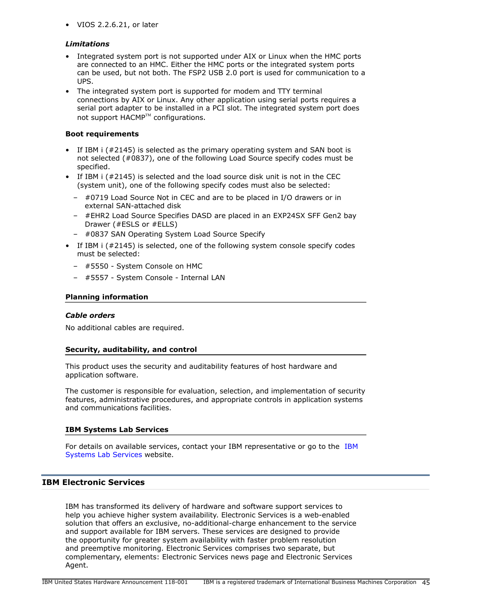• VIOS 2.2.6.21, or later

## *Limitations*

- Integrated system port is not supported under AIX or Linux when the HMC ports are connected to an HMC. Either the HMC ports or the integrated system ports can be used, but not both. The FSP2 USB 2.0 port is used for communication to a UPS.
- The integrated system port is supported for modem and TTY terminal connections by AIX or Linux. Any other application using serial ports requires a serial port adapter to be installed in a PCI slot. The integrated system port does not support  $HACMP^{TM}$  configurations.

## **Boot requirements**

- If IBM i (#2145) is selected as the primary operating system and SAN boot is not selected (#0837), one of the following Load Source specify codes must be specified.
- If IBM i (#2145) is selected and the load source disk unit is not in the CEC (system unit), one of the following specify codes must also be selected:
	- #0719 Load Source Not in CEC and are to be placed in I/O drawers or in external SAN-attached disk
	- #EHR2 Load Source Specifies DASD are placed in an EXP24SX SFF Gen2 bay Drawer (#ESLS or #ELLS)
	- #0837 SAN Operating System Load Source Specify
- If IBM i (#2145) is selected, one of the following system console specify codes must be selected:
	- #5550 System Console on HMC
	- #5557 System Console Internal LAN

## **Planning information**

#### *Cable orders*

No additional cables are required.

#### **Security, auditability, and control**

This product uses the security and auditability features of host hardware and application software.

The customer is responsible for evaluation, selection, and implementation of security features, administrative procedures, and appropriate controls in application systems and communications facilities.

#### **IBM Systems Lab Services**

For details on available services, contact your IBM representative or go to the [IBM](http://www.ibm.com/systems/services/labservices/) [Systems Lab Services](http://www.ibm.com/systems/services/labservices/) website.

## **IBM Electronic Services**

IBM has transformed its delivery of hardware and software support services to help you achieve higher system availability. Electronic Services is a web-enabled solution that offers an exclusive, no-additional-charge enhancement to the service and support available for IBM servers. These services are designed to provide the opportunity for greater system availability with faster problem resolution and preemptive monitoring. Electronic Services comprises two separate, but complementary, elements: Electronic Services news page and Electronic Services Agent.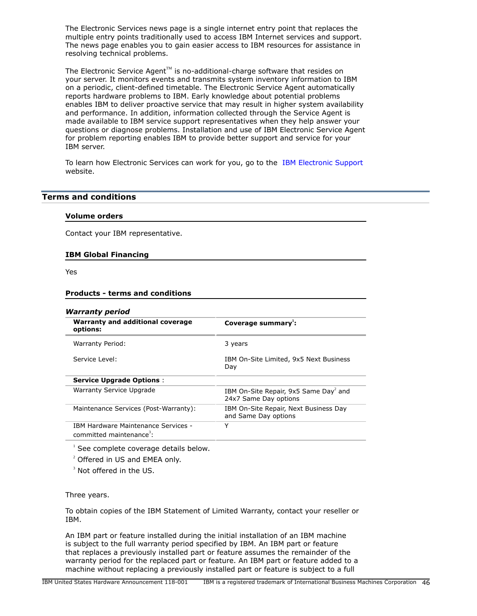The Electronic Services news page is a single internet entry point that replaces the multiple entry points traditionally used to access IBM Internet services and support. The news page enables you to gain easier access to IBM resources for assistance in resolving technical problems.

The Electronic Service Agent $T^M$  is no-additional-charge software that resides on your server. It monitors events and transmits system inventory information to IBM on a periodic, client-defined timetable. The Electronic Service Agent automatically reports hardware problems to IBM. Early knowledge about potential problems enables IBM to deliver proactive service that may result in higher system availability and performance. In addition, information collected through the Service Agent is made available to IBM service support representatives when they help answer your questions or diagnose problems. Installation and use of IBM Electronic Service Agent for problem reporting enables IBM to provide better support and service for your IBM server.

To learn how Electronic Services can work for you, go to the [IBM Electronic Support](http://www.ibm.com/support/electronic) website.

## <span id="page-45-0"></span>**Terms and conditions**

#### **Volume orders**

Contact your IBM representative.

#### **IBM Global Financing**

Yes

#### **Products - terms and conditions**

| <b>Warranty period</b>                                                             |                                                                            |
|------------------------------------------------------------------------------------|----------------------------------------------------------------------------|
| <b>Warranty and additional coverage</b><br>options:                                | Coverage summary:                                                          |
| Warranty Period:                                                                   | 3 years                                                                    |
| Service Level:                                                                     | IBM On-Site Limited, 9x5 Next Business<br>Day                              |
| <b>Service Upgrade Options:</b>                                                    |                                                                            |
| <b>Warranty Service Upgrade</b>                                                    | IBM On-Site Repair, 9x5 Same Day <sup>2</sup> and<br>24x7 Same Day options |
| Maintenance Services (Post-Warranty):                                              | IBM On-Site Repair, Next Business Day<br>and Same Day options              |
| <b>IBM Hardware Maintenance Services -</b><br>committed maintenance <sup>3</sup> : | Y                                                                          |
|                                                                                    |                                                                            |

<sup>1</sup> See complete coverage details below.

<sup>2</sup> Offered in US and EMEA only.

 $3$  Not offered in the US.

#### Three years.

To obtain copies of the IBM Statement of Limited Warranty, contact your reseller or IBM.

An IBM part or feature installed during the initial installation of an IBM machine is subject to the full warranty period specified by IBM. An IBM part or feature that replaces a previously installed part or feature assumes the remainder of the warranty period for the replaced part or feature. An IBM part or feature added to a machine without replacing a previously installed part or feature is subject to a full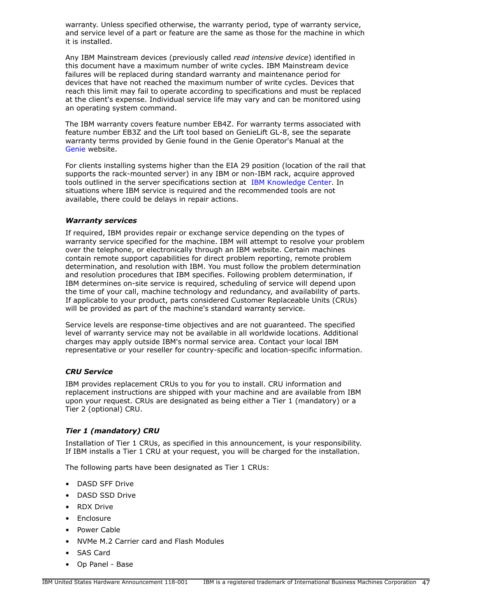warranty. Unless specified otherwise, the warranty period, type of warranty service, and service level of a part or feature are the same as those for the machine in which it is installed.

Any IBM Mainstream devices (previously called *read intensive device*) identified in this document have a maximum number of write cycles. IBM Mainstream device failures will be replaced during standard warranty and maintenance period for devices that have not reached the maximum number of write cycles. Devices that reach this limit may fail to operate according to specifications and must be replaced at the client's expense. Individual service life may vary and can be monitored using an operating system command.

The IBM warranty covers feature number EB4Z. For warranty terms associated with feature number EB3Z and the Lift tool based on GenieLift GL-8, see the separate warranty terms provided by Genie found in the Genie Operator's Manual at the [Genie](http://www.genielift.com) website.

For clients installing systems higher than the EIA 29 position (location of the rail that supports the rack-mounted server) in any IBM or non-IBM rack, acquire approved tools outlined in the server specifications section at [IBM Knowledge Center.](http://www.ibm.com/support/knowledgecenter/POWER9) In situations where IBM service is required and the recommended tools are not available, there could be delays in repair actions.

#### <span id="page-46-0"></span>*Warranty services*

If required, IBM provides repair or exchange service depending on the types of warranty service specified for the machine. IBM will attempt to resolve your problem over the telephone, or electronically through an IBM website. Certain machines contain remote support capabilities for direct problem reporting, remote problem determination, and resolution with IBM. You must follow the problem determination and resolution procedures that IBM specifies. Following problem determination, if IBM determines on-site service is required, scheduling of service will depend upon the time of your call, machine technology and redundancy, and availability of parts. If applicable to your product, parts considered Customer Replaceable Units (CRUs) will be provided as part of the machine's standard warranty service.

Service levels are response-time objectives and are not guaranteed. The specified level of warranty service may not be available in all worldwide locations. Additional charges may apply outside IBM's normal service area. Contact your local IBM representative or your reseller for country-specific and location-specific information.

## *CRU Service*

IBM provides replacement CRUs to you for you to install. CRU information and replacement instructions are shipped with your machine and are available from IBM upon your request. CRUs are designated as being either a Tier 1 (mandatory) or a Tier 2 (optional) CRU.

## *Tier 1 (mandatory) CRU*

Installation of Tier 1 CRUs, as specified in this announcement, is your responsibility. If IBM installs a Tier 1 CRU at your request, you will be charged for the installation.

The following parts have been designated as Tier 1 CRUs:

- DASD SFF Drive
- DASD SSD Drive
- RDX Drive
- Enclosure
- Power Cable
- NVMe M.2 Carrier card and Flash Modules
- SAS Card
- Op Panel Base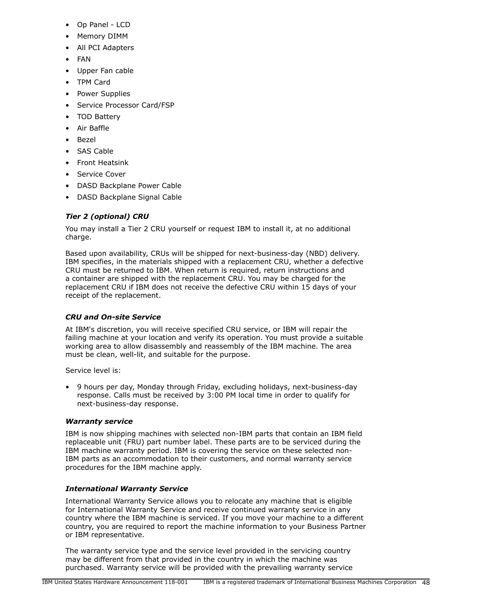- Op Panel LCD
- Memory DIMM
- All PCI Adapters
- FAN
- Upper Fan cable
- TPM Card
- Power Supplies
- Service Processor Card/FSP
- TOD Battery
- Air Baffle
- Bezel
- SAS Cable
- Front Heatsink
- Service Cover
- DASD Backplane Power Cable
- DASD Backplane Signal Cable

# *Tier 2 (optional) CRU*

You may install a Tier 2 CRU yourself or request IBM to install it, at no additional charge.

Based upon availability, CRUs will be shipped for next-business-day (NBD) delivery. IBM specifies, in the materials shipped with a replacement CRU, whether a defective CRU must be returned to IBM. When return is required, return instructions and a container are shipped with the replacement CRU. You may be charged for the replacement CRU if IBM does not receive the defective CRU within 15 days of your receipt of the replacement.

# *CRU and On-site Service*

At IBM's discretion, you will receive specified CRU service, or IBM will repair the failing machine at your location and verify its operation. You must provide a suitable working area to allow disassembly and reassembly of the IBM machine. The area must be clean, well-lit, and suitable for the purpose.

Service level is:

• 9 hours per day, Monday through Friday, excluding holidays, next-business-day response. Calls must be received by 3:00 PM local time in order to qualify for next-business-day response.

# *Warranty service*

IBM is now shipping machines with selected non-IBM parts that contain an IBM field replaceable unit (FRU) part number label. These parts are to be serviced during the IBM machine warranty period. IBM is covering the service on these selected non-IBM parts as an accommodation to their customers, and normal warranty service procedures for the IBM machine apply.

# *International Warranty Service*

International Warranty Service allows you to relocate any machine that is eligible for International Warranty Service and receive continued warranty service in any country where the IBM machine is serviced. If you move your machine to a different country, you are required to report the machine information to your Business Partner or IBM representative.

The warranty service type and the service level provided in the servicing country may be different from that provided in the country in which the machine was purchased. Warranty service will be provided with the prevailing warranty service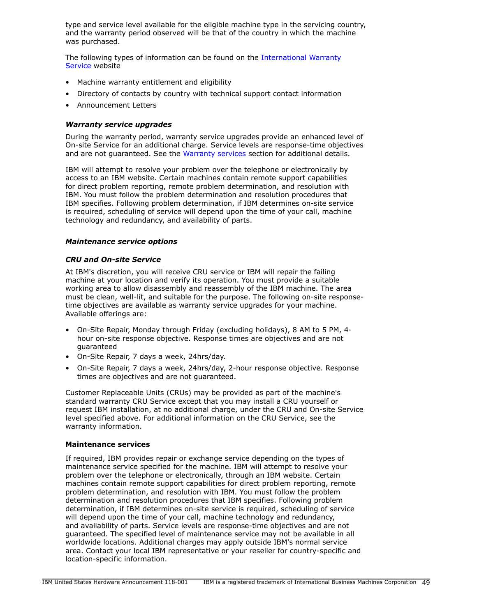type and service level available for the eligible machine type in the servicing country, and the warranty period observed will be that of the country in which the machine was purchased.

The following types of information can be found on the [International Warranty](https://www.ibm.com/systems/support/machine_warranties/iws.html) [Service](https://www.ibm.com/systems/support/machine_warranties/iws.html) website

- Machine warranty entitlement and eligibility
- Directory of contacts by country with technical support contact information
- Announcement Letters

## *Warranty service upgrades*

During the warranty period, warranty service upgrades provide an enhanced level of On-site Service for an additional charge. Service levels are response-time objectives and are not guaranteed. See the [Warranty services](#page-46-0) section for additional details.

IBM will attempt to resolve your problem over the telephone or electronically by access to an IBM website. Certain machines contain remote support capabilities for direct problem reporting, remote problem determination, and resolution with IBM. You must follow the problem determination and resolution procedures that IBM specifies. Following problem determination, if IBM determines on-site service is required, scheduling of service will depend upon the time of your call, machine technology and redundancy, and availability of parts.

#### *Maintenance service options*

#### *CRU and On-site Service*

At IBM's discretion, you will receive CRU service or IBM will repair the failing machine at your location and verify its operation. You must provide a suitable working area to allow disassembly and reassembly of the IBM machine. The area must be clean, well-lit, and suitable for the purpose. The following on-site responsetime objectives are available as warranty service upgrades for your machine. Available offerings are:

- On-Site Repair, Monday through Friday (excluding holidays), 8 AM to 5 PM, 4 hour on-site response objective. Response times are objectives and are not guaranteed
- On-Site Repair, 7 days a week, 24hrs/day.
- On-Site Repair, 7 days a week, 24hrs/day, 2-hour response objective. Response times are objectives and are not guaranteed.

Customer Replaceable Units (CRUs) may be provided as part of the machine's standard warranty CRU Service except that you may install a CRU yourself or request IBM installation, at no additional charge, under the CRU and On-site Service level specified above. For additional information on the CRU Service, see the warranty information.

#### **Maintenance services**

If required, IBM provides repair or exchange service depending on the types of maintenance service specified for the machine. IBM will attempt to resolve your problem over the telephone or electronically, through an IBM website. Certain machines contain remote support capabilities for direct problem reporting, remote problem determination, and resolution with IBM. You must follow the problem determination and resolution procedures that IBM specifies. Following problem determination, if IBM determines on-site service is required, scheduling of service will depend upon the time of your call, machine technology and redundancy, and availability of parts. Service levels are response-time objectives and are not guaranteed. The specified level of maintenance service may not be available in all worldwide locations. Additional charges may apply outside IBM's normal service area. Contact your local IBM representative or your reseller for country-specific and location-specific information.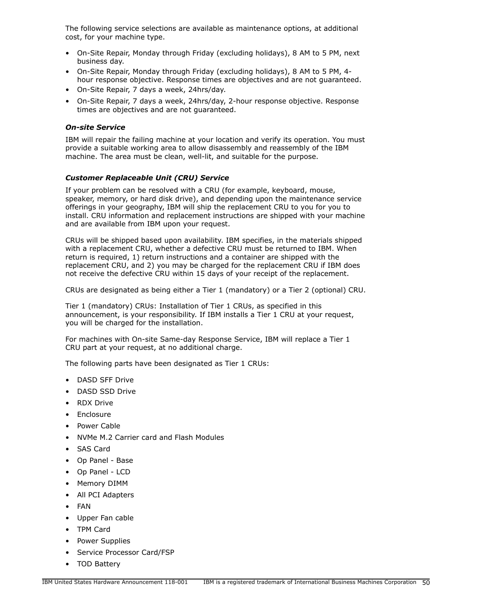The following service selections are available as maintenance options, at additional cost, for your machine type.

- On-Site Repair, Monday through Friday (excluding holidays), 8 AM to 5 PM, next business day.
- On-Site Repair, Monday through Friday (excluding holidays), 8 AM to 5 PM, 4 hour response objective. Response times are objectives and are not guaranteed.
- On-Site Repair, 7 days a week, 24hrs/day.
- On-Site Repair, 7 days a week, 24hrs/day, 2-hour response objective. Response times are objectives and are not guaranteed.

## *On-site Service*

IBM will repair the failing machine at your location and verify its operation. You must provide a suitable working area to allow disassembly and reassembly of the IBM machine. The area must be clean, well-lit, and suitable for the purpose.

## *Customer Replaceable Unit (CRU) Service*

If your problem can be resolved with a CRU (for example, keyboard, mouse, speaker, memory, or hard disk drive), and depending upon the maintenance service offerings in your geography, IBM will ship the replacement CRU to you for you to install. CRU information and replacement instructions are shipped with your machine and are available from IBM upon your request.

CRUs will be shipped based upon availability. IBM specifies, in the materials shipped with a replacement CRU, whether a defective CRU must be returned to IBM. When return is required, 1) return instructions and a container are shipped with the replacement CRU, and 2) you may be charged for the replacement CRU if IBM does not receive the defective CRU within 15 days of your receipt of the replacement.

CRUs are designated as being either a Tier 1 (mandatory) or a Tier 2 (optional) CRU.

Tier 1 (mandatory) CRUs: Installation of Tier 1 CRUs, as specified in this announcement, is your responsibility. If IBM installs a Tier 1 CRU at your request, you will be charged for the installation.

For machines with On-site Same-day Response Service, IBM will replace a Tier 1 CRU part at your request, at no additional charge.

The following parts have been designated as Tier 1 CRUs:

- DASD SFF Drive
- DASD SSD Drive
- RDX Drive
- **Enclosure**
- Power Cable
- NVMe M.2 Carrier card and Flash Modules
- SAS Card
- Op Panel Base
- Op Panel LCD
- Memory DIMM
- All PCI Adapters
- FAN
- Upper Fan cable
- TPM Card
- Power Supplies
- Service Processor Card/FSP
- TOD Battery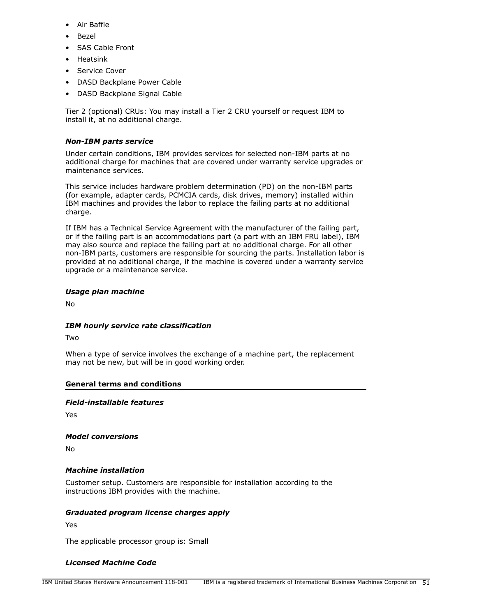- Air Baffle
- Bezel
- SAS Cable Front
- Heatsink
- Service Cover
- DASD Backplane Power Cable
- DASD Backplane Signal Cable

Tier 2 (optional) CRUs: You may install a Tier 2 CRU yourself or request IBM to install it, at no additional charge.

# *Non-IBM parts service*

Under certain conditions, IBM provides services for selected non-IBM parts at no additional charge for machines that are covered under warranty service upgrades or maintenance services.

This service includes hardware problem determination (PD) on the non-IBM parts (for example, adapter cards, PCMCIA cards, disk drives, memory) installed within IBM machines and provides the labor to replace the failing parts at no additional charge.

If IBM has a Technical Service Agreement with the manufacturer of the failing part, or if the failing part is an accommodations part (a part with an IBM FRU label), IBM may also source and replace the failing part at no additional charge. For all other non-IBM parts, customers are responsible for sourcing the parts. Installation labor is provided at no additional charge, if the machine is covered under a warranty service upgrade or a maintenance service.

# *Usage plan machine*

No

## *IBM hourly service rate classification*

Two

When a type of service involves the exchange of a machine part, the replacement may not be new, but will be in good working order.

## **General terms and conditions**

*Field-installable features*

Yes

*Model conversions*

No

## *Machine installation*

Customer setup. Customers are responsible for installation according to the instructions IBM provides with the machine.

## *Graduated program license charges apply*

Yes

The applicable processor group is: Small

# *Licensed Machine Code*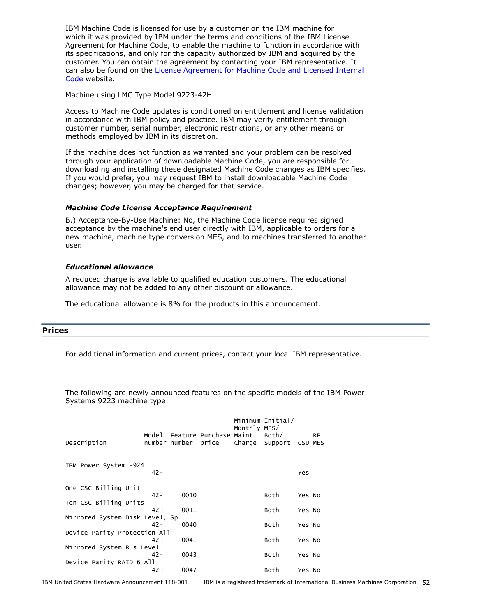IBM Machine Code is licensed for use by a customer on the IBM machine for which it was provided by IBM under the terms and conditions of the IBM License Agreement for Machine Code, to enable the machine to function in accordance with its specifications, and only for the capacity authorized by IBM and acquired by the customer. You can obtain the agreement by contacting your IBM representative. It can also be found on the [License Agreement for Machine Code and Licensed Internal](http://www.ibm.com/systems/support/machine_warranties/machine_code.html) [Code](http://www.ibm.com/systems/support/machine_warranties/machine_code.html) website.

Machine using LMC Type Model 9223-42H

Access to Machine Code updates is conditioned on entitlement and license validation in accordance with IBM policy and practice. IBM may verify entitlement through customer number, serial number, electronic restrictions, or any other means or methods employed by IBM in its discretion.

If the machine does not function as warranted and your problem can be resolved through your application of downloadable Machine Code, you are responsible for downloading and installing these designated Machine Code changes as IBM specifies. If you would prefer, you may request IBM to install downloadable Machine Code changes; however, you may be charged for that service.

#### *Machine Code License Acceptance Requirement*

B.) Acceptance-By-Use Machine: No, the Machine Code license requires signed acceptance by the machine's end user directly with IBM, applicable to orders for a new machine, machine type conversion MES, and to machines transferred to another user.

#### *Educational allowance*

A reduced charge is available to qualified education customers. The educational allowance may not be added to any other discount or allowance.

The educational allowance is 8% for the products in this announcement.

## <span id="page-51-0"></span>**Prices**

For additional information and current prices, contact your local IBM representative.

The following are newly announced features on the specific models of the IBM Power Systems 9223 machine type:

| Description                    | Mode 1 |      | Feature Purchase Maint.<br>number number price | Monthly MES/ | Minimum Initial/<br>Both/<br>Charge Support | CSU MES | <b>RP</b> |
|--------------------------------|--------|------|------------------------------------------------|--------------|---------------------------------------------|---------|-----------|
| IBM Power System H924          | 42H    |      |                                                |              |                                             | Yes     |           |
|                                |        |      |                                                |              |                                             |         |           |
| One CSC Billing Unit           |        |      |                                                |              |                                             |         |           |
|                                | 42H    | 0010 |                                                |              | Both                                        | Yes No  |           |
| Ten CSC Billing Units          |        |      |                                                |              |                                             |         |           |
|                                | 42H    | 0011 |                                                |              | Both                                        | Yes No  |           |
| Mirrored System Disk Level, Sp |        |      |                                                |              |                                             |         |           |
|                                | 42H    | 0040 |                                                |              | Both                                        | Yes No  |           |
| Device Parity Protection All   |        |      |                                                |              |                                             |         |           |
|                                | 42H    | 0041 |                                                |              | Both                                        | Yes No  |           |
| Mirrored System Bus Level      |        |      |                                                |              |                                             |         |           |
|                                | 42H    | 0043 |                                                |              | Both                                        | Yes No  |           |
| Device Parity RAID 6 All       |        |      |                                                |              |                                             |         |           |
|                                | 42H    | 0047 |                                                |              | Both                                        | Yes No  |           |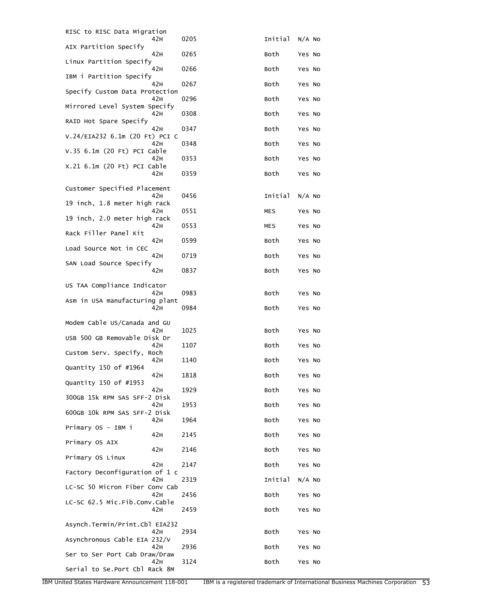| RISC to RISC Data Migration            |      |         |          |
|----------------------------------------|------|---------|----------|
| 42H<br>AIX Partition Specify           | 0205 | Initial | $N/A$ No |
| 42H<br>Linux Partition Specify         | 0265 | Both    | Yes No   |
| 42 H<br>IBM i Partition Specify        | 0266 | Both    | Yes No   |
| 42H<br>Specify Custom Data Protection  | 0267 | Both    | Yes No   |
| 42 H<br>Mirrored Level System Specify  | 0296 | Both    | Yes No   |
| 42H<br>RAID Hot Spare Specify          | 0308 | Both    | Yes No   |
| 42 H<br>V.24/EIA232 6.1m (20 Ft) PCI C | 0347 | Both    | Yes No   |
| 42 H<br>V.35 6.1m (20 Ft) PCI Cable    | 0348 | Both    | Yes No   |
| 42 H<br>X.21 6.1m (20 Ft) PCI Cable    | 0353 | Both    | Yes No   |
| 42H                                    | 0359 | Both    | Yes No   |
| Customer Specified Placement<br>42 H   | 0456 | Initial | $N/A$ No |
| 19 inch, 1.8 meter high rack<br>42 H   | 0551 | MES     | Yes No   |
| 19 inch, 2.0 meter high rack<br>42H    | 0553 | MES     | Yes No   |
| Rack Filler Panel Kit<br>42H           | 0599 | Both    | Yes No   |
| Load Source Not in CEC<br>42 H         | 0719 | Both    | Yes No   |
| SAN Load Source Specify<br>42 H        | 0837 | Both    | Yes No   |
| US TAA Compliance Indicator            |      |         |          |
| 42 H<br>Asm in USA manufacturing plant | 0983 | Both    | Yes No   |
| 42H                                    | 0984 | Both    | Yes No   |
| Modem Cable US/Canada and GU           |      |         |          |
| 42 H<br>USB 500 GB Removable Disk Dr   | 1025 | Both    | Yes No   |
| 42H<br>Custom Serv. Specify, Roch      | 1107 | Both    | Yes No   |
| 42H<br>Quantity 150 of #1964           | 1140 | Both    | Yes No   |
| 42 H<br>Quantity 150 of #1953          | 1818 | Both    | Yes No   |
| 42 H<br>300GB 15k RPM SAS SFF-2 Disk   | 1929 | Both    | Yes No   |
| 42 H<br>600GB 10k RPM SAS SFF-2 Disk   | 1953 | Both    | Yes No   |
| 42H<br>Primary OS - IBM i              | 1964 | Both    | Yes No   |
| 42H<br>Primary OS AIX                  | 2145 | Both    | Yes No   |
| 42H<br>Primary OS Linux                | 2146 | Both    | Yes No   |
| 42H<br>Factory Deconfiguration of 1 c  | 2147 | Both    | Yes No   |
| 42H<br>LC-SC 50 Micron Fiber Conv Cab  | 2319 | Initial | $N/A$ No |
| 42 H<br>LC-SC 62.5 Mic.Fib.Conv.Cable  | 2456 | Both    | Yes No   |
| 42H                                    | 2459 | Both    | Yes No   |
| Asynch.Termin/Print.Cbl EIA232<br>42 H | 2934 | Both    |          |
| Asynchronous Cable EIA 232/V           |      |         | Yes No   |
| 42 H<br>Ser to Ser Port Cab Draw/Draw  | 2936 | Both    | Yes No   |
| 42 H<br>Serial to Se. Port Cbl Rack 8M | 3124 | Both    | Yes No   |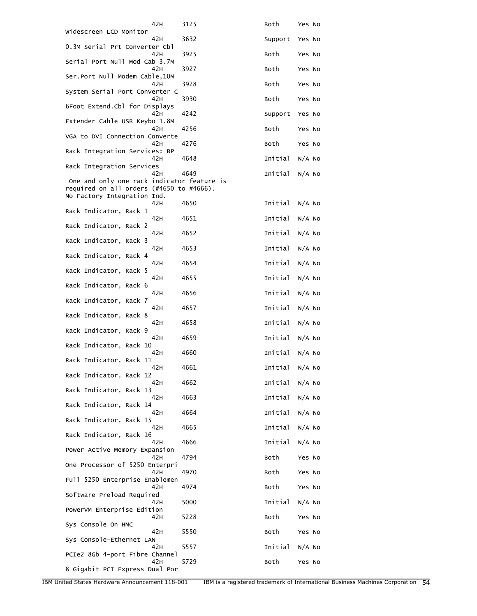| 42H                                                                     | 3125 | Both    | Yes No   |
|-------------------------------------------------------------------------|------|---------|----------|
| Widescreen LCD Monitor<br>42H                                           | 3632 | Support | Yes No   |
| 0.3M Serial Prt Converter Cbl<br>42 H                                   | 3925 | Both    | Yes No   |
| Serial Port Null Mod Cab 3.7M<br>42H                                    | 3927 | Both    | Yes No   |
| Ser.Port Null Modem Cable,10M<br>42H                                    | 3928 | Both    | Yes No   |
| System Serial Port Converter C<br>42H                                   | 3930 | Both    | Yes No   |
| 6Foot Extend.Cbl for Displays<br>42H                                    | 4242 | Support | Yes No   |
| Extender Cable USB Keybo 1.8M<br>42 H                                   |      | Both    |          |
| VGA to DVI Connection Converte                                          | 4256 |         | Yes No   |
| 42 H<br>Rack Integration Services: BP                                   | 4276 | Both    | Yes No   |
| 42H<br>Rack Integration Services                                        | 4648 | Initial | $N/A$ No |
| 42H<br>One and only one rack indicator feature is                       | 4649 | Initial | $N/A$ No |
| required on all orders (#4650 to #4666).<br>No Factory Integration Ind. |      |         |          |
| 42 H<br>Rack Indicator, Rack 1                                          | 4650 | Initial | $N/A$ No |
| 42H<br>Rack Indicator, Rack 2                                           | 4651 | Initial | $N/A$ No |
| 42H<br>Rack Indicator, Rack 3                                           | 4652 | Initial | $N/A$ No |
| 42H                                                                     | 4653 | Initial | $N/A$ No |
| Rack Indicator, Rack 4<br>42 H                                          | 4654 | Initial | $N/A$ No |
| Rack Indicator, Rack 5<br>42H                                           | 4655 | Initial | $N/A$ No |
| Rack Indicator, Rack 6<br>42H                                           | 4656 | Initial | $N/A$ No |
| Rack Indicator, Rack 7<br>42H                                           | 4657 | Initial | $N/A$ No |
| Rack Indicator, Rack 8<br>42H                                           | 4658 | Initial | $N/A$ No |
| Rack Indicator, Rack 9<br>42 H                                          | 4659 | Initial | $N/A$ No |
| Rack Indicator, Rack 10<br>42H                                          | 4660 | Initial | $N/A$ No |
| Rack Indicator, Rack 11<br>42 H                                         | 4661 | Initial | $N/A$ No |
| Rack Indicator, Rack 12<br>42H                                          | 4662 | Initial | $N/A$ No |
| Rack Indicator, Rack 13<br>42H                                          | 4663 | Initial |          |
| Rack Indicator, Rack 14                                                 |      |         | $N/A$ No |
| 42 H<br>Rack Indicator, Rack 15                                         | 4664 | Initial | $N/A$ NO |
| 42H<br>Rack Indicator, Rack 16                                          | 4665 | Initial | $N/A$ No |
| 42H<br>Power Active Memory Expansion                                    | 4666 | Initial | $N/A$ NO |
| 42H<br>One Processor of 5250 Enterpri                                   | 4794 | Both    | Yes No   |
| 42H<br>Full 5250 Enterprise Enablemen                                   | 4970 | Both    | Yes No   |
| 42H<br>Software Preload Required                                        | 4974 | Both    | Yes No   |
| 42 H                                                                    | 5000 | Initial | $N/A$ No |
| PowerVM Enterprise Edition<br>42H                                       | 5228 | Both    | Yes No   |
| Sys Console On HMC<br>42H                                               | 5550 | Both    | Yes No   |
| Sys Console-Ethernet LAN<br>42H                                         | 5557 | Initial | $N/A$ No |
| PCIe2 8Gb 4-port Fibre Channel<br>42H                                   | 5729 | Both    | Yes No   |
| 8 Gigabit PCI Express Dual Por                                          |      |         |          |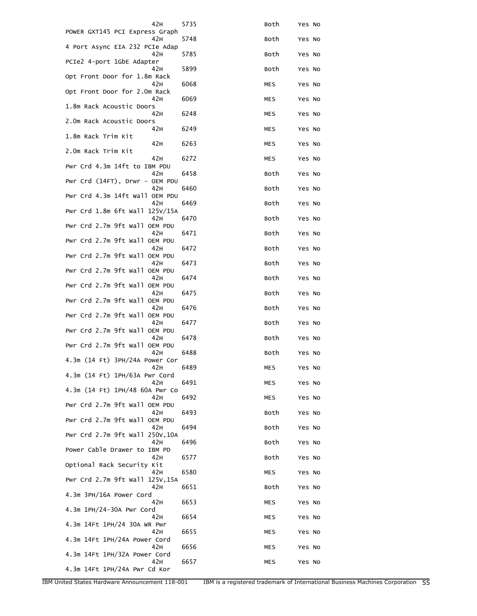| 42H                                      | 5735 | Both       | Yes No |
|------------------------------------------|------|------------|--------|
| POWER GXT145 PCI Express Graph<br>42 H   | 5748 | Both       | Yes No |
| 4 Port Async EIA 232 PCIe Adap<br>42 H   | 5785 | Both       | Yes No |
| PCIe2 4-port 1GbE Adapter<br>42 H        | 5899 | Both       | Yes No |
| Opt Front Door for 1.8m Rack             |      |            |        |
| 42 H<br>Opt Front Door for 2.0m Rack     | 6068 | MES        | Yes No |
| 42H<br>1.8m Rack Acoustic Doors          | 6069 | MES        | Yes No |
| 42 H<br>2.0m Rack Acoustic Doors         | 6248 | MES        | Yes No |
| 42 H<br>1.8m Rack Trim Kit               | 6249 | MES        | Yes No |
| 42H<br>2.0m Rack Trim Kit                | 6263 | MES        | Yes No |
| 42H<br>Pwr Crd 4.3m 14ft to IBM PDU      | 6272 | MES        | Yes No |
| 42H                                      | 6458 | Both       | Yes No |
| Pwr Crd $(14FT)$ , Drwr - OEM PDU<br>42H | 6460 | Both       | Yes No |
| Pwr Crd 4.3m 14ft Wall OEM PDU<br>42 H   | 6469 | Both       | Yes No |
| Pwr Crd 1.8m 6ft Wall 125V/15A<br>42H    | 6470 | Both       | Yes No |
| Pwr Crd 2.7m 9ft Wall OEM PDU<br>42H     | 6471 | Both       | Yes No |
| Pwr Crd 2.7m 9ft Wall OEM PDU<br>42 H    | 6472 | Both       | Yes No |
| Pwr Crd 2.7m 9ft Wall OEM PDU            |      |            |        |
| 42 H<br>Pwr Crd 2.7m 9ft Wall OEM PDU    | 6473 | Both       | Yes No |
| 42 H<br>Pwr Crd 2.7m 9ft Wall OEM PDU    | 6474 | Both       | Yes No |
| 42H<br>Pwr Crd 2.7m 9ft Wall OEM PDU     | 6475 | Both       | Yes No |
| 42H<br>Pwr Crd 2.7m 9ft Wall OEM PDU     | 6476 | Both       | Yes No |
| 42 H<br>Pwr Crd 2.7m 9ft Wall OEM PDU    | 6477 | Both       | Yes No |
| 42 H<br>Pwr Crd 2.7m 9ft Wall OEM PDU    | 6478 | Both       | Yes No |
| 42 H                                     | 6488 | Both       | Yes No |
| 4.3m (14 Ft) 3PH/24A Power Cor<br>42H    | 6489 | MES        | Yes No |
| 4.3m (14 Ft) 1PH/63A Pwr Cord<br>42H     | 6491 | MES        | Yes No |
| 4.3m (14 Ft) 1PH/48 60A Pwr Co<br>42H    | 6492 | <b>MES</b> | Yes No |
| Pwr Crd 2.7m 9ft Wall OEM PDU<br>42 H    | 6493 | Both       | Yes No |
| Pwr Crd 2.7m 9ft Wall OEM PDU<br>42H     | 6494 | Both       | Yes No |
| Pwr Crd 2.7m 9ft Wall 250V, 10A          |      |            |        |
| 42H<br>Power Cable Drawer to IBM PD      | 6496 | Both       | Yes No |
| 42H<br>Optional Rack Security Kit        | 6577 | Both       | Yes No |
| 42H<br>Pwr Crd 2.7m 9ft Wall 125V, 15A   | 6580 | MES        | Yes No |
| 42 H<br>4.3m 3PH/16A Power Cord          | 6651 | Both       | Yes No |
| 42 H<br>4.3m 1PH/24-30A Pwr Cord         | 6653 | MES        | Yes No |
| 42H                                      | 6654 | MES        | Yes No |
| 4.3m 14Ft 1PH/24 30A WR Pwr<br>42H       | 6655 | MES        | Yes No |
| 4.3m 14Ft 1PH/24A Power Cord<br>42H      | 6656 | MES        | Yes No |
| 4.3m 14Ft 1PH/32A Power Cord<br>42 H     | 6657 | MES        | Yes No |
| 4.3m 14Ft 1PH/24A Pwr Cd Kor             |      |            |        |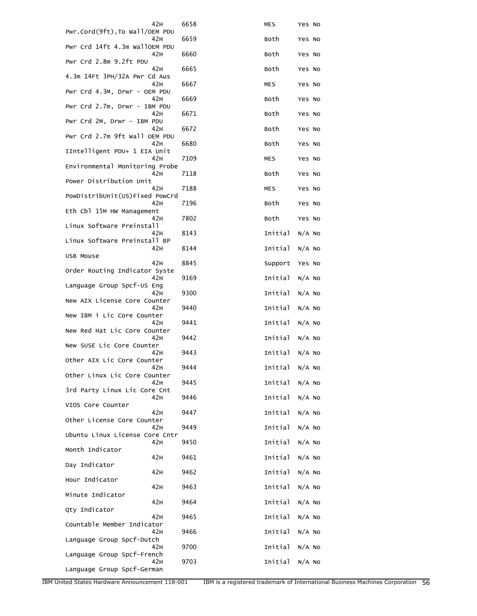| 42 H                                   | 6658 | <b>MES</b>     | Yes No   |
|----------------------------------------|------|----------------|----------|
| Pwr.Cord(9ft), To Wall/OEM PDU<br>42 H | 6659 | Both           | Yes No   |
| Pwr Crd 14ft 4.3m WallOEM PDU<br>42 H  | 6660 | Both           | Yes No   |
| Pwr Crd 2.8m 9.2ft PDU<br>42H          | 6665 | Both           | Yes No   |
| 4.3m 14Ft 3PH/32A Pwr Cd Aus           |      |                |          |
| 42H<br>Pwr Crd 4.3M, Drwr - OEM PDU    | 6667 | MES            | Yes No   |
| 42 H<br>Pwr Crd 2.7m, Drwr - IBM PDU   | 6669 | Both           | Yes No   |
| 42 H<br>Pwr Crd 2M, Drwr - IBM PDU     | 6671 | Both           | Yes No   |
| 42 H                                   | 6672 | Both           | Yes No   |
| Pwr Crd 2.7m 9ft Wall OEM PDU<br>42H   | 6680 | Both           | Yes No   |
| IIntelligent PDU+ 1 EIA Unit<br>42H    | 7109 | MES            | Yes No   |
| Environmental Monitoring Probe<br>42 H | 7118 | Both           | Yes No   |
| Power Distribution Unit<br>42H         | 7188 | MES            | Yes No   |
| PowDistribUnit(US)Fixed PowCrd         |      |                |          |
| 42 H<br>Eth Cbl 15M HW Management      | 7196 | Both           | Yes No   |
| 42H<br>Linux Software Preinstall       | 7802 | Both           | Yes No   |
| 42 H<br>Linux Software Preinstall BP   | 8143 | Initial        | $N/A$ No |
| 42H                                    | 8144 | Initial        | $N/A$ No |
| USB Mouse<br>42H                       | 8845 | Support        | Yes No   |
| Order Routing Indicator Syste<br>42H   | 9169 | Initial        | $N/A$ No |
| Language Group Spcf-US Eng<br>42H      | 9300 | Initial        | $N/A$ No |
| New AIX License Core Counter<br>42 H   | 9440 | Initial        | $N/A$ No |
| New IBM i Lic Core Counter             |      |                |          |
| 42 H<br>New Red Hat Lic Core Counter   | 9441 | Initial        | $N/A$ No |
| 42 H<br>New SUSE Lic Core Counter      | 9442 | Initial        | $N/A$ No |
| 42 H<br>Other AIX Lic Core Counter     | 9443 | Initial        | $N/A$ No |
| 42H<br>Other Linux Lic Core Counter    | 9444 | Initial N/A No |          |
| 42 H                                   | 9445 | Initial        | N/A NO   |
| 3rd Party Linux Lic Core Cnt<br>42H    | 9446 | Initial        | N/A NO   |
| VIOS Core Counter<br>42H               | 9447 | Initial        | $N/A$ NO |
| Other License Core Counter<br>42H      | 9449 | Initial        | $N/A$ No |
| Ubuntu Linux License Core Cntr<br>42H  | 9450 | Initial        | $N/A$ No |
| Month Indicator                        |      |                |          |
| 42H<br>Day Indicator                   | 9461 | Initial        | N/A NO   |
| 42H<br>Hour Indicator                  | 9462 | Initial        | $N/A$ No |
| 42H<br>Minute Indicator                | 9463 | Initial        | $N/A$ NO |
| 42 H                                   | 9464 | Initial        | $N/A$ No |
| Qty Indicator<br>42 H                  | 9465 | Initial        | $N/A$ No |
| Countable Member Indicator<br>42H      | 9466 | Initial        | N/A NO   |
| Language Group Spcf-Dutch<br>42 H      | 9700 | Initial        | $N/A$ No |
| Language Group Spcf-French<br>42H      | 9703 | Initial        | $N/A$ No |
| Language Group Spcf-German             |      |                |          |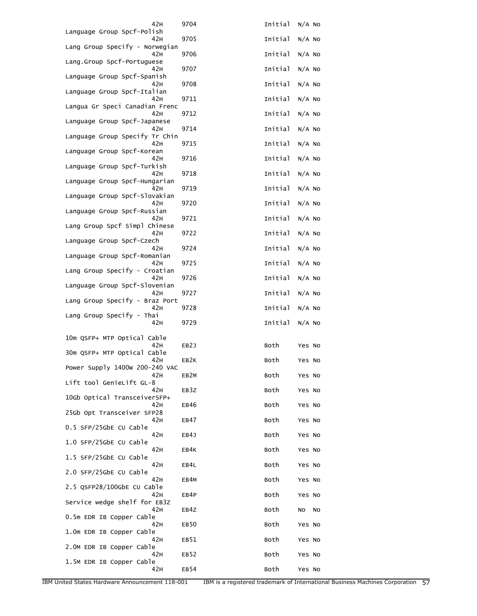| 42 H                                   | 9704              | Initial | $N/A$ No |  |
|----------------------------------------|-------------------|---------|----------|--|
| Language Group Spcf-Polish<br>42H      | 9705              | Initial | $N/A$ NO |  |
| Lang Group Specify - Norwegian<br>42H  | 9706              | Initial | $N/A$ No |  |
| Lang.Group Spcf-Portuguese<br>42H      | 9707              | Initial | $N/A$ No |  |
| Language Group Spcf-Spanish<br>42H     | 9708              | Initial | $N/A$ No |  |
| Language Group Spcf-Italian<br>42 H    | 9711              | Initial | $N/A$ No |  |
| Langua Gr Speci Canadian Frenc<br>42 H | 9712              | Initial | $N/A$ No |  |
| Language Group Spcf-Japanese<br>42H    |                   | Initial |          |  |
| Language Group Specify Tr Chin         | 9714              |         | $N/A$ No |  |
| 42H<br>Language Group Spcf-Korean      | 9715              | Initial | $N/A$ No |  |
| 42H<br>Language Group Spcf-Turkish     | 9716              | Initial | $N/A$ No |  |
| 42 H<br>Language Group Spcf-Hungarian  | 9718              | Initial | $N/A$ No |  |
| 42H<br>Language Group Spcf-Slovakian   | 9719              | Initial | $N/A$ No |  |
| 42H<br>Language Group Spcf-Russian     | 9720              | Initial | $N/A$ No |  |
| 42H<br>Lang Group Spcf Simpl Chinese   | 9721              | Initial | $N/A$ No |  |
| 42H<br>Language Group Spcf-Czech       | 9722              | Initial | $N/A$ No |  |
| 42 H                                   | 9724              | Initial | $N/A$ No |  |
| Language Group Spcf-Romanian<br>42 H   | 9725              | Initial | $N/A$ No |  |
| Lang Group Specify - Croatian<br>42H   | 9726              | Initial | $N/A$ No |  |
| Language Group Spcf-Slovenian<br>42H   | 9727              | Initial | $N/A$ No |  |
| Lang Group Specify - Braz Port<br>42 H | 9728              | Initial | $N/A$ No |  |
| Lang Group Specify - Thai<br>42H       | 9729              | Initial | $N/A$ No |  |
| 10m QSFP+ MTP Optical Cable            |                   |         |          |  |
| 42H<br>30m QSFP+ MTP Optical Cable     | EB2J              | Both    | Yes No   |  |
| 42 H<br>Power Supply 1400w 200-240 VAC | EB <sub>2</sub> K | Both    | Yes No   |  |
| 42H<br>Lift tool GenieLift GL-8        | EB <sub>2</sub> M | Both    | Yes No   |  |
| 42H                                    | EB3Z              | Both    | Yes No   |  |
| 10Gb Optical TransceiverSFP+<br>42H    | EB46              | Both    | Yes No   |  |
| 25Gb Opt Transceiver SFP28<br>42H      | EB47              | Both    | Yes No   |  |
| 0.5 SFP/25GbE CU Cable<br>42 H         | EB4J              | Both    | Yes No   |  |
| 1.0 SFP/25GbE CU Cable<br>42 H         | EB4K              | Both    | Yes No   |  |
| 1.5 SFP/25GbE CU Cable<br>42 H         | EB4L              | Both    | Yes No   |  |
| 2.0 SFP/25GbE CU Cable<br>42H          | EB4M              | Both    | Yes No   |  |
| 2.5 QSFP28/100GbE CU Cable<br>42 H     | EB4P              | Both    | Yes No   |  |
| Service wedge shelf for EB3Z           |                   |         |          |  |
| 42 H<br>0.5m EDR IB Copper Cable       | EB4Z              | Both    | No<br>No |  |
| 42 H<br>1.0m EDR IB Copper Cable       | EB <sub>50</sub>  | Both    | Yes No   |  |
| 42 H<br>2.0M EDR IB Copper Cable       | EB51              | Both    | Yes No   |  |
| 42H<br>1.5M EDR IB Copper Cable        | EB <sub>52</sub>  | Both    | Yes No   |  |
| 42H                                    | EB54              | Both    | Yes No   |  |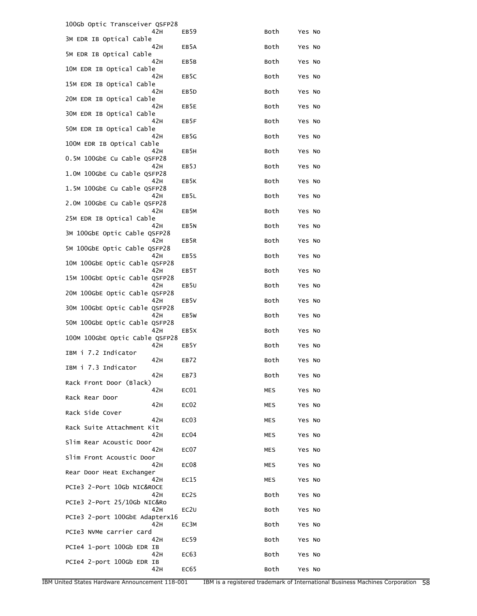|                   |                                                                                                                                 | Yes No                                                                       |
|-------------------|---------------------------------------------------------------------------------------------------------------------------------|------------------------------------------------------------------------------|
|                   |                                                                                                                                 | Yes No                                                                       |
|                   |                                                                                                                                 | Yes No                                                                       |
|                   |                                                                                                                                 | Yes No                                                                       |
|                   |                                                                                                                                 | Yes No                                                                       |
|                   |                                                                                                                                 | Yes No                                                                       |
|                   |                                                                                                                                 | Yes No                                                                       |
|                   |                                                                                                                                 | Yes No                                                                       |
|                   |                                                                                                                                 | Yes No                                                                       |
| EB5J              |                                                                                                                                 | Yes No                                                                       |
| EB5K              | Both                                                                                                                            | Yes No                                                                       |
|                   | Both                                                                                                                            | Yes No                                                                       |
| EB <sub>5</sub> M | Both                                                                                                                            | Yes No                                                                       |
| EB5N              | Both                                                                                                                            | Yes No                                                                       |
| EB5R              | Both                                                                                                                            | Yes No                                                                       |
| EB5S              | Both                                                                                                                            | Yes No                                                                       |
| EB5T              | Both                                                                                                                            | Yes No                                                                       |
| EB <sub>5U</sub>  | Both                                                                                                                            | Yes No                                                                       |
| EB <sub>5</sub> V | Both                                                                                                                            | Yes No                                                                       |
| EB <sub>5</sub> w | Both                                                                                                                            | Yes No                                                                       |
| EB <sub>5</sub> X | Both                                                                                                                            | Yes No                                                                       |
| EB5Y              | Both                                                                                                                            | Yes No                                                                       |
| EB72              | Both                                                                                                                            | Yes No                                                                       |
| EB73              | Both                                                                                                                            | Yes No                                                                       |
| EC01              | MES                                                                                                                             | Yes No                                                                       |
| EC <sub>02</sub>  | MES                                                                                                                             | Yes No                                                                       |
| EC <sub>03</sub>  | MES                                                                                                                             | Yes No                                                                       |
| EC <sub>04</sub>  | MES                                                                                                                             | Yes No                                                                       |
| EC07              | MES                                                                                                                             | Yes No                                                                       |
| EC <sub>08</sub>  | MES                                                                                                                             | Yes No                                                                       |
| EC15              | MES                                                                                                                             | Yes No                                                                       |
| EC2S              | Both                                                                                                                            | Yes No                                                                       |
| EC <sub>2</sub> U | Both                                                                                                                            | Yes No                                                                       |
| EC3M              | Both                                                                                                                            | Yes No                                                                       |
| EC <sub>59</sub>  | Both                                                                                                                            | Yes No                                                                       |
| EC63              | Both                                                                                                                            | Yes No                                                                       |
| EC65              | Both                                                                                                                            | Yes No                                                                       |
|                   | EB <sub>59</sub><br>EB5A<br>EB5B<br>EB <sub>5</sub> C<br>EB <sub>5</sub> D<br>EB5E<br>EB5F<br>EB5G<br>EB <sub>5</sub> H<br>EB5L | Both<br>Both<br>Both<br>Both<br>Both<br>Both<br>Both<br>Both<br>Both<br>Both |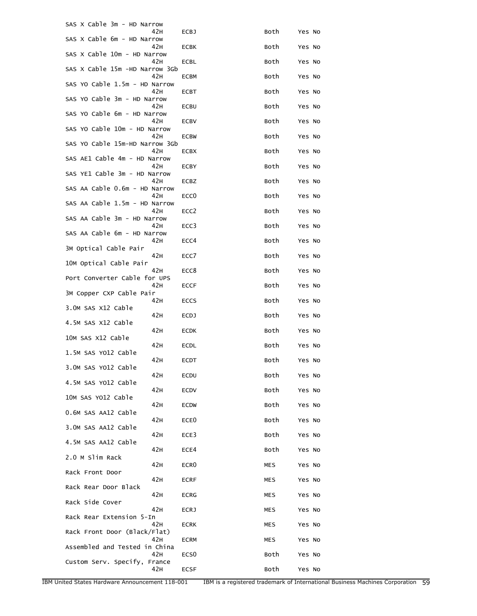| SAS X Cable 3m - HD Narrow     |      |                  |            |        |  |
|--------------------------------|------|------------------|------------|--------|--|
| SAS X Cable 6m - HD Narrow     | 42 H | <b>ECBJ</b>      | Both       | Yes No |  |
| SAS X Cable 10m - HD Narrow    | 42 H | ECBK             | Both       | Yes No |  |
| SAS X Cable 15m -HD Narrow 3Gb | 42 H | <b>ECBL</b>      | Both       | Yes No |  |
| SAS YO Cable 1.5m - HD Narrow  | 42 H | ECBM             | Both       | Yes No |  |
| SAS YO Cable 3m - HD Narrow    | 42H  | <b>ECBT</b>      | Both       | Yes No |  |
| SAS YO Cable 6m - HD Narrow    | 42 H | ECBU             | Both       | Yes No |  |
| SAS YO Cable 10m - HD Narrow   | 42 H | ECBV             | Both       | Yes No |  |
| SAS YO Cable 15m-HD Narrow 3Gb | 42 H | <b>ECBW</b>      | Both       | Yes No |  |
| SAS AE1 Cable 4m - HD Narrow   | 42 H | <b>ECBX</b>      | Both       | Yes No |  |
|                                | 42 H | ECBY             | Both       | Yes No |  |
| SAS YE1 Cable 3m - HD Narrow   | 42 H | ECBZ             | Both       | Yes No |  |
| SAS AA Cable 0.6m - HD Narrow  | 42H  | ECC <sub>0</sub> | Both       | Yes No |  |
| SAS AA Cable 1.5m - HD Narrow  | 42 H | ECC <sub>2</sub> | Both       | Yes No |  |
| SAS AA Cable 3m - HD Narrow    | 42 H | ECC <sub>3</sub> | Both       | Yes No |  |
| SAS AA Cable 6m - HD Narrow    | 42 H | ECC4             | Both       | Yes No |  |
| 3M Optical Cable Pair          | 42 H | ECC7             | Both       | Yes No |  |
| 10M Optical Cable Pair         | 42H  | ECC8             | Both       | Yes No |  |
| Port Converter Cable for UPS   | 42 H | <b>ECCF</b>      | Both       | Yes No |  |
| 3M Copper CXP Cable Pair       | 42H  | <b>ECCS</b>      | Both       | Yes No |  |
| 3.OM SAS X12 Cable             | 42H  | <b>ECDJ</b>      | Both       | Yes No |  |
| 4.5M SAS X12 Cable             | 42H  | <b>ECDK</b>      | Both       | Yes No |  |
| 10M SAS X12 Cable              | 42H  | ECDL             | Both       | Yes No |  |
| 1.5M SAS YO12 Cable            | 42H  | ECDT             | Both       | Yes No |  |
| 3.OM SAS YO12 Cable            | 42 H | ECDU             | Both       | Yes No |  |
| 4.5M SAS YO12 Cable            | 42H  | <b>ECDV</b>      | Both       | Yes No |  |
| 10M SAS YO12 Cable             | 42 H | <b>ECDW</b>      | Both       | Yes No |  |
| 0.6M SAS AA12 Cable            | 42 H | ECE <sub>0</sub> | Both       | Yes No |  |
| 3.0M SAS AA12 Cable            | 42 H | ECE3             | Both       |        |  |
| 4.5M SAS AA12 Cable            |      |                  |            | Yes No |  |
| 2.0 M Slim Rack                | 42 H | ECE4             | Both       | Yes No |  |
| Rack Front Door                | 42H  | ECR <sub>0</sub> | <b>MES</b> | Yes No |  |
| Rack Rear Door Black           | 42 H | <b>ECRF</b>      | MES        | Yes No |  |
| Rack Side Cover                | 42 H | <b>ECRG</b>      | MES        | Yes No |  |
| Rack Rear Extension 5-In       | 42 H | ECRJ             | MES        | Yes No |  |
| Rack Front Door (Black/Flat)   | 42H  | <b>ECRK</b>      | MES        | Yes No |  |
| Assembled and Tested in China  | 42H  | <b>ECRM</b>      | MES        | Yes No |  |
| Custom Serv. Specify, France   | 42H  | ECS <sub>0</sub> | Both       | Yes No |  |
|                                | 42H  | ECSF             | Both       | Yes No |  |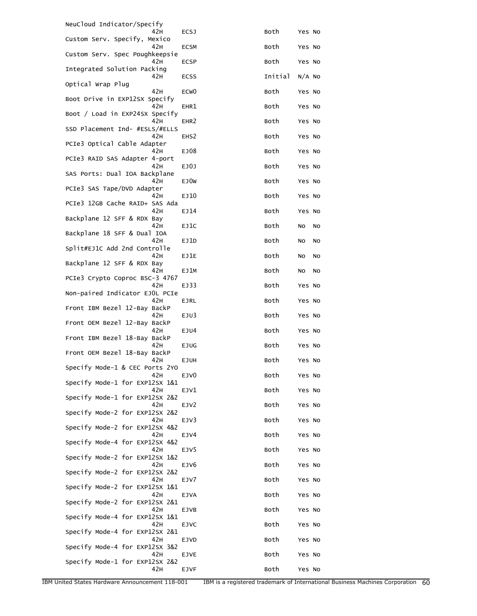| NeuCloud Indicator/Specify                 |                     |              |                  |    |
|--------------------------------------------|---------------------|--------------|------------------|----|
| 42H<br>Custom Serv. Specify, Mexico<br>42H | ECSJ<br><b>ECSM</b> | Both<br>Both | Yes No<br>Yes No |    |
| Custom Serv. Spec Poughkeepsie             |                     |              |                  |    |
| 42H<br>Integrated Solution Packing         | <b>ECSP</b>         | Both         | Yes No           |    |
| 42 H<br>Optical Wrap Plug                  | ECSS                | Initial      | $N/A$ No         |    |
| 42H<br>Boot Drive in EXP12SX Specify       | ECW <sub>0</sub>    | Both         | Yes No           |    |
| 42H                                        | EHR1                | Both         | Yes No           |    |
| Boot / Load in EXP24SX Specify<br>42H      | EHR <sub>2</sub>    | Both         | Yes No           |    |
| SSD Placement Ind- #ESLS/#ELLS<br>42 H     | EHS <sub>2</sub>    | Both         | Yes No           |    |
| PCIe3 Optical Cable Adapter<br>42 H        | EJ08                | Both         | Yes No           |    |
| PCIe3 RAID SAS Adapter 4-port<br>42 H      | EJ0J                | Both         | Yes No           |    |
| SAS Ports: Dual IOA Backplane              |                     |              |                  |    |
| 42H<br>PCIe3 SAS Tape/DVD Adapter          | EJ0W                | Both         | Yes No           |    |
| 42H<br>PCIe3 12GB Cache RAID+ SAS Ada      | EJ10                | Both         | Yes No           |    |
| 42H<br>Backplane 12 SFF & RDX Bay          | EJ14                | Both         | Yes No           |    |
| 42 H                                       | EJ1C                | Both         | No<br>No         |    |
| Backplane 18 SFF & Dual IOA<br>42 H        | EJ1D                | Both         | No               | No |
| Split#EJ1C Add 2nd Controlle<br>42H        | EJ1E                | Both         | No<br>No         |    |
| Backplane 12 SFF & RDX Bay<br>42H          | EJ1M                | Both         | No<br>No         |    |
| PCIe3 Crypto Coproc BSC-3 4767<br>42H      | EJ33                | Both         | Yes No           |    |
| Non-paired Indicator EJOL PCIe             |                     |              |                  |    |
| 42H<br>Front IBM Bezel 12-Bay BackP        | <b>EJRL</b>         | Both         | Yes No           |    |
| 42H<br>Front OEM Bezel 12-Bay BackP        | EJU3                | Both         | Yes No           |    |
| 42H<br>Front IBM Bezel 18-Bay BackP        | EJU4                | Both         | Yes No           |    |
| 42H<br>Front OEM Bezel 18-Bay BackP        | EJUG                | Both         | Yes No           |    |
| 42H<br>Specify Mode-1 & CEC Ports 2YO      | EJUH                | Both         | Yes No           |    |
| 42 H                                       | EJV <sub>0</sub>    | Both         | Yes No           |    |
| Specify Mode-1 for EXP12SX 1&1<br>42H      | EJV1                | Both         | Yes No           |    |
| Specify Mode-1 for EXP12SX 2&2<br>42H      | EJV2                | Both         | Yes No           |    |
| Specify Mode-2 for EXP12SX 2&2<br>42H      | EJV3                | Both         | Yes No           |    |
| Specify Mode-2 for EXP12SX 4&2<br>42H      | EJV4                | Both         | Yes No           |    |
| Specify Mode-4 for EXP12SX 4&2             |                     |              |                  |    |
| 42 H<br>Specify Mode-2 for EXP12SX 1&2     | EJV5                | Both         | Yes No           |    |
| 42 H<br>Specify Mode-2 for EXP12SX 2&2     | EJV <sub>6</sub>    | Both         | Yes No           |    |
| 42H<br>Specify Mode-2 for EXP12SX 1&1      | EJV7                | Both         | Yes No           |    |
| 42H<br>Specify Mode-2 for EXP12SX 2&1      | <b>EJVA</b>         | Both         | Yes No           |    |
| 42 H                                       | EJVB                | Both         | Yes No           |    |
| Specify Mode-4 for EXP12SX 1&1<br>42 H     | EJVC                | Both         | Yes No           |    |
| Specify Mode-4 for EXP12SX 2&1<br>42 H     | <b>EJVD</b>         | Both         | Yes No           |    |
| Specify Mode-4 for EXP12SX 3&2<br>42H      | EJVE                | Both         | Yes No           |    |
| Specify Mode-1 for EXP12SX 2&2<br>42H      |                     |              |                  |    |
|                                            | <b>EJVF</b>         | Both         | Yes No           |    |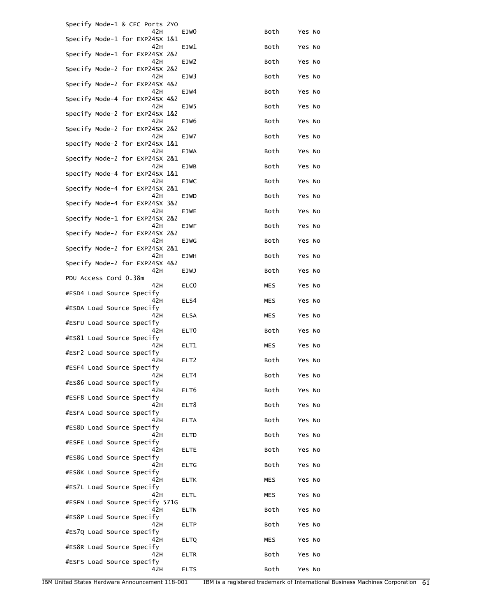| Specify Mode-1 & CEC Ports 2YO         |                  |            |        |  |
|----------------------------------------|------------------|------------|--------|--|
| 42 H<br>Specify Mode-1 for EXP24SX 1&1 | EJW <sub>0</sub> | Both       | Yes No |  |
| 42H<br>Specify Mode-1 for EXP24SX 2&2  | EJW1             | Both       | Yes No |  |
| 42H<br>Specify Mode-2 for EXP24SX 2&2  | EJW <sub>2</sub> | Both       | Yes No |  |
| 42H<br>Specify Mode-2 for EXP24SX 4&2  | EJW3             | Both       | Yes No |  |
| 42H<br>Specify Mode-4 for EXP24SX 4&2  | EJW4             | Both       | Yes No |  |
| 42H<br>Specify Mode-2 for EXP24SX 1&2  | EJW5             | Both       | Yes No |  |
| 42H<br>Specify Mode-2 for EXP24SX 2&2  | EJW6             | Both       | Yes No |  |
| 42H<br>Specify Mode-2 for EXP24SX 1&1  | EJW7             | Both       | Yes No |  |
| 42H<br>Specify Mode-2 for EXP24SX 2&1  | <b>EJWA</b>      | Both       | Yes No |  |
| 42H<br>Specify Mode-4 for EXP24SX 1&1  | EJWB             | Both       | Yes No |  |
| 42H<br>Specify Mode-4 for EXP24SX 2&1  | <b>EJWC</b>      | Both       | Yes No |  |
| 42H<br>Specify Mode-4 for EXP24SX 3&2  | EJWD             | Both       | Yes No |  |
| 42H<br>Specify Mode-1 for EXP24SX 2&2  | EJWE             | Both       | Yes No |  |
| 42H<br>Specify Mode-2 for EXP24SX 2&2  | EJWF             | Both       | Yes No |  |
| 42H<br>Specify Mode-2 for EXP24SX 2&1  | <b>EJWG</b>      | Both       | Yes No |  |
| 42H<br>Specify Mode-2 for EXP24SX 4&2  | EJWH             | Both       | Yes No |  |
| 42H                                    | EJWJ             | Both       | Yes No |  |
| PDU Access Cord 0.38m<br>42 H          | ELC <sub>0</sub> | MES        | Yes No |  |
| #ESD4 Load Source Specify<br>42 H      | ELS4             | MES        | Yes No |  |
| #ESDA Load Source Specify<br>42 H      | <b>ELSA</b>      | MES        | Yes No |  |
| #ESFU Load Source Specify<br>42 H      | ELT0             | Both       | Yes No |  |
| #ES81 Load Source Specify<br>42 H      | ELT1             | MES        | Yes No |  |
| #ESF2 Load Source Specify<br>42 H      | ELT <sub>2</sub> | Both       | Yes No |  |
| #ESF4 Load Source Specify<br>42 H      | ELT4             | Both       | Yes No |  |
| #ES86 Load Source Specify<br>42H       | ELT6             | Both       | Yes No |  |
| #ESF8 Load Source Specify<br>42H       | ELT8             | Both       | Yes No |  |
| #ESFA Load Source Specify<br>42H       | <b>ELTA</b>      | Both       | Yes No |  |
| #ES8D Load Source Specify<br>42H       | ELTD             | Both       | Yes No |  |
| #ESFE Load Source Specify<br>42 H      | <b>ELTE</b>      | Both       | Yes No |  |
| #ES8G Load Source Specify<br>42H       | <b>ELTG</b>      | Both       | Yes No |  |
| #ES8K Load Source Specify<br>42H       | <b>ELTK</b>      | <b>MES</b> | Yes No |  |
| #ES7L Load Source Specify              |                  |            |        |  |
| 42H<br>#ESFN Load Source Specify 571G  | <b>ELTL</b>      | MES        | Yes No |  |
| 42H<br>#ES8P Load Source Specify       | <b>ELTN</b>      | Both       | Yes No |  |
| 42 H<br>#ES7Q Load Source Specify      | <b>ELTP</b>      | Both       | Yes No |  |
| 42H<br>#ES8R Load Source Specify       | <b>ELTQ</b>      | MES        | Yes No |  |
| 42H<br>#ESFS Load Source Specify       | <b>ELTR</b>      | Both       | Yes No |  |
| 42H                                    | <b>ELTS</b>      | Both       | Yes No |  |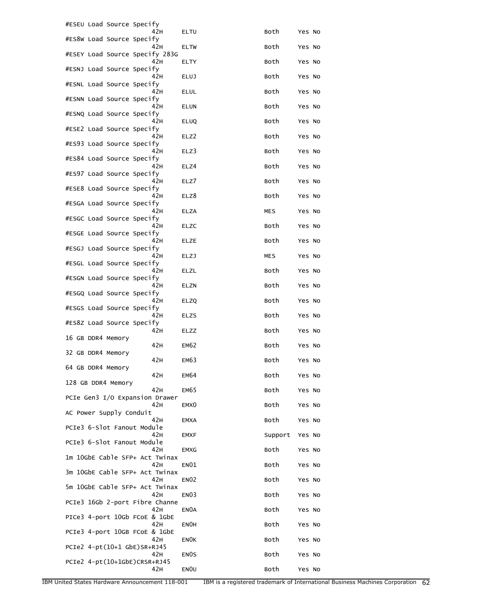| #ESEU Load Source Specify              |                  |         |        |
|----------------------------------------|------------------|---------|--------|
| 42H<br>#ES8W Load Source Specify       | ELTU             | Both    | Yes No |
| 42H<br>#ESEY Load Source Specify 283G  | <b>ELTW</b>      | Both    | Yes No |
| 42H<br>#ESNJ Load Source Specify       | ELTY             | Both    | Yes No |
| 42H<br>#ESNL Load Source Specify       | <b>ELUJ</b>      | Both    | Yes No |
| 42 H<br>#ESNN Load Source Specify      | ELUL             | Both    | Yes No |
| 42 H<br>#ESNQ Load Source Specify      | <b>ELUN</b>      | Both    | Yes No |
| 42H                                    | <b>ELUQ</b>      | Both    | Yes No |
| #ESE2 Load Source Specify<br>42H       | ELZ2             | Both    | Yes No |
| #ES93 Load Source Specify<br>42H       | ELZ3             | Both    | Yes No |
| #ES84 Load Source Specify<br>42 H      | ELZ4             | Both    | Yes No |
| #ES97 Load Source Specify<br>42 H      | ELZ7             | Both    | Yes No |
| #ESE8 Load Source Specify<br>42H       | ELZ8             | Both    | Yes No |
| #ESGA Load Source Specify<br>42H       | ELZA             | MES     | Yes No |
| #ESGC Load Source Specify<br>42H       | <b>ELZC</b>      | Both    | Yes No |
| #ESGE Load Source Specify<br>42 H      | ELZE             | Both    | Yes No |
| #ESGJ Load Source Specify<br>42 H      | <b>ELZJ</b>      | MES     | Yes No |
| #ESGL Load Source Specify<br>42H       | ELZL             | Both    | Yes No |
| #ESGN Load Source Specify<br>42H       | ELZN             | Both    | Yes No |
| #ESGQ Load Source Specify<br>42H       | <b>ELZQ</b>      | Both    | Yes No |
| #ESGS Load Source Specify<br>42 H      | <b>ELZS</b>      | Both    | Yes No |
| #ES8Z Load Source Specify<br>42H       | ELZZ             | Both    | Yes No |
| 16 GB DDR4 Memory<br>42H               | <b>EM62</b>      | Both    | Yes No |
| 32 GB DDR4 Memory<br>42H               | <b>EM63</b>      | Both    | Yes No |
| 64 GB DDR4 Memory<br>42H               | <b>EM64</b>      | Both    | Yes No |
| 128 GB DDR4 Memory<br>42H              | <b>EM65</b>      | Both    | Yes No |
| PCIe Gen3 I/O Expansion Drawer<br>42H  | EMX <sub>0</sub> | Both    | Yes No |
| AC Power Supply Conduit<br>42 H        | <b>EMXA</b>      | Both    | Yes No |
| PCIe3 6-Slot Fanout Module<br>42H      |                  | Support |        |
| PCIe3 6-Slot Fanout Module             | <b>EMXF</b>      |         | Yes No |
| 42H<br>1m 10GbE Cable SFP+ Act Twinax  | <b>EMXG</b>      | Both    | Yes No |
| 42H<br>3m 10GbE Cable SFP+ Act Twinax  | <b>EN01</b>      | Both    | Yes No |
| 42 H<br>5m 10GbE Cable SFP+ Act Twinax | <b>EN02</b>      | Both    | Yes No |
| 42H<br>PCIe3 16Gb 2-port Fibre Channe  | EN <sub>03</sub> | Both    | Yes No |
| 42H<br>PICe3 4-port 10Gb FCoE & 1GbE   | EN0A             | Both    | Yes No |
| 42 H<br>PCIe3 4-port 10GB FCoE & 1GbE  | <b>ENOH</b>      | Both    | Yes No |
| 42 H<br>PCIe2 4-pt(10+1 GbE)SR+RJ45    | <b>ENOK</b>      | Both    | Yes No |
| 42H<br>PCIe2 4-pt(10+1GbE)CRSR+RJ45    | <b>ENOS</b>      | Both    | Yes No |
| 42H                                    | <b>ENOU</b>      | Both    | Yes No |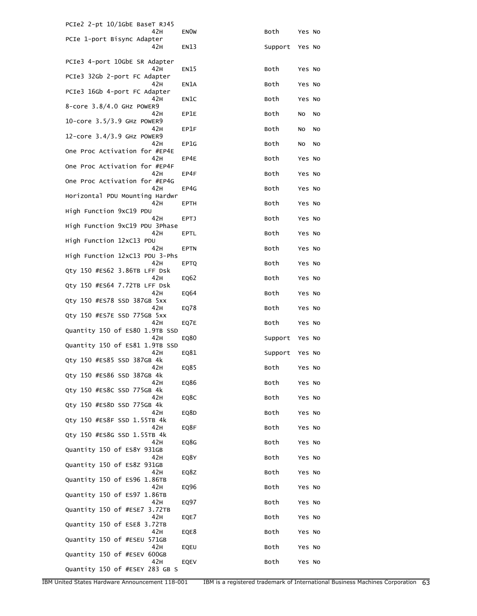| PCIe2 2-pt 10/1GbE BaseT RJ45          |             |         |          |
|----------------------------------------|-------------|---------|----------|
| 42 H<br>PCIe 1-port Bisync Adapter     | <b>ENOW</b> | Both    | Yes No   |
| 42H                                    | <b>EN13</b> | Support | Yes No   |
| PCIe3 4-port 10GbE SR Adapter          |             |         |          |
| 42 H                                   | EN15        | Both    | Yes No   |
| PCIe3 32Gb 2-port FC Adapter<br>42H    | EN1A        | Both    | Yes No   |
| PCIe3 16Gb 4-port FC Adapter<br>42H    | EN1C        | Both    | Yes No   |
| 8-core 3.8/4.0 GHz POWER9              |             |         |          |
| 42 H<br>10-core 3.5/3.9 GHz POWER9     | EP1E        | Both    | No<br>No |
| 42 H                                   | EP1F        | Both    | No<br>No |
| 12-core 3.4/3.9 GHz POWER9<br>42H      | EP1G        | Both    | No<br>No |
| One Proc Activation for #EP4E<br>42H   |             |         |          |
| One Proc Activation for #EP4F          | EP4E        | Both    | Yes No   |
| 42H<br>One Proc Activation for #EP4G   | EP4F        | Both    | Yes No   |
| 42H                                    | EP4G        | Both    | Yes No   |
| Horizontal PDU Mounting Hardwr<br>42 H | EPTH        | Both    | Yes No   |
| High Function 9xC19 PDU                |             |         |          |
| 42H<br>High Function 9xC19 PDU 3Phase  | <b>EPTJ</b> | Both    | Yes No   |
| 42H                                    | EPTL        | Both    | Yes No   |
| High Function 12xC13 PDU<br>42H        | <b>EPTN</b> | Both    | Yes No   |
| High Function 12xC13 PDU 3-Phs<br>42 H | <b>EPTQ</b> | Both    | Yes No   |
| Qty 150 #ES62 3.86TB LFF Dsk           |             |         |          |
| 42 H<br>Qty 150 #ES64 7.72TB LFF Dsk   | EQ62        | Both    | Yes No   |
| 42H                                    | EQ64        | Both    | Yes No   |
| Qty 150 #ES78 SSD 387GB 5xx<br>42H     | EQ78        | Both    | Yes No   |
| Qty 150 #ES7E SSD 775GB 5xx<br>42H     |             | Both    | Yes No   |
| Quantity 150 of ES80 1.9TB SSD         | EQ7E        |         |          |
| 42H<br>Quantity 150 of ES81 1.9TB SSD  | EQ80        | Support | Yes No   |
| 42 H                                   | EQ81        | Support | Yes No   |
| Qty 150 #ES85 SSD 387GB 4k<br>42H      | EQ85        | Both    | Yes No   |
| Qty 150 #ES86 SSD 387GB 4k             |             |         |          |
| 42H<br>Qty 150 #ES8C SSD 775GB 4k      | EQ86        | Both    | Yes No   |
| 42H<br>Qty 150 #ES8D SSD 775GB 4k      | EQ8C        | Both    | Yes No   |
| 42 H                                   | EQ8D        | Both    | Yes No   |
| Qty 150 #ES8F SSD 1.55TB 4k<br>42 H    | EQ8F        | Both    | Yes No   |
| Qty 150 #ES8G SSD 1.55TB 4k            |             |         |          |
| 42 H<br>Quantity 150 of ES8Y 931GB     | EQ8G        | Both    | Yes No   |
| 42H                                    | EQ8Y        | Both    | Yes No   |
| Quantity 150 of ES8Z 931GB<br>42H      | EQ8Z        | Both    | Yes No   |
| Quantity 150 of ES96 1.86TB<br>42 H    | EQ96        | Both    | Yes No   |
| Quantity 150 of ES97 1.86TB            |             |         |          |
| 42 H<br>Quantity 150 of #ESE7 3.72TB   | EQ97        | Both    | Yes No   |
| 42 H                                   | EQE7        | Both    | Yes No   |
| Quantity 150 of ESE8 3.72TB<br>42H     | EQE8        | Both    | Yes No   |
| Quantity 150 of #ESEU 571GB<br>42H     |             |         |          |
| Quantity 150 of #ESEV 600GB            | EQEU        | Both    | Yes No   |
| 42 H<br>Quantity 150 of #ESEY 283 GB S | EQEV        | Both    | Yes No   |
|                                        |             |         |          |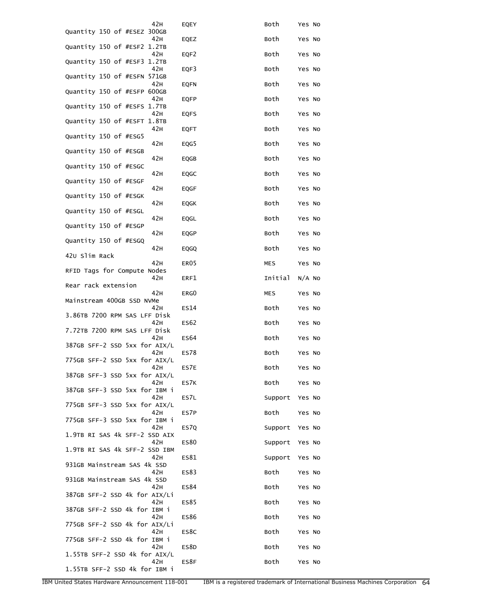| 42 H                                  | EQEY             | Both       | Yes No   |
|---------------------------------------|------------------|------------|----------|
| Quantity 150 of #ESEZ 300GB<br>42H    | EQEZ             | Both       | Yes No   |
| Quantity 150 of #ESF2 1.2TB<br>42 H   | EQF2             | Both       | Yes No   |
| Quantity 150 of #ESF3 1.2TB           |                  |            |          |
| 42 H<br>Quantity 150 of #ESFN 571GB   | EQF3             | Both       | Yes No   |
| 42H<br>Quantity 150 of #ESFP 600GB    | <b>EQFN</b>      | Both       | Yes No   |
| 42H<br>Quantity 150 of #ESFS 1.7TB    | <b>EQFP</b>      | Both       | Yes No   |
| 42H                                   | <b>EQFS</b>      | Both       | Yes No   |
| Quantity 150 of #ESFT 1.8TB<br>42H    | EQFT             | Both       | Yes No   |
| Quantity 150 of #ESG5<br>42H          | EQG5             | Both       | Yes No   |
| Quantity 150 of #ESGB<br>42H          |                  |            |          |
| Quantity 150 of #ESGC                 | EQGB             | Both       | Yes No   |
| 42H<br>Quantity 150 of #ESGF          | EQGC             | Both       | Yes No   |
| 42 H<br>Quantity 150 of #ESGK         | EQGF             | Both       | Yes No   |
| 42 H                                  | EQGK             | Both       | Yes No   |
| Quantity 150 of #ESGL<br>42 H         | EQGL             | Both       | Yes No   |
| Quantity 150 of #ESGP<br>42H          | EQGP             | Both       | Yes No   |
| Quantity 150 of #ESGQ<br>42 H         | EQGQ             | Both       | Yes No   |
| 420 Slim Rack                         |                  |            |          |
| 42 H<br>RFID Tags for Compute Nodes   | ER <sub>05</sub> | <b>MES</b> | Yes No   |
| 42H<br>Rear rack extension            | ERF1             | Initial    | $N/A$ No |
| 42 H<br>Mainstream 400GB SSD NVMe     | ERG0             | MES        | Yes No   |
| 42H                                   | ES14             | Both       | Yes No   |
| 3.86TB 7200 RPM SAS LFF Disk<br>42H   | ES62             | Both       | Yes No   |
| 7.72TB 7200 RPM SAS LFF Disk<br>42H   | ES <sub>64</sub> | Both       | Yes No   |
| 387GB SFF-2 SSD 5xx for AIX/L<br>42 H | ES78             | Both       | Yes No   |
| 775GB SFF-2 SSD 5xx for AIX/L         |                  |            |          |
| 42 H<br>387GB SFF-3 SSD 5xx for AIX/L | ES7E             | Both       | Yes No   |
| 42H<br>387GB SFF-3 SSD 5xx for IBM i  | ES7K             | Both       | Yes No   |
| 42H<br>775GB SFF-3 SSD 5xx for AIX/L  | ES7L             | Support    | Yes No   |
| 42H                                   | ES7P             | Both       | Yes No   |
| 775GB SFF-3 SSD 5xx for IBM i<br>42H  | ES7Q             | Support    | Yes No   |
| 1.9TB RI SAS 4k SFF-2 SSD AIX<br>42H  | <b>ES80</b>      | Support    | Yes No   |
| 1.9TB RI SAS 4k SFF-2 SSD IBM<br>42H  | ES81             | Support    | Yes No   |
| 931GB Mainstream SAS 4k SSD           |                  |            |          |
| 42H<br>931GB Mainstream SAS 4k SSD    | ES83             | Both       | Yes No   |
| 42H<br>387GB SFF-2 SSD 4k for AIX/Li  | ES84             | Both       | Yes No   |
| 42H<br>387GB SFF-2 SSD 4k for IBM i   | ES85             | Both       | Yes No   |
| 42H                                   | <b>ES86</b>      | Both       | Yes No   |
| 775GB SFF-2 SSD 4k for AIX/Li<br>42H  | ES8C             | Both       | Yes No   |
| 775GB SFF-2 SSD 4k for IBM i<br>42H   | ES8D             | Both       | Yes No   |
| 1.55TB SFF-2 SSD 4k for AIX/L<br>42H  | ES8F             | Both       |          |
| 1.55TB SFF-2 SSD 4k for IBM i         |                  |            | Yes No   |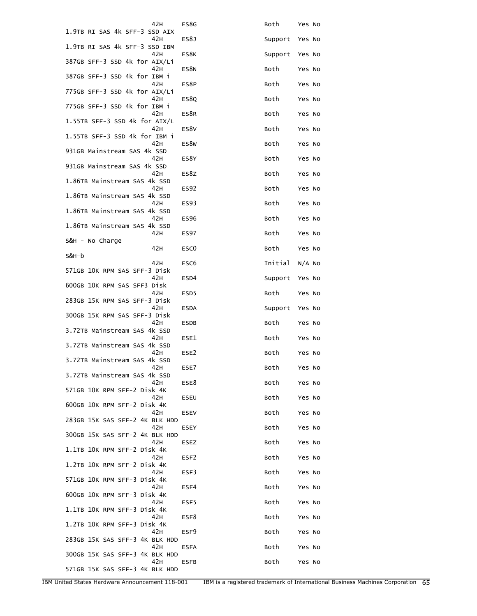| 42 H                                  | ES8G             | Both    | Yes No   |
|---------------------------------------|------------------|---------|----------|
| 1.9TB RI SAS 4k SFF-3 SSD AIX<br>42H  | ES8J             | Support | Yes No   |
| 1.9TB RI SAS 4k SFF-3 SSD IBM<br>42H  | ES8K             | Support | Yes No   |
| 387GB SFF-3 SSD 4k for AIX/Li         |                  |         |          |
| 42 H<br>387GB SFF-3 SSD 4k for IBM i  | ES8N             | Both    | Yes No   |
| 42 H<br>775GB SFF-3 SSD 4k for AIX/Li | ES8P             | Both    | Yes No   |
| 42H<br>775GB SFF-3 SSD 4k for IBM i   | <b>ES80</b>      | Both    | Yes No   |
| 42 H<br>1.55TB SFF-3 SSD 4k for AIX/L | ES8R             | Both    | Yes No   |
| 42 H                                  | ES8V             | Both    | Yes No   |
| 1.55TB SFF-3 SSD 4k for IBM i<br>42 H | ES8W             | Both    | Yes No   |
| 931GB Mainstream SAS 4k SSD<br>42H    | ES8Y             | Both    | Yes No   |
| 931GB Mainstream SAS 4k SSD<br>42H    | ES8Z             | Both    | Yes No   |
| 1.86TB Mainstream SAS 4k SSD<br>42H   | ES92             | Both    | Yes No   |
| 1.86TB Mainstream SAS 4k SSD          |                  |         |          |
| 42 H<br>1.86TB Mainstream SAS 4k SSD  | ES93             | Both    | Yes No   |
| 42H<br>1.86TB Mainstream SAS 4k SSD   | <b>ES96</b>      | Both    | Yes No   |
| 42H<br>S&H - No Charge                | ES97             | Both    | Yes No   |
| 42H<br>S&H-b                          | ESC <sub>0</sub> | Both    | Yes No   |
| 42H<br>571GB 10K RPM SAS SFF-3 Disk   | ESC <sub>6</sub> | Initial | $N/A$ No |
| 42 H                                  | ESD4             | Support | Yes No   |
| 600GB 10K RPM SAS SFF3 Disk<br>42H    | ESD <sub>5</sub> | Both    | Yes No   |
| 283GB 15K RPM SAS SFF-3 Disk<br>42H   | <b>ESDA</b>      | Support | Yes No   |
| 300GB 15K RPM SAS SFF-3 Disk<br>42H   | ESDB             | Both    | Yes No   |
| 3.72TB Mainstream SAS 4k SSD<br>42H   | ESE1             | Both    | Yes No   |
| 3.72TB Mainstream SAS 4k SSD<br>42 H  | ESE2             | Both    | Yes No   |
| 3.72TB Mainstream SAS 4k SSD          |                  |         |          |
| 42H<br>3.72TB Mainstream SAS 4k SSD   | ESE7             | Both    | Yes No   |
| 42H<br>571GB 10K RPM SFF-2 Disk 4K    | ESE8             | Both    | Yes No   |
| 42H<br>600GB 10K RPM SFF-2 Disk 4K    | <b>ESEU</b>      | Both    | Yes No   |
| 42H<br>283GB 15K SAS SFF-2 4K BLK HDD | <b>ESEV</b>      | Both    | Yes No   |
| 42H                                   | <b>ESEY</b>      | Both    | Yes No   |
| 300GB 15K SAS SFF-2 4K BLK HDD<br>42H | <b>ESEZ</b>      | Both    | Yes No   |
| 1.1TB 10K RPM SFF-2 Disk 4K<br>42H    | ESF <sub>2</sub> | Both    | Yes No   |
| 1.2TB 10K RPM SFF-2 Disk 4K<br>42H    | ESF3             | Both    | Yes No   |
| 571GB 10K RPM SFF-3 Disk 4K<br>42H    | ESF4             | Both    | Yes No   |
| 600GB 10K RPM SFF-3 Disk 4K<br>42H    | ESF5             | Both    | Yes No   |
| 1.1TB 10K RPM SFF-3 Disk 4K           |                  |         |          |
| 42H<br>1.2TB 10K RPM SFF-3 Disk 4K    | ESF8             | Both    | Yes No   |
| 42H<br>283GB 15K SAS SFF-3 4K BLK HDD | ESF9             | Both    | Yes No   |
| 42H<br>300GB 15K SAS SFF-3 4K BLK HDD | <b>ESFA</b>      | Both    | Yes No   |
| 42H<br>571GB 15K SAS SFF-3 4K BLK HDD | <b>ESFB</b>      | Both    | Yes No   |
|                                       |                  |         |          |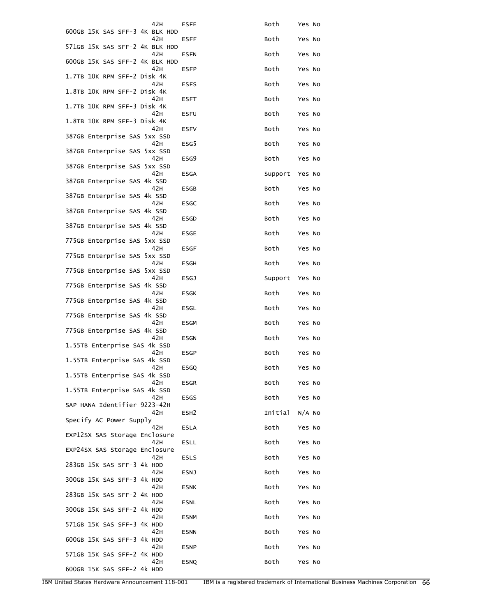| 42 H                                  | ESFE             | Both    | Yes No |
|---------------------------------------|------------------|---------|--------|
| 600GB 15K SAS SFF-3 4K BLK HDD<br>42H | ESFF             | Both    | Yes No |
| 571GB 15K SAS SFF-2 4K BLK HDD<br>42H | <b>ESFN</b>      | Both    | Yes No |
| 600GB 15K SAS SFF-2 4K BLK HDD<br>42H | <b>ESFP</b>      | Both    | Yes No |
| 1.7TB 10K RPM SFF-2 Disk 4K           |                  |         |        |
| 42 H<br>1.8TB 10K RPM SFF-2 Disk 4K   | <b>ESFS</b>      | Both    | Yes No |
| 42H<br>1.7TB 10K RPM SFF-3 Disk 4K    | <b>ESFT</b>      | Both    | Yes No |
| 42H<br>1.8TB 10K RPM SFF-3 Disk 4K    | <b>ESFU</b>      | Both    | Yes No |
| 42 H<br>387GB Enterprise SAS 5xx SSD  | <b>ESFV</b>      | Both    | Yes No |
| 42H<br>387GB Enterprise SAS 5xx SSD   | ESG5             | Both    | Yes No |
| 42H<br>387GB Enterprise SAS 5xx SSD   | ESG9             | Both    | Yes No |
| 42H<br>387GB Enterprise SAS 4k SSD    | <b>ESGA</b>      | Support | Yes No |
| 42H<br>387GB Enterprise SAS 4k SSD    | <b>ESGB</b>      | Both    | Yes No |
| 42H                                   | ESGC             | Both    | Yes No |
| 387GB Enterprise SAS 4k SSD<br>42H    | <b>ESGD</b>      | Both    | Yes No |
| 387GB Enterprise SAS 4k SSD<br>42H    | <b>ESGE</b>      | Both    | Yes No |
| 775GB Enterprise SAS 5xx SSD<br>42H   | ESGF             | Both    | Yes No |
| 775GB Enterprise SAS 5xx SSD<br>42H   | ESGH             | Both    | Yes No |
| 775GB Enterprise SAS 5xx SSD<br>42 H  | <b>ESGJ</b>      | Support | Yes No |
| 775GB Enterprise SAS 4k SSD<br>42H    | ESGK             | Both    | Yes No |
| 775GB Enterprise SAS 4k SSD<br>42H    | ESGL             | Both    | Yes No |
| 775GB Enterprise SAS 4k SSD<br>42H    | <b>ESGM</b>      | Both    | Yes No |
| 775GB Enterprise SAS 4k SSD<br>42H    | ESGN             | Both    | Yes No |
| 1.55TB Enterprise SAS 4k SSD          | <b>ESGP</b>      |         |        |
| 42 H<br>1.55TB Enterprise SAS 4k SSD  |                  | Both    | Yes No |
| 42H<br>1.55TB Enterprise SAS 4k SSD   | <b>ESGQ</b>      | Both    | Yes No |
| 42H<br>1.55TB Enterprise SAS 4k SSD   | ESGR             | Both    | Yes No |
| 42H<br>SAP HANA Identifier 9223-42H   | <b>ESGS</b>      | Both    | Yes No |
| 42H<br>Specify AC Power Supply        | ESH <sub>2</sub> | Initial | N/A NO |
| 42 H<br>EXP12SX SAS Storage Enclosure | <b>ESLA</b>      | Both    | Yes No |
| 42H<br>EXP24SX SAS Storage Enclosure  | <b>ESLL</b>      | Both    | Yes No |
| 42H<br>283GB 15K SAS SFF-3 4k HDD     | <b>ESLS</b>      | Both    | Yes No |
| 42H<br>300GB 15K SAS SFF-3 4k HDD     | <b>ESNJ</b>      | Both    | Yes No |
| 42H                                   | <b>ESNK</b>      | Both    | Yes No |
| 283GB 15K SAS SFF-2 4K HDD<br>42 H    | ESNL             | Both    | Yes No |
| 300GB 15K SAS SFF-2 4k HDD<br>42H     | <b>ESNM</b>      | Both    | Yes No |
| 571GB 15K SAS SFF-3 4K HDD<br>42H     | <b>ESNN</b>      | Both    | Yes No |
| 600GB 15K SAS SFF-3 4k HDD<br>42H     | <b>ESNP</b>      | Both    | Yes No |
| 571GB 15K SAS SFF-2 4K HDD<br>42H     | <b>ESNQ</b>      | Both    | Yes No |
| 600GB 15K SAS SFF-2 4k HDD            |                  |         |        |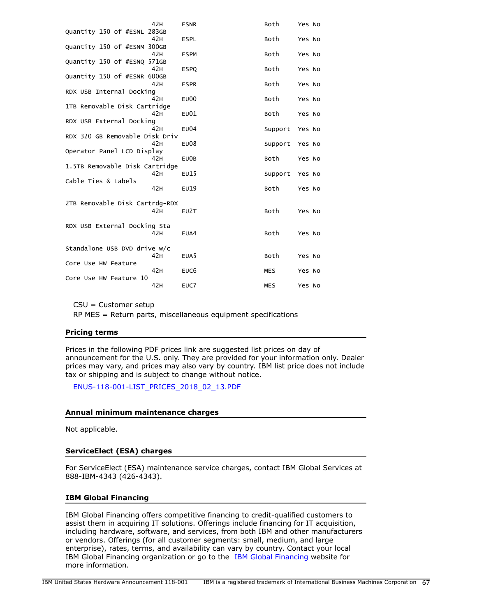| <b>ESNR</b>                    | Both                           | Yes No          |
|--------------------------------|--------------------------------|-----------------|
|                                |                                |                 |
| <b>ESPL</b>                    | Both                           | Yes No          |
|                                |                                |                 |
| <b>ESPM</b>                    | Both                           | Yes No          |
|                                |                                |                 |
| <b>ESPO</b>                    | Both                           | Yes No          |
|                                |                                |                 |
| <b>ESPR</b>                    | Both                           | Yes No          |
|                                |                                |                 |
| <b>EU00</b>                    | Both                           | Yes No          |
| 1TB Removable Disk Cartridge   |                                |                 |
| E <sub>U</sub> 01              | Both                           | Yes No          |
|                                |                                |                 |
| E <sub>U</sub> 04              | Support                        | Yes No          |
| RDX 320 GB Removable Disk Driv |                                |                 |
| <b>EU08</b>                    |                                | Yes No          |
|                                |                                |                 |
| EU0B                           | Both                           | Yes No          |
| 1.5TB Removable Disk Cartridge |                                |                 |
| EU15                           | Support                        | Yes No          |
|                                |                                |                 |
| EU19                           |                                | Yes No          |
|                                |                                |                 |
|                                |                                |                 |
|                                |                                |                 |
|                                |                                |                 |
| EU2T                           | Both                           | Yes No          |
|                                |                                |                 |
| RDX USB External Docking Sta   |                                |                 |
| EUA4                           | Both                           | Yes No          |
|                                |                                |                 |
| Standalone USB DVD drive w/c   |                                |                 |
| EUA5                           | Both                           | Yes No          |
|                                |                                |                 |
| EUC <sub>6</sub>               | <b>MES</b>                     | Yes No          |
|                                | 2TB Removable Disk Cartrdg-RDX | Support<br>Both |

CSU = Customer setup

RP MES = Return parts, miscellaneous equipment specifications

#### **Pricing terms**

Prices in the following PDF prices link are suggested list prices on day of announcement for the U.S. only. They are provided for your information only. Dealer prices may vary, and prices may also vary by country. IBM list price does not include tax or shipping and is subject to change without notice.

[ENUS-118-001-LIST\\_PRICES\\_2018\\_02\\_13.PDF](http://www.ibm.com/common/ssi/cgi-bin/ssialias?infotype=AN&subtype=CA&appname=gpateam&supplier=897&letternum=ENUS118-001&attachment=ENUS-118-001-LIST_PRICES_2018_02_13.PDF)

#### **Annual minimum maintenance charges**

Not applicable.

#### **ServiceElect (ESA) charges**

For ServiceElect (ESA) maintenance service charges, contact IBM Global Services at 888-IBM-4343 (426-4343).

#### **IBM Global Financing**

IBM Global Financing offers competitive financing to credit-qualified customers to assist them in acquiring IT solutions. Offerings include financing for IT acquisition, including hardware, software, and services, from both IBM and other manufacturers or vendors. Offerings (for all customer segments: small, medium, and large enterprise), rates, terms, and availability can vary by country. Contact your local IBM Global Financing organization or go to the [IBM Global Financing](http://www.ibm.com/financing) website for more information.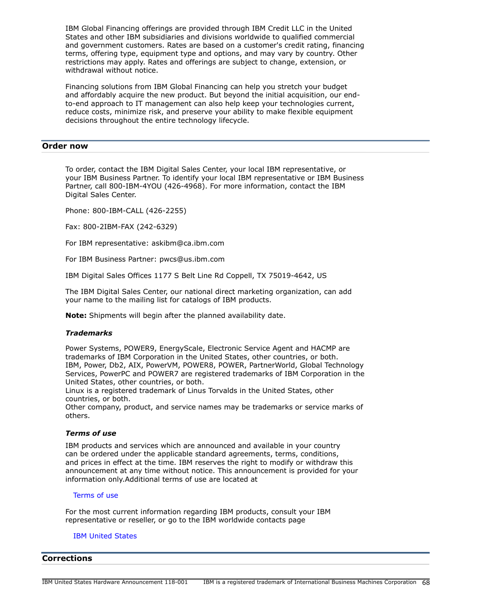IBM Global Financing offerings are provided through IBM Credit LLC in the United States and other IBM subsidiaries and divisions worldwide to qualified commercial and government customers. Rates are based on a customer's credit rating, financing terms, offering type, equipment type and options, and may vary by country. Other restrictions may apply. Rates and offerings are subject to change, extension, or withdrawal without notice.

Financing solutions from IBM Global Financing can help you stretch your budget and affordably acquire the new product. But beyond the initial acquisition, our endto-end approach to IT management can also help keep your technologies current, reduce costs, minimize risk, and preserve your ability to make flexible equipment decisions throughout the entire technology lifecycle.

## <span id="page-67-0"></span>**Order now**

To order, contact the IBM Digital Sales Center, your local IBM representative, or your IBM Business Partner. To identify your local IBM representative or IBM Business Partner, call 800-IBM-4YOU (426-4968). For more information, contact the IBM Digital Sales Center.

Phone: 800-IBM-CALL (426-2255)

Fax: 800-2IBM-FAX (242-6329)

For IBM representative: askibm@ca.ibm.com

For IBM Business Partner: pwcs@us.ibm.com

IBM Digital Sales Offices 1177 S Belt Line Rd Coppell, TX 75019-4642, US

The IBM Digital Sales Center, our national direct marketing organization, can add your name to the mailing list for catalogs of IBM products.

**Note:** Shipments will begin after the planned availability date.

#### *Trademarks*

Power Systems, POWER9, EnergyScale, Electronic Service Agent and HACMP are trademarks of IBM Corporation in the United States, other countries, or both. IBM, Power, Db2, AIX, PowerVM, POWER8, POWER, PartnerWorld, Global Technology Services, PowerPC and POWER7 are registered trademarks of IBM Corporation in the United States, other countries, or both.

Linux is a registered trademark of Linus Torvalds in the United States, other countries, or both.

Other company, product, and service names may be trademarks or service marks of others.

#### *Terms of use*

IBM products and services which are announced and available in your country can be ordered under the applicable standard agreements, terms, conditions, and prices in effect at the time. IBM reserves the right to modify or withdraw this announcement at any time without notice. This announcement is provided for your information only.Additional terms of use are located at

#### [Terms of use](http://www.ibm.com/legal/us/en/)

For the most current information regarding IBM products, consult your IBM representative or reseller, or go to the IBM worldwide contacts page

#### [IBM United States](http://www.ibm.com/planetwide/us/)

## <span id="page-67-1"></span>**Corrections**